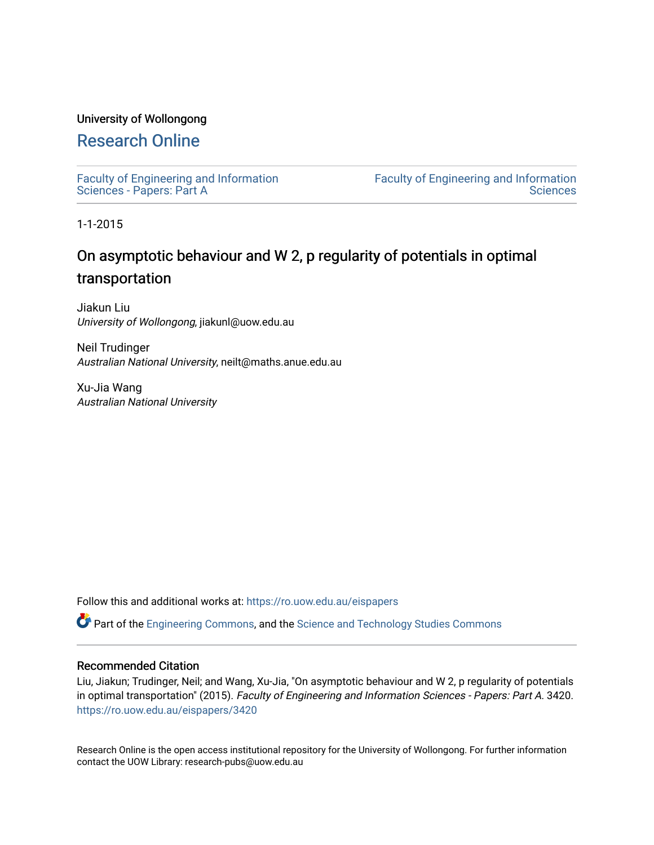## University of Wollongong

## [Research Online](https://ro.uow.edu.au/)

[Faculty of Engineering and Information](https://ro.uow.edu.au/eispapers)  [Sciences - Papers: Part A](https://ro.uow.edu.au/eispapers) 

[Faculty of Engineering and Information](https://ro.uow.edu.au/eis)  **Sciences** 

1-1-2015

# On asymptotic behaviour and W 2, p regularity of potentials in optimal transportation

Jiakun Liu University of Wollongong, jiakunl@uow.edu.au

Neil Trudinger Australian National University, neilt@maths.anue.edu.au

Xu-Jia Wang Australian National University

Follow this and additional works at: [https://ro.uow.edu.au/eispapers](https://ro.uow.edu.au/eispapers?utm_source=ro.uow.edu.au%2Feispapers%2F3420&utm_medium=PDF&utm_campaign=PDFCoverPages)

Part of the [Engineering Commons](http://network.bepress.com/hgg/discipline/217?utm_source=ro.uow.edu.au%2Feispapers%2F3420&utm_medium=PDF&utm_campaign=PDFCoverPages), and the [Science and Technology Studies Commons](http://network.bepress.com/hgg/discipline/435?utm_source=ro.uow.edu.au%2Feispapers%2F3420&utm_medium=PDF&utm_campaign=PDFCoverPages)

## Recommended Citation

Liu, Jiakun; Trudinger, Neil; and Wang, Xu-Jia, "On asymptotic behaviour and W 2, p regularity of potentials in optimal transportation" (2015). Faculty of Engineering and Information Sciences - Papers: Part A. 3420. [https://ro.uow.edu.au/eispapers/3420](https://ro.uow.edu.au/eispapers/3420?utm_source=ro.uow.edu.au%2Feispapers%2F3420&utm_medium=PDF&utm_campaign=PDFCoverPages) 

Research Online is the open access institutional repository for the University of Wollongong. For further information contact the UOW Library: research-pubs@uow.edu.au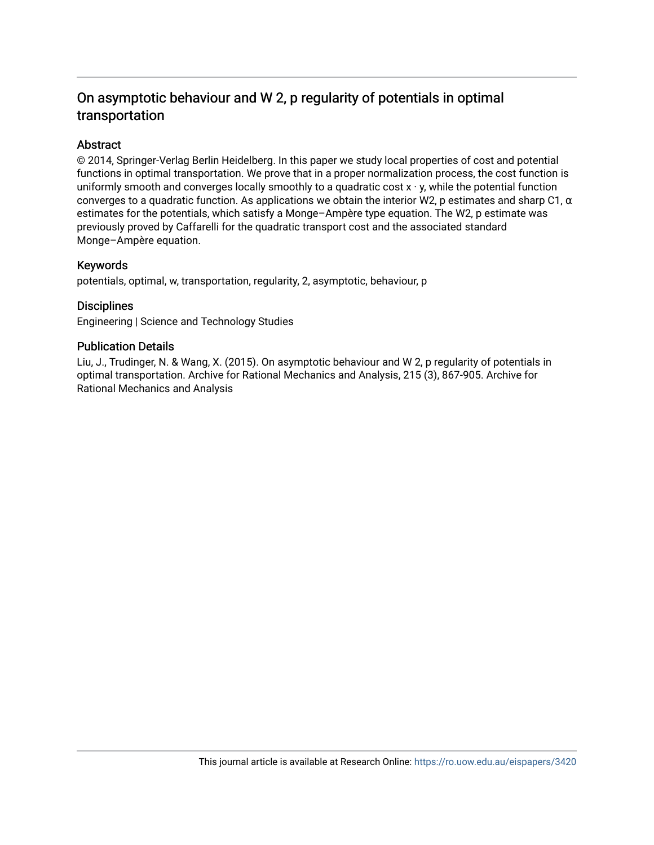## On asymptotic behaviour and W 2, p regularity of potentials in optimal transportation

## Abstract

© 2014, Springer-Verlag Berlin Heidelberg. In this paper we study local properties of cost and potential functions in optimal transportation. We prove that in a proper normalization process, the cost function is uniformly smooth and converges locally smoothly to a quadratic cost  $x \cdot y$ , while the potential function converges to a quadratic function. As applications we obtain the interior W2, p estimates and sharp C1,  $\alpha$ estimates for the potentials, which satisfy a Monge–Ampère type equation. The W2, p estimate was previously proved by Caffarelli for the quadratic transport cost and the associated standard Monge–Ampère equation.

## Keywords

potentials, optimal, w, transportation, regularity, 2, asymptotic, behaviour, p

## **Disciplines**

Engineering | Science and Technology Studies

## Publication Details

Liu, J., Trudinger, N. & Wang, X. (2015). On asymptotic behaviour and W 2, p regularity of potentials in optimal transportation. Archive for Rational Mechanics and Analysis, 215 (3), 867-905. Archive for Rational Mechanics and Analysis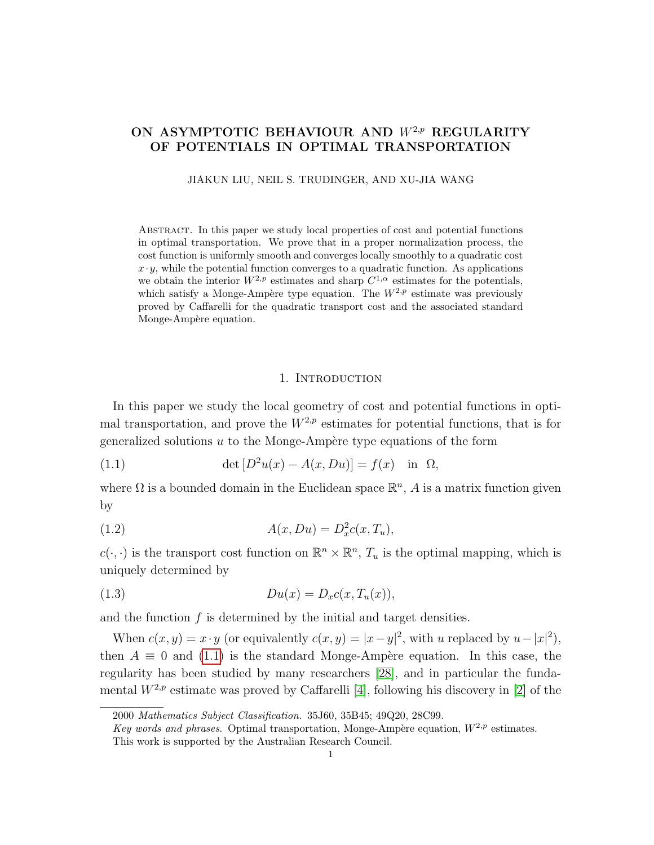## ON ASYMPTOTIC BEHAVIOUR AND  $W^{2,p}$  REGULARITY OF POTENTIALS IN OPTIMAL TRANSPORTATION

JIAKUN LIU, NEIL S. TRUDINGER, AND XU-JIA WANG

Abstract. In this paper we study local properties of cost and potential functions in optimal transportation. We prove that in a proper normalization process, the cost function is uniformly smooth and converges locally smoothly to a quadratic cost  $x \cdot y$ , while the potential function converges to a quadratic function. As applications we obtain the interior  $W^{2,p}$  estimates and sharp  $C^{1,\alpha}$  estimates for the potentials, which satisfy a Monge-Ampère type equation. The  $W^{2,p}$  estimate was previously proved by Caffarelli for the quadratic transport cost and the associated standard Monge-Ampère equation.

#### <span id="page-2-2"></span><span id="page-2-0"></span>1. INTRODUCTION

In this paper we study the local geometry of cost and potential functions in optimal transportation, and prove the  $W^{2,p}$  estimates for potential functions, that is for generalized solutions  $u$  to the Monge-Ampère type equations of the form

(1.1) 
$$
\det [D^2 u(x) - A(x, Du)] = f(x) \text{ in } \Omega,
$$

where  $\Omega$  is a bounded domain in the Euclidean space  $\mathbb{R}^n$ , A is a matrix function given by

(1.2) 
$$
A(x, Du) = D_x^2 c(x, T_u),
$$

 $c(\cdot, \cdot)$  is the transport cost function on  $\mathbb{R}^n \times \mathbb{R}^n$ ,  $T_u$  is the optimal mapping, which is uniquely determined by

<span id="page-2-1"></span>
$$
(1.3) \t\t D u(x) = D_x c(x, T_u(x)),
$$

and the function  $f$  is determined by the initial and target densities.

When  $c(x, y) = x \cdot y$  (or equivalently  $c(x, y) = |x - y|^2$ , with u replaced by  $u - |x|^2$ ), then  $A \equiv 0$  and [\(1.1\)](#page-2-0) is the standard Monge-Ampère equation. In this case, the regularity has been studied by many researchers [\[28\]](#page-41-0), and in particular the fundamental  $W^{2,p}$  estimate was proved by Caffarelli [\[4\]](#page-40-0), following his discovery in [\[2\]](#page-40-1) of the

<sup>2000</sup> Mathematics Subject Classification. 35J60, 35B45; 49Q20, 28C99.

Key words and phrases. Optimal transportation, Monge-Ampère equation,  $W^{2,p}$  estimates. This work is supported by the Australian Research Council.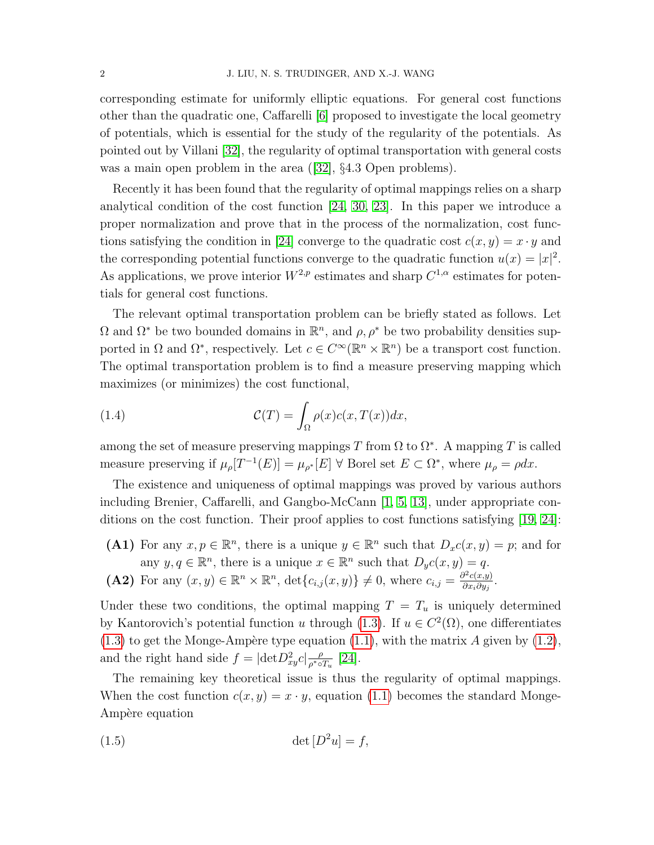corresponding estimate for uniformly elliptic equations. For general cost functions other than the quadratic one, Caffarelli [\[6\]](#page-40-2) proposed to investigate the local geometry of potentials, which is essential for the study of the regularity of the potentials. As pointed out by Villani [\[32\]](#page-41-1), the regularity of optimal transportation with general costs wasa main open problem in the area ([\[32\]](#page-41-1), §4.3 Open problems).

Recently it has been found that the regularity of optimal mappings relies on a sharp analytical condition of the cost function [\[24,](#page-41-2) [30,](#page-41-3) [23\]](#page-41-4). In this paper we introduce a proper normalization and prove that in the process of the normalization, cost func-tions satisfying the condition in [\[24\]](#page-41-2) converge to the quadratic cost  $c(x, y) = x \cdot y$  and the corresponding potential functions converge to the quadratic function  $u(x) = |x|^2$ . As applications, we prove interior  $W^{2,p}$  estimates and sharp  $C^{1,\alpha}$  estimates for potentials for general cost functions.

The relevant optimal transportation problem can be briefly stated as follows. Let  $\Omega$  and  $\Omega^*$  be two bounded domains in  $\mathbb{R}^n$ , and  $\rho$ ,  $\rho^*$  be two probability densities supported in  $\Omega$  and  $\Omega^*$ , respectively. Let  $c \in C^{\infty}(\mathbb{R}^n \times \mathbb{R}^n)$  be a transport cost function. The optimal transportation problem is to find a measure preserving mapping which maximizes (or minimizes) the cost functional,

<span id="page-3-1"></span>(1.4) 
$$
\mathcal{C}(T) = \int_{\Omega} \rho(x) c(x, T(x)) dx,
$$

among the set of measure preserving mappings T from  $\Omega$  to  $\Omega^*$ . A mapping T is called measure preserving if  $\mu_{\rho}[T^{-1}(E)] = \mu_{\rho^*}[E] \ \forall$  Borel set  $E \subset \Omega^*$ , where  $\mu_{\rho} = \rho dx$ .

The existence and uniqueness of optimal mappings was proved by various authors including Brenier, Caffarelli, and Gangbo-McCann [\[1,](#page-40-3) [5,](#page-40-4) [13\]](#page-40-5), under appropriate conditions on the cost function. Their proof applies to cost functions satisfying [\[19,](#page-41-5) [24\]](#page-41-2):

- (A1) For any  $x, p \in \mathbb{R}^n$ , there is a unique  $y \in \mathbb{R}^n$  such that  $D_x c(x, y) = p$ ; and for any  $y, q \in \mathbb{R}^n$ , there is a unique  $x \in \mathbb{R}^n$  such that  $D_y c(x, y) = q$ .
- (A2) For any  $(x, y) \in \mathbb{R}^n \times \mathbb{R}^n$ ,  $\det\{c_{i,j}(x, y)\}\neq 0$ , where  $c_{i,j} = \frac{\partial^2 c(x, y)}{\partial x_i \partial y_j}$  $\frac{\partial^2 c(x,y)}{\partial x_i \partial y_j}.$

Under these two conditions, the optimal mapping  $T = T_u$  is uniquely determined by Kantorovich's potential function u through [\(1.3\)](#page-2-1). If  $u \in C^2(\Omega)$ , one differentiates  $(1.3)$  to get the Monge-Ampère type equation  $(1.1)$ , with the matrix A given by  $(1.2)$ , and the right hand side  $f = |\text{det} D_{xy}^2 c| \frac{\rho}{\rho^* \circ \rho^*}$  $\frac{\rho}{\rho^*\circ T_u}$  [\[24\]](#page-41-2).

The remaining key theoretical issue is thus the regularity of optimal mappings. When the cost function  $c(x, y) = x \cdot y$ , equation [\(1.1\)](#page-2-0) becomes the standard Monge-Ampère equation

<span id="page-3-0"></span>
$$
(1.5) \qquad \qquad \det\left[D^2 u\right] = f,
$$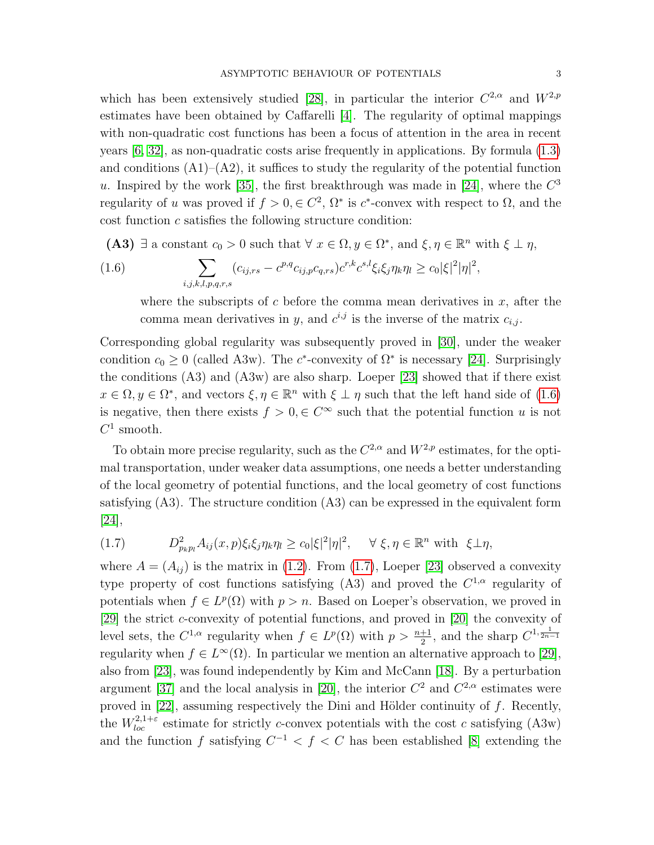which has been extensively studied [\[28\]](#page-41-0), in particular the interior  $C^{2,\alpha}$  and  $W^{2,p}$ estimates have been obtained by Caffarelli [\[4\]](#page-40-0). The regularity of optimal mappings with non-quadratic cost functions has been a focus of attention in the area in recent years [\[6,](#page-40-2) [32\]](#page-41-1), as non-quadratic costs arise frequently in applications. By formula [\(1.3\)](#page-2-1) and conditions  $(A1)$ – $(A2)$ , it suffices to study the regularity of the potential function u. Inspired by the work [\[35\]](#page-41-6), the first breakthrough was made in [\[24\]](#page-41-2), where the  $C^3$ regularity of u was proved if  $f > 0, \in \mathbb{C}^2$ ,  $\Omega^*$  is  $c^*$ -convex with respect to  $\Omega$ , and the cost function c satisfies the following structure condition:

(A3)  $\exists$  a constant  $c_0 > 0$  such that  $\forall x \in \Omega, y \in \Omega^*$ , and  $\xi, \eta \in \mathbb{R}^n$  with  $\xi \perp \eta$ ,

(1.6) 
$$
\sum_{i,j,k,l,p,q,r,s} (c_{ij,rs} - c^{p,q} c_{ij,p} c_{q,rs}) c^{r,k} c^{s,l} \xi_i \xi_j \eta_k \eta_l \ge c_0 |\xi|^2 |\eta|^2,
$$

<span id="page-4-0"></span>where the subscripts of c before the comma mean derivatives in  $x$ , after the comma mean derivatives in y, and  $c^{i,j}$  is the inverse of the matrix  $c_{i,j}$ .

Corresponding global regularity was subsequently proved in [\[30\]](#page-41-3), under the weaker condition  $c_0 \geq 0$  (called A3w). The c<sup>\*</sup>-convexity of  $\Omega^*$  is necessary [\[24\]](#page-41-2). Surprisingly the conditions (A3) and (A3w) are also sharp. Loeper [\[23\]](#page-41-4) showed that if there exist  $x \in \Omega, y \in \Omega^*$ , and vectors  $\xi, \eta \in \mathbb{R}^n$  with  $\xi \perp \eta$  such that the left hand side of [\(1.6\)](#page-4-0) is negative, then there exists  $f > 0, \in C^{\infty}$  such that the potential function u is not  $C^1$  smooth.

To obtain more precise regularity, such as the  $C^{2,\alpha}$  and  $W^{2,p}$  estimates, for the optimal transportation, under weaker data assumptions, one needs a better understanding of the local geometry of potential functions, and the local geometry of cost functions satisfying  $(A3)$ . The structure condition  $(A3)$  can be expressed in the equivalent form  $|24|,$ 

<span id="page-4-1"></span>(1.7) 
$$
D_{p_k p_l}^2 A_{ij}(x, p) \xi_i \xi_j \eta_k \eta_l \geq c_0 |\xi|^2 |\eta|^2, \quad \forall \xi, \eta \in \mathbb{R}^n \text{ with } \xi \perp \eta,
$$

where  $A = (A_{ij})$  is the matrix in [\(1.2\)](#page-2-2). From [\(1.7\)](#page-4-1), Loeper [\[23\]](#page-41-4) observed a convexity type property of cost functions satisfying (A3) and proved the  $C^{1,\alpha}$  regularity of potentials when  $f \in L^p(\Omega)$  with  $p > n$ . Based on Loeper's observation, we proved in [\[29\]](#page-41-7) the strict c-convexity of potential functions, and proved in [\[20\]](#page-41-8) the convexity of level sets, the  $C^{1,\alpha}$  regularity when  $f \in L^p(\Omega)$  with  $p > \frac{n+1}{2}$ , and the sharp  $C^{1,\frac{1}{2n-1}}$ regularity when  $f \in L^{\infty}(\Omega)$ . In particular we mention an alternative approach to [\[29\]](#page-41-7), also from [\[23\]](#page-41-4), was found independently by Kim and McCann [\[18\]](#page-41-9). By a perturbation argument [\[37\]](#page-41-10) and the local analysis in [\[20\]](#page-41-8), the interior  $C^2$  and  $C^{2,\alpha}$  estimates were proved in  $[22]$ , assuming respectively the Dini and Hölder continuity of f. Recently, the  $W_{loc}^{2,1+\epsilon}$  estimate for strictly c-convex potentials with the cost c satisfying (A3w) and the function f satisfying  $C^{-1} < f < C$  has been established [\[8\]](#page-40-6) extending the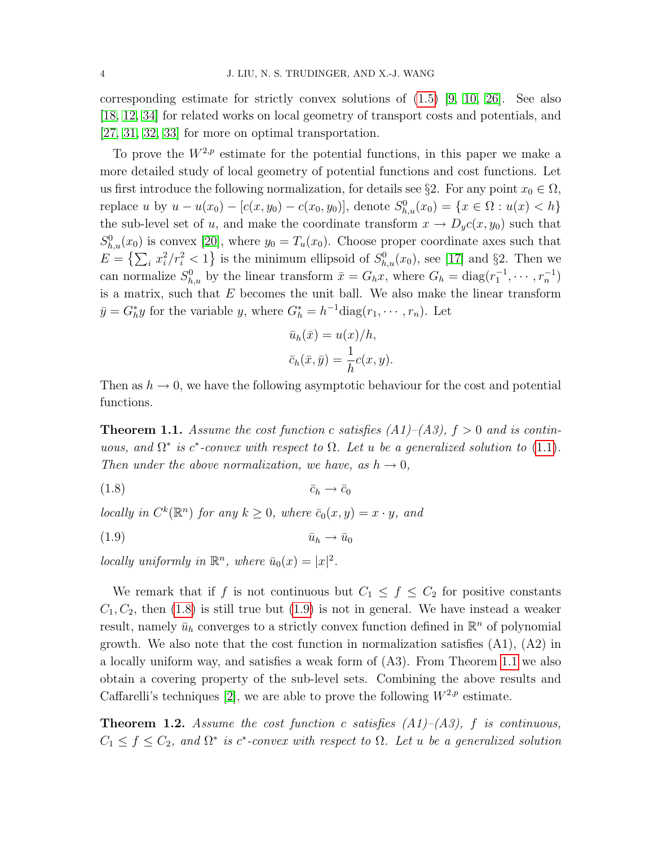corresponding estimate for strictly convex solutions of  $(1.5)$  [\[9,](#page-40-7) [10,](#page-40-8) [26\]](#page-41-12). See also [\[18,](#page-41-9) [12,](#page-40-9) [34\]](#page-41-13) for related works on local geometry of transport costs and potentials, and [\[27,](#page-41-14) [31,](#page-41-15) [32,](#page-41-1) [33\]](#page-41-16) for more on optimal transportation.

To prove the  $W^{2,p}$  estimate for the potential functions, in this paper we make a more detailed study of local geometry of potential functions and cost functions. Let us first introduce the following normalization, for details see §2. For any point  $x_0 \in \Omega$ , replace u by  $u - u(x_0) - [c(x, y_0) - c(x_0, y_0)],$  denote  $S_{h,u}^0(x_0) = \{x \in \Omega : u(x) < h\}$ the sub-level set of u, and make the coordinate transform  $x \to D_y c(x, y_0)$  such that  $S_{h,u}^0(x_0)$  is convex [\[20\]](#page-41-8), where  $y_0 = T_u(x_0)$ . Choose proper coordinate axes such that  $E = \left\{ \sum_i x_i^2 / r_i^2 < 1 \right\}$  is the minimum ellipsoid of  $S_{h,u}^0(x_0)$ , see [\[17\]](#page-40-10) and §2. Then we can normalize  $S_{h,u}^0$  by the linear transform  $\bar{x} = G_h x$ , where  $G_h = \text{diag}(r_1^{-1}, \dots, r_n^{-1})$ is a matrix, such that  $E$  becomes the unit ball. We also make the linear transform  $\bar{y} = G_h^* y$  for the variable y, where  $G_h^* = h^{-1} \text{diag}(r_1, \dots, r_n)$ . Let

<span id="page-5-1"></span><span id="page-5-0"></span>
$$
\bar{u}_h(\bar{x}) = u(x)/h,
$$
  

$$
\bar{c}_h(\bar{x}, \bar{y}) = \frac{1}{h}c(x, y).
$$

Then as  $h \to 0$ , we have the following asymptotic behaviour for the cost and potential functions.

<span id="page-5-2"></span>**Theorem 1.1.** Assume the cost function c satisfies  $(A1)$ – $(A3)$ ,  $f > 0$  and is continuous, and  $\Omega^*$  is  $c^*$ -convex with respect to  $\Omega$ . Let u be a generalized solution to [\(1.1\)](#page-2-0). Then under the above normalization, we have, as  $h \to 0$ ,

 $(1.8)$   $\bar{c}_h \rightarrow \bar{c}_0$ 

locally in  $C^k(\mathbb{R}^n)$  for any  $k \geq 0$ , where  $\bar{c}_0(x, y) = x \cdot y$ , and

$$
\bar{u}_h \to \bar{u}_0
$$

locally uniformly in  $\mathbb{R}^n$ , where  $\bar{u}_0(x) = |x|^2$ .

We remark that if f is not continuous but  $C_1 \leq f \leq C_2$  for positive constants  $C_1, C_2$ , then [\(1.8\)](#page-5-0) is still true but [\(1.9\)](#page-5-1) is not in general. We have instead a weaker result, namely  $\bar{u}_h$  converges to a strictly convex function defined in  $\mathbb{R}^n$  of polynomial growth. We also note that the cost function in normalization satisfies (A1), (A2) in a locally uniform way, and satisfies a weak form of (A3). From Theorem [1.1](#page-5-2) we also obtain a covering property of the sub-level sets. Combining the above results and Caffarelli's techniques [\[2\]](#page-40-1), we are able to prove the following  $W^{2,p}$  estimate.

<span id="page-5-3"></span>**Theorem 1.2.** Assume the cost function c satisfies  $(A1)$ – $(A3)$ , f is continuous,  $C_1 \leq f \leq C_2$ , and  $\Omega^*$  is c<sup>\*</sup>-convex with respect to  $\Omega$ . Let u be a generalized solution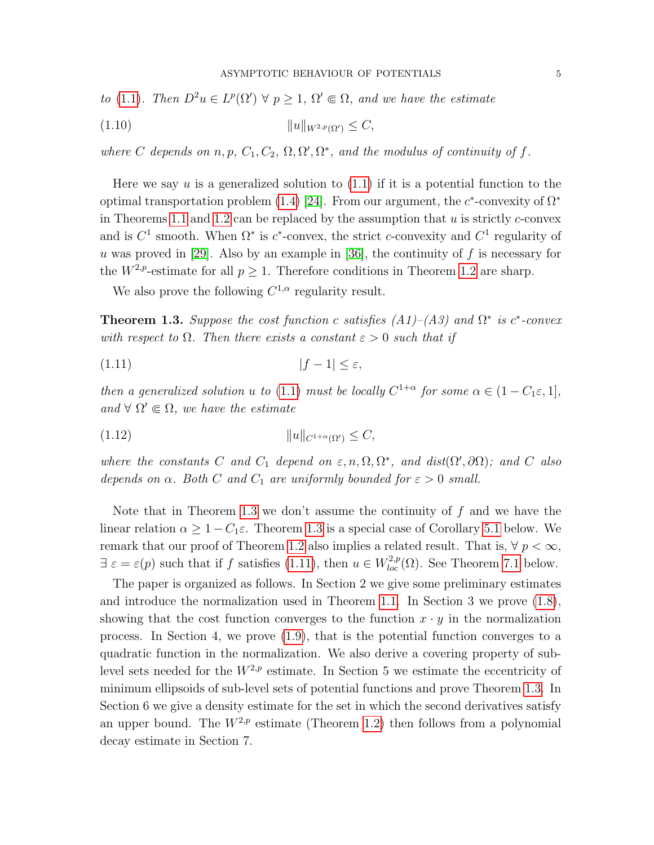to (1.1). Then 
$$
D^2u \in L^p(\Omega') \ \forall \ p \geq 1
$$
,  $\Omega' \Subset \Omega$ , and we have the estimate

$$
(1.10) \t\t\t ||u||_{W^{2,p}(\Omega')} \leq C,
$$

where C depends on n, p,  $C_1, C_2, \Omega, \Omega', \Omega^*$ , and the modulus of continuity of f.

Here we say u is a generalized solution to  $(1.1)$  if it is a potential function to the optimal transportation problem [\(1.4\)](#page-3-1) [\[24\]](#page-41-2). From our argument, the  $c^*$ -convexity of  $\Omega^*$ in Theorems [1.1](#page-5-2) and [1.2](#page-5-3) can be replaced by the assumption that  $u$  is strictly  $c$ -convex and is  $C^1$  smooth. When  $\Omega^*$  is  $c^*$ -convex, the strict c-convexity and  $C^1$  regularity of u was proved in [\[29\]](#page-41-7). Also by an example in [\[36\]](#page-41-17), the continuity of  $f$  is necessary for the  $W^{2,p}$ -estimate for all  $p \geq 1$ . Therefore conditions in Theorem [1.2](#page-5-3) are sharp.

<span id="page-6-1"></span>We also prove the following  $C^{1,\alpha}$  regularity result.

<span id="page-6-0"></span>**Theorem 1.3.** Suppose the cost function c satisfies  $(A1)$ – $(A3)$  and  $\Omega^*$  is c<sup>\*</sup>-convex with respect to  $\Omega$ . Then there exists a constant  $\varepsilon > 0$  such that if

$$
(1.11) \t\t |f-1| \le \varepsilon,
$$

then a generalized solution u to [\(1.1\)](#page-2-0) must be locally  $C^{1+\alpha}$  for some  $\alpha \in (1 - C_1 \varepsilon, 1]$ , and  $\forall \Omega' \in \Omega$ , we have the estimate

(1.12) kukC1+α(Ω0) ≤ C,

where the constants C and  $C_1$  depend on  $\varepsilon, n, \Omega, \Omega^*$ , and  $dist(\Omega', \partial \Omega)$ ; and C also depends on  $\alpha$ . Both C and  $C_1$  are uniformly bounded for  $\varepsilon > 0$  small.

Note that in Theorem [1.3](#page-6-0) we don't assume the continuity of  $f$  and we have the linear relation  $\alpha > 1 - C_1 \varepsilon$ . Theorem [1.3](#page-6-0) is a special case of Corollary [5.1](#page-31-0) below. We remark that our proof of Theorem [1.2](#page-5-3) also implies a related result. That is,  $\forall p < \infty$ ,  $\exists \varepsilon = \varepsilon(p)$  such that if f satisfies [\(1.11\)](#page-6-1), then  $u \in W_{loc}^{2,p}(\Omega)$ . See Theorem [7.1](#page-40-11) below.

The paper is organized as follows. In Section 2 we give some preliminary estimates and introduce the normalization used in Theorem [1.1.](#page-5-2) In Section 3 we prove [\(1.8\)](#page-5-0), showing that the cost function converges to the function  $x \cdot y$  in the normalization process. In Section 4, we prove [\(1.9\)](#page-5-1), that is the potential function converges to a quadratic function in the normalization. We also derive a covering property of sublevel sets needed for the  $W^{2,p}$  estimate. In Section 5 we estimate the eccentricity of minimum ellipsoids of sub-level sets of potential functions and prove Theorem [1.3.](#page-6-0) In Section 6 we give a density estimate for the set in which the second derivatives satisfy an upper bound. The  $W^{2,p}$  estimate (Theorem [1.2\)](#page-5-3) then follows from a polynomial decay estimate in Section 7.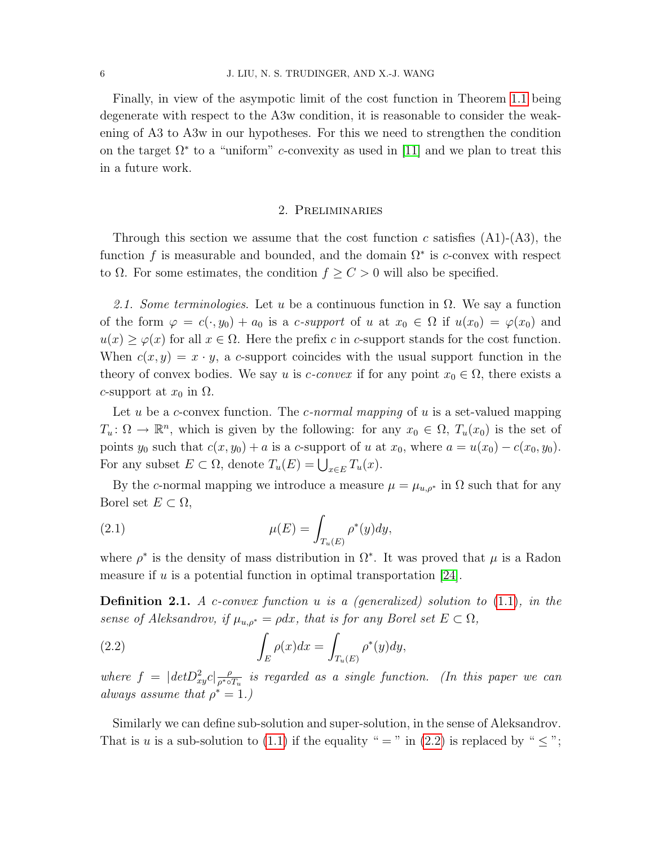Finally, in view of the asympotic limit of the cost function in Theorem [1.1](#page-5-2) being degenerate with respect to the A3w condition, it is reasonable to consider the weakening of A3 to A3w in our hypotheses. For this we need to strengthen the condition on the target  $\Omega^*$  to a "uniform" *c*-convexity as used in [\[11\]](#page-40-12) and we plan to treat this in a future work.

#### 2. Preliminaries

Through this section we assume that the cost function c satisfies  $(A1)-(A3)$ , the function f is measurable and bounded, and the domain  $\Omega^*$  is c-convex with respect to  $\Omega$ . For some estimates, the condition  $f \geq C > 0$  will also be specified.

2.1. Some terminologies. Let u be a continuous function in  $\Omega$ . We say a function of the form  $\varphi = c(\cdot, y_0) + a_0$  is a c-support of u at  $x_0 \in \Omega$  if  $u(x_0) = \varphi(x_0)$  and  $u(x) \geq \varphi(x)$  for all  $x \in \Omega$ . Here the prefix c in c-support stands for the cost function. When  $c(x, y) = x \cdot y$ , a c-support coincides with the usual support function in the theory of convex bodies. We say u is *c*-convex if for any point  $x_0 \in \Omega$ , there exists a c-support at  $x_0$  in  $\Omega$ .

Let u be a c-convex function. The c-normal mapping of u is a set-valued mapping  $T_u: \Omega \to \mathbb{R}^n$ , which is given by the following: for any  $x_0 \in \Omega$ ,  $T_u(x_0)$  is the set of points y<sub>0</sub> such that  $c(x, y_0) + a$  is a c-support of u at  $x_0$ , where  $a = u(x_0) - c(x_0, y_0)$ . For any subset  $E \subset \Omega$ , denote  $T_u(E) = \bigcup_{x \in E} T_u(x)$ .

By the c-normal mapping we introduce a measure  $\mu = \mu_{u,\rho^*}$  in  $\Omega$  such that for any Borel set  $E \subset \Omega$ ,

<span id="page-7-1"></span>(2.1) 
$$
\mu(E) = \int_{T_u(E)} \rho^*(y) dy,
$$

where  $\rho^*$  is the density of mass distribution in  $\Omega^*$ . It was proved that  $\mu$  is a Radon measure if u is a potential function in optimal transportation  $[24]$ .

**Definition 2.1.** A c-convex function u is a (generalized) solution to  $(1.1)$ , in the sense of Aleksandrov, if  $\mu_{u,\rho^*} = \rho dx$ , that is for any Borel set  $E \subset \Omega$ ,

<span id="page-7-0"></span>(2.2) 
$$
\int_{E} \rho(x) dx = \int_{T_u(E)} \rho^*(y) dy,
$$

where  $f = |detD_{xy}^2 c| \frac{\rho}{\rho^* \circ \rho^*}$  $\frac{\rho}{\rho^{*} \circ T_{u}}$  is regarded as a single function. (In this paper we can always assume that  $\rho^* = 1$ .)

Similarly we can define sub-solution and super-solution, in the sense of Aleksandrov. That is u is a sub-solution to [\(1.1\)](#page-2-0) if the equality " = " in [\(2.2\)](#page-7-0) is replaced by "  $\leq$ ";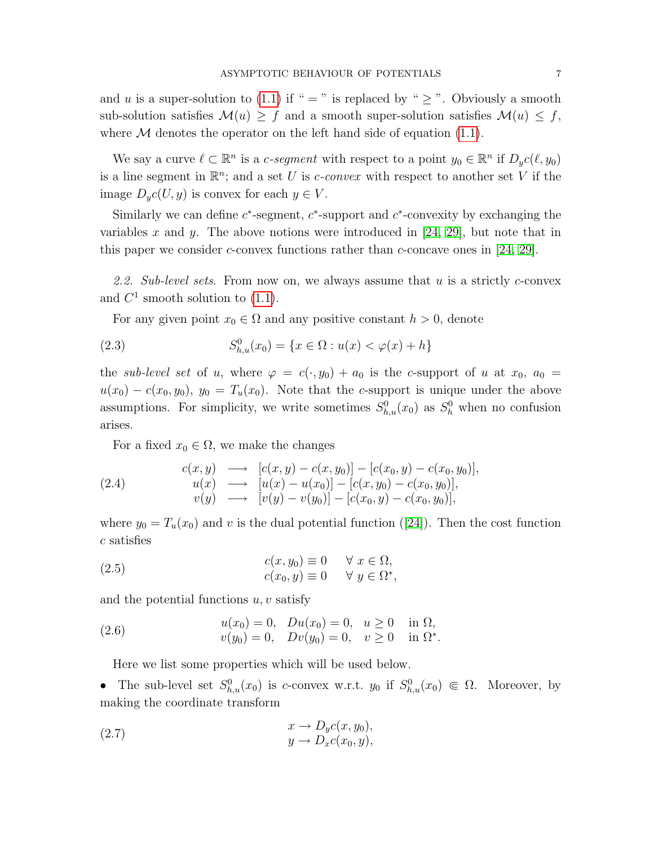and u is a super-solution to [\(1.1\)](#page-2-0) if " = " is replaced by "  $\geq$  ". Obviously a smooth sub-solution satisfies  $\mathcal{M}(u) \geq f$  and a smooth super-solution satisfies  $\mathcal{M}(u) \leq f$ , where  $M$  denotes the operator on the left hand side of equation [\(1.1\)](#page-2-0).

We say a curve  $\ell \subset \mathbb{R}^n$  is a c-segment with respect to a point  $y_0 \in \mathbb{R}^n$  if  $D_y c(\ell, y_0)$ is a line segment in  $\mathbb{R}^n$ ; and a set U is c-convex with respect to another set V if the image  $D_yc(U, y)$  is convex for each  $y \in V$ .

Similarly we can define  $c^*$ -segment,  $c^*$ -support and  $c^*$ -convexity by exchanging the variables x and y. The above notions were introduced in [\[24,](#page-41-2) [29\]](#page-41-7), but note that in this paper we consider c-convex functions rather than c-concave ones in  $[24, 29]$  $[24, 29]$ .

2.2. Sub-level sets. From now on, we always assume that  $u$  is a strictly c-convex and  $C^1$  smooth solution to [\(1.1\)](#page-2-0).

For any given point  $x_0 \in \Omega$  and any positive constant  $h > 0$ , denote

(2.3) 
$$
S_{h,u}^{0}(x_0) = \{x \in \Omega : u(x) < \varphi(x) + h\}
$$

the sub-level set of u, where  $\varphi = c(\cdot, y_0) + a_0$  is the c-support of u at  $x_0$ ,  $a_0 =$  $u(x_0) - c(x_0, y_0)$ ,  $y_0 = T_u(x_0)$ . Note that the c-support is unique under the above assumptions. For simplicity, we write sometimes  $S_{h,u}^0(x_0)$  as  $S_h^0$  when no confusion arises.

<span id="page-8-1"></span>For a fixed  $x_0 \in \Omega$ , we make the changes

(2.4) 
$$
c(x, y) \longrightarrow [c(x, y) - c(x, y_0)] - [c(x_0, y) - c(x_0, y_0)],
$$

$$
u(x) \longrightarrow [u(x) - u(x_0)] - [c(x, y_0) - c(x_0, y_0)],
$$

$$
v(y) \longrightarrow [v(y) - v(y_0)] - [c(x_0, y) - c(x_0, y_0)],
$$

where $y_0 = T_u(x_0)$  and v is the dual potential function ([\[24\]](#page-41-2)). Then the cost function c satisfies

<span id="page-8-2"></span>(2.5) 
$$
c(x, y_0) \equiv 0 \quad \forall x \in \Omega, c(x_0, y) \equiv 0 \quad \forall y \in \Omega^*,
$$

and the potential functions  $u, v$  satisfy

(2.6) 
$$
u(x_0) = 0, \quad Du(x_0) = 0, \quad u \ge 0 \quad \text{in } \Omega, v(y_0) = 0, \quad Dv(y_0) = 0, \quad v \ge 0 \quad \text{in } \Omega^*.
$$

<span id="page-8-3"></span><span id="page-8-0"></span>Here we list some properties which will be used below.

• The sub-level set  $S_{h,u}^0(x_0)$  is c-convex w.r.t.  $y_0$  if  $S_{h,u}^0(x_0) \in \Omega$ . Moreover, by making the coordinate transform

(2.7) 
$$
x \to D_y c(x, y_0),
$$

$$
y \to D_x c(x_0, y),
$$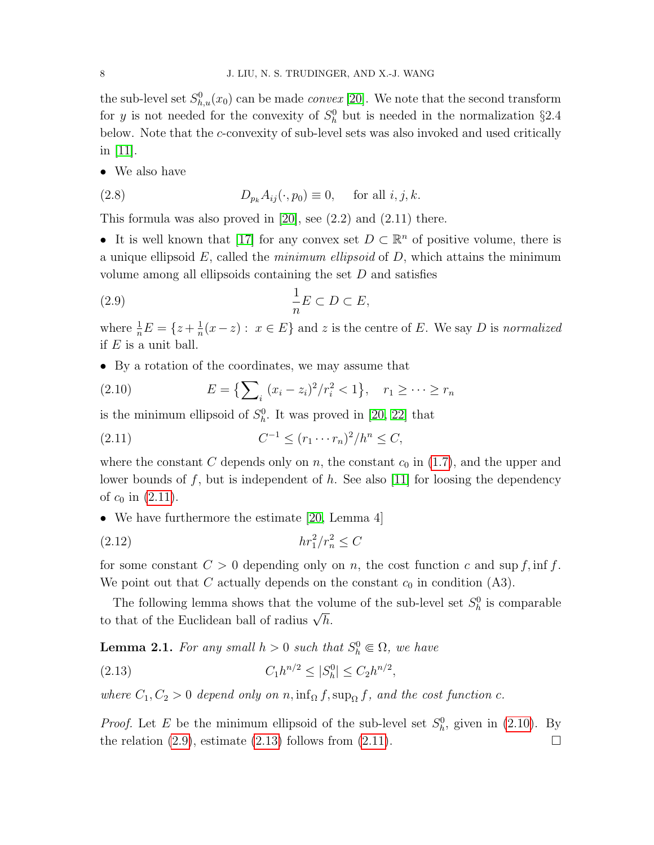the sub-level set  $S_{h,u}^0(x_0)$  can be made *convex* [\[20\]](#page-41-8). We note that the second transform for y is not needed for the convexity of  $S_h^0$  but is needed in the normalization §2.4 below. Note that the c-convexity of sub-level sets was also invoked and used critically in [\[11\]](#page-40-12).

• We also have

<span id="page-9-4"></span>(2.8) 
$$
D_{p_k} A_{ij}(\cdot, p_0) \equiv 0, \quad \text{for all } i, j, k.
$$

This formula was also proved in [\[20\]](#page-41-8), see (2.2) and (2.11) there.

• It is well known that [\[17\]](#page-40-10) for any convex set  $D \subset \mathbb{R}^n$  of positive volume, there is a unique ellipsoid  $E$ , called the *minimum ellipsoid* of  $D$ , which attains the minimum volume among all ellipsoids containing the set  $D$  and satisfies

<span id="page-9-2"></span>
$$
\frac{1}{n}E \subset D \subset E,
$$

where  $\frac{1}{n}E = \{z + \frac{1}{n}\}$  $\frac{1}{n}(x-z) : x \in E$  and z is the centre of E. We say D is normalized if  $E$  is a unit ball.

• By a rotation of the coordinates, we may assume that

<span id="page-9-1"></span>(2.10) 
$$
E = \{ \sum_{i} (x_i - z_i)^2 / r_i^2 < 1 \}, \quad r_1 \geq \cdots \geq r_n
$$

is the minimum ellipsoid of  $S_h^0$ . It was proved in [\[20,](#page-41-8) [22\]](#page-41-11) that

<span id="page-9-0"></span>(2.11) 
$$
C^{-1} \le (r_1 \cdots r_n)^2 / h^n \le C,
$$

where the constant C depends only on n, the constant  $c_0$  in  $(1.7)$ , and the upper and lower bounds of f, but is independent of  $h$ . See also [\[11\]](#page-40-12) for loosing the dependency of  $c_0$  in  $(2.11)$ .

• We have furthermore the estimate [\[20,](#page-41-8) Lemma 4]

<span id="page-9-5"></span>
$$
(2.12)\qquad \qquad hr_1^2/r_n^2 \le C
$$

for some constant  $C > 0$  depending only on n, the cost function c and sup f, inf f. We point out that C actually depends on the constant  $c_0$  in condition (A3).

The following lemma shows that the volume of the sub-level set  $S_h^0$  is comparable The following femma shows that the volto that of the Euclidean ball of radius  $\sqrt{h}$ .

**Lemma 2.1.** For any small  $h > 0$  such that  $S_h^0 \\\in \Omega$ , we have

<span id="page-9-3"></span>(2.13) 
$$
C_1h^{n/2} \le |S_h^0| \le C_2h^{n/2},
$$

where  $C_1, C_2 > 0$  depend only on n, inf<sub>Ω</sub> f, sup<sub>Ω</sub> f, and the cost function c.

*Proof.* Let E be the minimum ellipsoid of the sub-level set  $S_h^0$ , given in [\(2.10\)](#page-9-1). By the relation  $(2.9)$ , estimate  $(2.13)$  follows from  $(2.11)$ .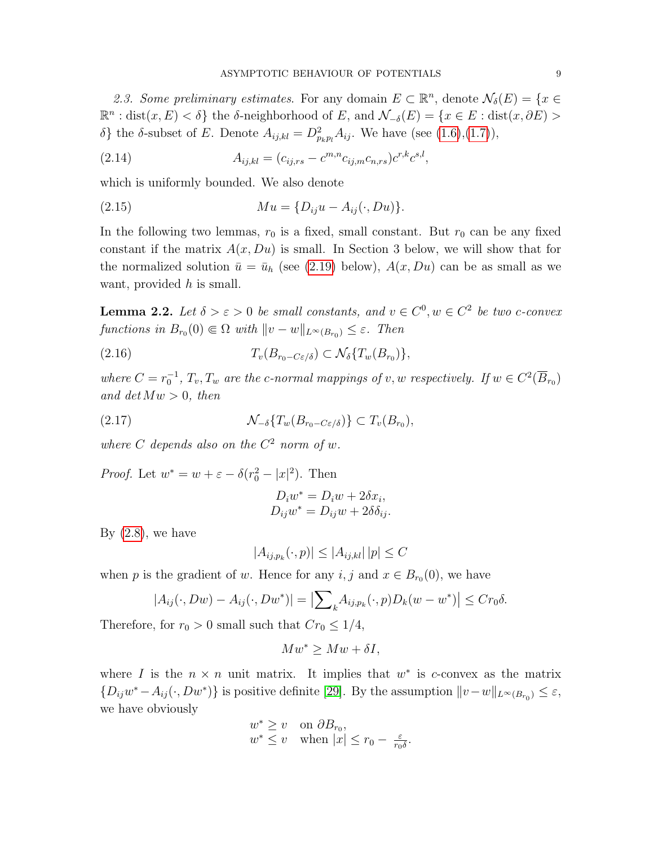2.3. Some preliminary estimates. For any domain  $E \subset \mathbb{R}^n$ , denote  $\mathcal{N}_{\delta}(E) = \{x \in$  $\mathbb{R}^n$ : dist $(x, E) < \delta$  the  $\delta$ -neighborhood of E, and  $\mathcal{N}_{-\delta}(E) = \{x \in E : \text{dist}(x, \partial E) >$ δ} the δ-subset of E. Denote  $A_{ij,kl} = D^2_{p_kp_l} A_{ij}$ . We have (see [\(1.6\)](#page-4-0),[\(1.7\)](#page-4-1)),

(2.14) 
$$
A_{ij,kl} = (c_{ij,rs} - c^{m,n} c_{ij,m} c_{n,rs}) c^{r,k} c^{s,l},
$$

which is uniformly bounded. We also denote

<span id="page-10-1"></span>(2.15) 
$$
Mu = \{D_{ij}u - A_{ij}(\cdot, Du)\}.
$$

In the following two lemmas,  $r_0$  is a fixed, small constant. But  $r_0$  can be any fixed constant if the matrix  $A(x, Du)$  is small. In Section 3 below, we will show that for the normalized solution  $\bar{u} = \bar{u}_h$  (see [\(2.19\)](#page-12-0) below),  $A(x, Du)$  can be as small as we want, provided  $h$  is small.

<span id="page-10-2"></span>**Lemma 2.2.** Let  $\delta > \varepsilon > 0$  be small constants, and  $v \in C^0, w \in C^2$  be two c-convex functions in  $B_{r_0}(0) \in \Omega$  with  $||v - w||_{L^{\infty}(B_{r_0})} \leq \varepsilon$ . Then

$$
(2.16) \t\t T_v(B_{r_0-C\varepsilon/\delta}) \subset \mathcal{N}_\delta\{T_w(B_{r_0})\},\,
$$

where  $C = r_0^{-1}$ ,  $T_v$ ,  $T_w$  are the c-normal mappings of v, w respectively. If  $w \in C^2(\overline{B}_{r_0})$ and  $det Mw > 0$ , then

(2.17) N<sup>−</sup>δ{Tw(B<sup>r</sup>0−Cε/δ)} ⊂ Tv(B<sup>r</sup><sup>0</sup> ),

where C depends also on the  $C^2$  norm of w.

*Proof.* Let  $w^* = w + \varepsilon - \delta(r_0^2 - |x|^2)$ . Then

<span id="page-10-0"></span>
$$
D_i w^* = D_i w + 2\delta x_i,
$$
  
\n
$$
D_{ij} w^* = D_{ij} w + 2\delta \delta_{ij}.
$$

By  $(2.8)$ , we have

$$
|A_{ij,p_k}(\cdot, p)| \le |A_{ij,kl}| \, |p| \le C
$$

when p is the gradient of w. Hence for any  $i, j$  and  $x \in B_{r_0}(0)$ , we have

$$
|A_{ij}(\cdot,Dw)-A_{ij}(\cdot,Dw^*)|=|\sum\nolimits_k A_{ij,p_k}(\cdot,p)D_k(w-w^*)|\leq Cr_0\delta.
$$

Therefore, for  $r_0 > 0$  small such that  $Cr_0 \leq 1/4$ ,

$$
Mw^* \geq Mw + \delta I,
$$

where I is the  $n \times n$  unit matrix. It implies that  $w^*$  is c-convex as the matrix  $\{D_{ij}w^* - A_{ij}(\cdot, Dw^*)\}$  is positive definite [\[29\]](#page-41-7). By the assumption  $||v-w||_{L^{\infty}(B_{r_0})} \leq \varepsilon$ , we have obviously

$$
\begin{array}{ll} w^* \geq v & \textrm{on $\partial B_{r_0}$,}\\ w^* \leq v & \textrm{when $|x| \leq r_0 - \frac{\varepsilon}{r_0 \delta}$.}\end{array}
$$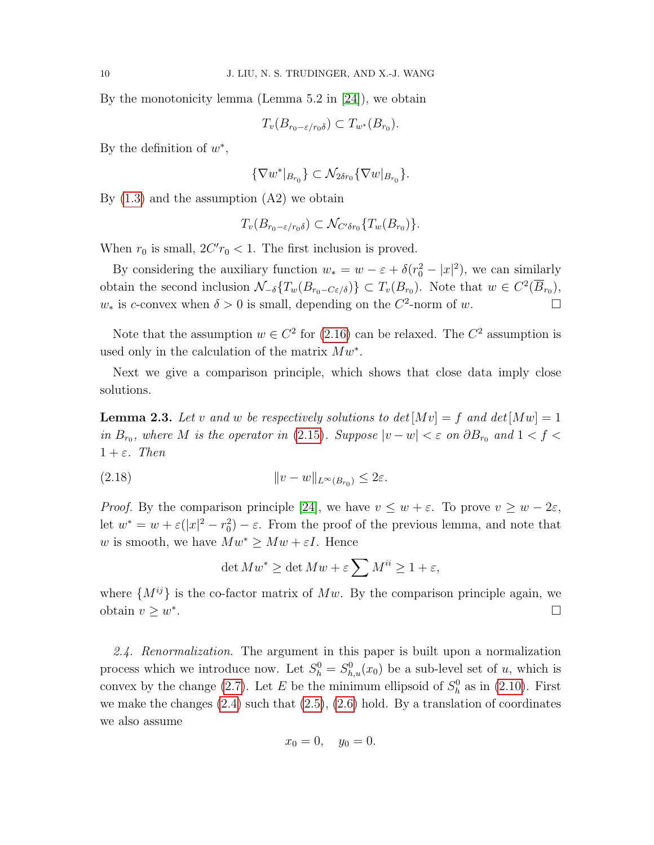By the monotonicity lemma (Lemma 5.2 in [\[24\]](#page-41-2)), we obtain

$$
T_v(B_{r_0-\varepsilon/r_0\delta}) \subset T_{w^*}(B_{r_0}).
$$

By the definition of  $w^*$ ,

$$
\{\nabla w^*|_{B_{r_0}}\} \subset \mathcal{N}_{2\delta r_0} \{\nabla w|_{B_{r_0}}\}.
$$

By  $(1.3)$  and the assumption  $(A2)$  we obtain

$$
T_v(B_{r_0-\varepsilon/r_0\delta}) \subset \mathcal{N}_{C'\delta r_0}\{T_w(B_{r_0})\}.
$$

When  $r_0$  is small,  $2C'r_0 < 1$ . The first inclusion is proved.

By considering the auxiliary function  $w_* = w - \varepsilon + \delta (r_0^2 - |x|^2)$ , we can similarly obtain the second inclusion  $\mathcal{N}_{-\delta}\lbrace T_w(B_{r_0-C\epsilon/\delta})\rbrace \subset T_v(B_{r_0})$ . Note that  $w \in C^2(\overline{B}_{r_0})$ ,  $w_*$  is c-convex when  $\delta > 0$  is small, depending on the  $C^2$ -norm of w.

Note that the assumption  $w \in C^2$  for [\(2.16\)](#page-10-0) can be relaxed. The  $C^2$  assumption is used only in the calculation of the matrix  $Mw^*$ .

Next we give a comparison principle, which shows that close data imply close solutions.

<span id="page-11-0"></span>**Lemma 2.3.** Let v and w be respectively solutions to  $det[Mv] = f$  and  $det[Mw] = 1$ in  $B_{r_0}$ , where M is the operator in [\(2.15\)](#page-10-1). Suppose  $|v - w| < \varepsilon$  on  $\partial B_{r_0}$  and  $1 < f <$  $1 + \varepsilon$ . Then

$$
(2.18) \t\t\t ||v - w||_{L^{\infty}(B_{r_0})} \leq 2\varepsilon.
$$

*Proof.* By the comparison principle [\[24\]](#page-41-2), we have  $v \leq w + \varepsilon$ . To prove  $v \geq w - 2\varepsilon$ , let  $w^* = w + \varepsilon(|x|^2 - r_0^2) - \varepsilon$ . From the proof of the previous lemma, and note that w is smooth, we have  $Mw^* \geq Mw + \varepsilon I$ . Hence

$$
\det Mw^* \ge \det Mw + \varepsilon \sum M^{ii} \ge 1 + \varepsilon,
$$

where  $\{M^{ij}\}\$ is the co-factor matrix of Mw. By the comparison principle again, we obtain  $v \geq w^*$ .

2.4. Renormalization. The argument in this paper is built upon a normalization process which we introduce now. Let  $S_h^0 = S_{h,u}^0(x_0)$  be a sub-level set of u, which is convex by the change [\(2.7\)](#page-8-0). Let E be the minimum ellipsoid of  $S_h^0$  as in [\(2.10\)](#page-9-1). First we make the changes  $(2.4)$  such that  $(2.5)$ ,  $(2.6)$  hold. By a translation of coordinates we also assume

$$
x_0 = 0, \quad y_0 = 0.
$$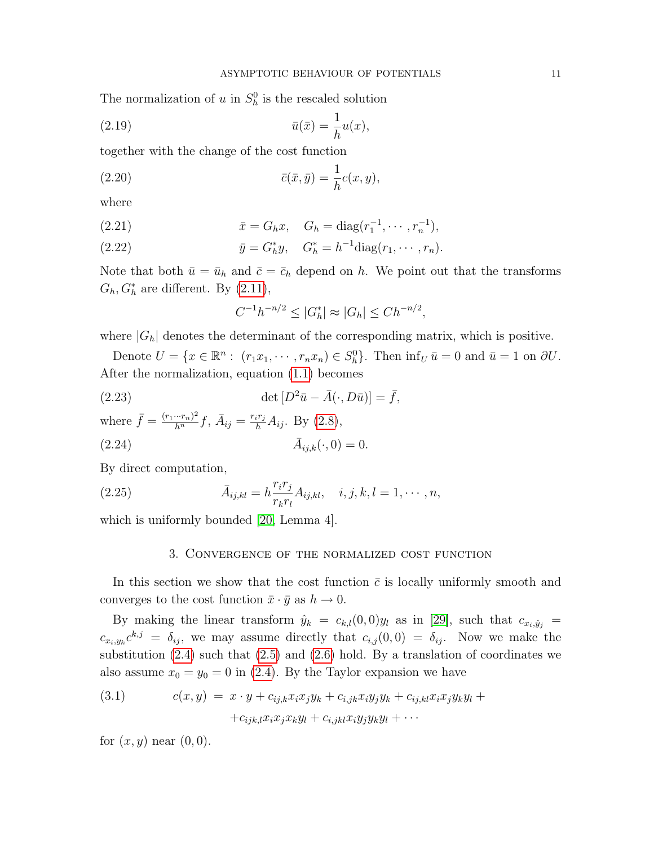The normalization of u in  $S_h^0$  is the rescaled solution

<span id="page-12-0"></span>
$$
\bar{u}(\bar{x}) = \frac{1}{h}u(x),
$$
\n
$$
\bar{u}(\bar{x}) = \frac{1}{h}u(x),
$$

together with the change of the cost function

(2.20) 
$$
\bar{c}(\bar{x},\bar{y}) = \frac{1}{h}c(x,y),
$$

where

(2.21) 
$$
\bar{x} = G_h x, \quad G_h = \text{diag}(r_1^{-1}, \cdots, r_n^{-1}),
$$

(2.22) 
$$
\bar{y} = G_h^* y, \quad G_h^* = h^{-1} \text{diag}(r_1, \cdots, r_n).
$$

Note that both  $\bar{u} = \bar{u}_h$  and  $\bar{c} = \bar{c}_h$  depend on h. We point out that the transforms  $G_h, G_h^*$  are different. By  $(2.11)$ ,

<span id="page-12-4"></span><span id="page-12-2"></span>
$$
C^{-1}h^{-n/2} \le |G_h^*| \approx |G_h| \le Ch^{-n/2},
$$

where  $|G_h|$  denotes the determinant of the corresponding matrix, which is positive.

Denote  $U = \{x \in \mathbb{R}^n : (r_1x_1, \dots, r_nx_n) \in S_h^0\}$ . Then  $\inf_U \bar{u} = 0$  and  $\bar{u} = 1$  on  $\partial U$ . After the normalization, equation [\(1.1\)](#page-2-0) becomes

(2.23) 
$$
\det [D^2 \bar{u} - \bar{A}(\cdot, D\bar{u})] = \bar{f},
$$

where  $\bar{f} = \frac{(r_1 \cdots r_n)^2}{h^n} f$ ,  $\bar{A}_{ij} = \frac{r_i r_j}{h} A_{ij}$ . By [\(2.8\)](#page-9-4),  $(2.24)$  $\bar{A}_{ijk}(\cdot, 0) = 0.$ 

By direct computation,

(2.25) 
$$
\bar{A}_{ij,kl} = h \frac{r_i r_j}{r_k r_l} A_{ij,kl}, \quad i, j, k, l = 1, \cdots, n,
$$

which is uniformly bounded [\[20,](#page-41-8) Lemma 4].

#### <span id="page-12-3"></span>3. Convergence of the normalized cost function

In this section we show that the cost function  $\bar{c}$  is locally uniformly smooth and converges to the cost function  $\bar{x} \cdot \bar{y}$  as  $h \to 0$ .

By making the linear transform  $\hat{y}_k = c_{k,l}(0,0)y_l$  as in [\[29\]](#page-41-7), such that  $c_{x_i,\hat{y}_j}$  =  $c_{x_i,y_k}c^{k,j} = \delta_{ij}$ , we may assume directly that  $c_{i,j}(0,0) = \delta_{ij}$ . Now we make the substitution  $(2.4)$  such that  $(2.5)$  and  $(2.6)$  hold. By a translation of coordinates we also assume  $x_0 = y_0 = 0$  in [\(2.4\)](#page-8-1). By the Taylor expansion we have

<span id="page-12-1"></span>(3.1) 
$$
c(x,y) = x \cdot y + c_{ij,k}x_ix_jy_k + c_{i,jk}x_iy_jy_k + c_{ij,kl}x_ix_jy_ky_l + c_{ijk,l}x_ix_jx_ky_l + c_{ijk,l}x_ix_jy_ky_l + \cdots
$$

for  $(x, y)$  near  $(0, 0)$ .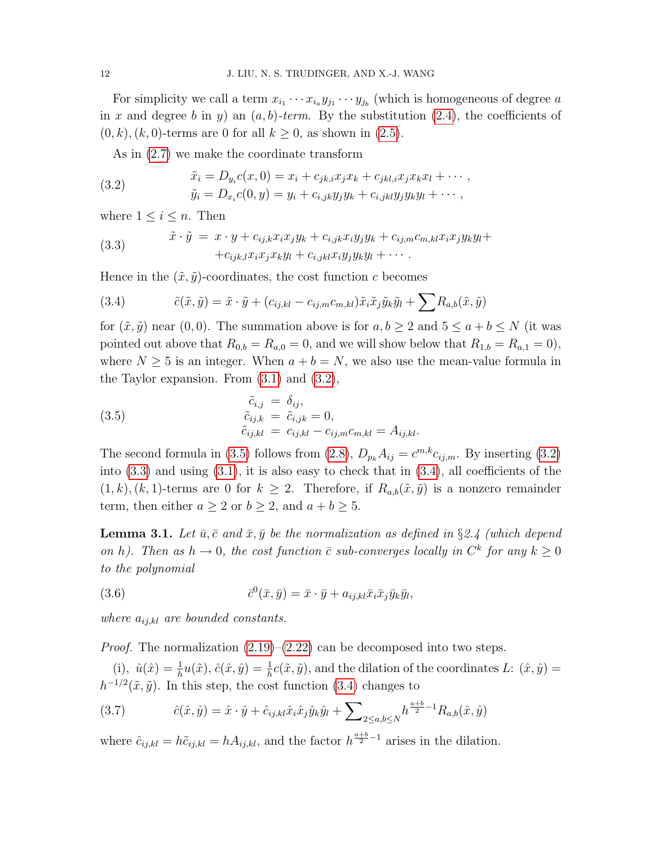For simplicity we call a term  $x_{i_1} \cdots x_{i_n} y_{j_1} \cdots y_{j_b}$  (which is homogeneous of degree a in x and degree b in y) an  $(a, b)$ -term. By the substitution  $(2.4)$ , the coefficients of  $(0, k), (k, 0)$ -terms are 0 for all  $k \geq 0$ , as shown in  $(2.5)$ .

<span id="page-13-0"></span>As in [\(2.7\)](#page-8-0) we make the coordinate transform

(3.2) 
$$
\tilde{x}_i = D_{y_i}c(x, 0) = x_i + c_{jk,i}x_jx_k + c_{jkl,i}x_jx_kx_l + \cdots, \n\tilde{y}_i = D_{x_i}c(0, y) = y_i + c_{i,jk}y_jy_k + c_{i,jkl}y_jy_ky_l + \cdots,
$$

where  $1 \leq i \leq n$ . Then

<span id="page-13-2"></span>(3.3) 
$$
\tilde{x} \cdot \tilde{y} = x \cdot y + c_{ij,k} x_i x_j y_k + c_{i,jk} x_i y_j y_k + c_{ij,m} c_{m,kl} x_i x_j y_k y_l + c_{ij,k,l} x_i x_j x_k y_l + c_{i,jkl} x_i y_j y_k y_l + \cdots
$$

Hence in the  $(\tilde{x}, \tilde{y})$ -coordinates, the cost function c becomes

<span id="page-13-3"></span>(3.4) 
$$
\tilde{c}(\tilde{x}, \tilde{y}) = \tilde{x} \cdot \tilde{y} + (c_{ij,kl} - c_{ij,m}c_{m,kl})\tilde{x}_i \tilde{x}_j \tilde{y}_k \tilde{y}_l + \sum R_{a,b}(\tilde{x}, \tilde{y})
$$

for  $(\tilde{x}, \tilde{y})$  near  $(0, 0)$ . The summation above is for  $a, b \geq 2$  and  $5 \leq a + b \leq N$  (it was pointed out above that  $R_{0,b} = R_{a,0} = 0$ , and we will show below that  $R_{1,b} = R_{a,1} = 0$ , where  $N \geq 5$  is an integer. When  $a + b = N$ , we also use the mean-value formula in the Taylor expansion. From  $(3.1)$  and  $(3.2)$ ,

<span id="page-13-1"></span>(3.5) 
$$
\begin{aligned}\n\tilde{c}_{i,j} &= \delta_{ij}, \\
\tilde{c}_{ij,k} &= \tilde{c}_{i,jk} = 0, \\
\tilde{c}_{ij,kl} &= c_{ij,kl} - c_{ij,m}c_{m,kl} = A_{ij,kl}.\n\end{aligned}
$$

The second formula in [\(3.5\)](#page-13-1) follows from [\(2.8\)](#page-9-4),  $D_{p_k} A_{ij} = c^{m,k} c_{ij,m}$ . By inserting [\(3.2\)](#page-13-0) into  $(3.3)$  and using  $(3.1)$ , it is also easy to check that in  $(3.4)$ , all coefficients of the  $(1, k), (k, 1)$ -terms are 0 for  $k \geq 2$ . Therefore, if  $R_{a,b}(\tilde{x}, \tilde{y})$  is a nonzero remainder term, then either  $a \ge 2$  or  $b \ge 2$ , and  $a + b \ge 5$ .

<span id="page-13-6"></span>**Lemma 3.1.** Let  $\bar{u}, \bar{c}$  and  $\bar{x}, \bar{y}$  be the normalization as defined in §2.4 (which depend on h). Then as  $h \to 0$ , the cost function  $\bar{c}$  sub-converges locally in  $C^k$  for any  $k \geq 0$ to the polynomial

<span id="page-13-5"></span>(3.6) 
$$
\overline{c}^0(\overline{x}, \overline{y}) = \overline{x} \cdot \overline{y} + a_{ij,kl}\overline{x}_i\overline{x}_j\overline{y}_k\overline{y}_l,
$$

where  $a_{ij,kl}$  are bounded constants.

*Proof.* The normalization  $(2.19)$ – $(2.22)$  can be decomposed into two steps.

(i),  $\hat{u}(\hat{x}) = \frac{1}{h}u(\tilde{x}), \hat{c}(\hat{x}, \hat{y}) = \frac{1}{h}c(\tilde{x}, \tilde{y}),$  and the dilation of the coordinates L:  $(\hat{x}, \hat{y}) =$  $h^{-1/2}(\tilde{x}, \tilde{y})$ . In this step, the cost function [\(3.4\)](#page-13-3) changes to

<span id="page-13-4"></span>(3.7) 
$$
\hat{c}(\hat{x}, \hat{y}) = \hat{x} \cdot \hat{y} + \hat{c}_{ij, kl} \hat{x}_i \hat{x}_j \hat{y}_k \hat{y}_l + \sum_{2 \le a, b \le N} h^{\frac{a+b}{2} - 1} R_{a,b}(\hat{x}, \hat{y})
$$

where  $\hat{c}_{ij,kl} = h\tilde{c}_{ij,kl} = hA_{ij,kl}$ , and the factor  $h^{\frac{a+b}{2}-1}$  arises in the dilation.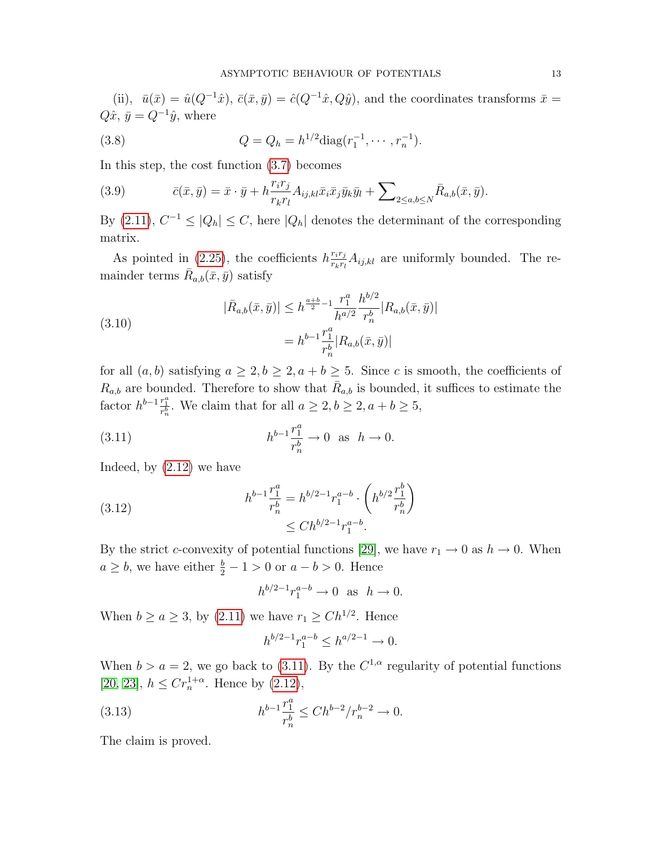(ii),  $\bar{u}(\bar{x}) = \hat{u}(Q^{-1}\hat{x}), \bar{c}(\bar{x}, \bar{y}) = \hat{c}(Q^{-1}\hat{x}, Q\hat{y}),$  and the coordinates transforms  $\bar{x} =$  $Q\hat{x}, \bar{y} = Q^{-1}\hat{y}$ , where

<span id="page-14-3"></span>(3.8) 
$$
Q = Q_h = h^{1/2} \text{diag}(r_1^{-1}, \cdots, r_n^{-1}).
$$

In this step, the cost function [\(3.7\)](#page-13-4) becomes

<span id="page-14-1"></span>(3.9) 
$$
\bar{c}(\bar{x},\bar{y}) = \bar{x} \cdot \bar{y} + h \frac{r_i r_j}{r_k r_l} A_{ij,kl} \bar{x}_i \bar{x}_j \bar{y}_k \bar{y}_l + \sum_{2 \leq a,b \leq N} \bar{R}_{a,b}(\bar{x},\bar{y}).
$$

By  $(2.11)$ ,  $C^{-1} \leq |Q_h| \leq C$ , here  $|Q_h|$  denotes the determinant of the corresponding matrix.

As pointed in [\(2.25\)](#page-12-3), the coefficients  $h\frac{r_ir_j}{r_ir_j}$  $\frac{r_ir_j}{r_kr_l}A_{ij,kl}$  are uniformly bounded. The remainder terms  $\bar{R}_{a,b}(\bar{x},\bar{y})$  satisfy

<span id="page-14-2"></span>(3.10)  

$$
|\bar{R}_{a,b}(\bar{x}, \bar{y})| \le h^{\frac{a+b}{2}-1} \frac{r_1^a}{h^{a/2}} \frac{h^{b/2}}{r_n^b} |R_{a,b}(\bar{x}, \bar{y})|
$$

$$
= h^{b-1} \frac{r_1^a}{r_n^b} |R_{a,b}(\bar{x}, \bar{y})|
$$

for all  $(a, b)$  satisfying  $a \geq 2, b \geq 2, a + b \geq 5$ . Since c is smooth, the coefficients of  $R_{a,b}$  are bounded. Therefore to show that  $\bar{R}_{a,b}$  is bounded, it suffices to estimate the factor  $h^{b-1} \frac{r_1^a}{r_n^b}$ . We claim that for all  $a \geq 2, b \geq 2, a+b \geq 5$ ,

(3.11) 
$$
h^{b-1} \frac{r_1^a}{r_n^b} \to 0 \text{ as } h \to 0.
$$

Indeed, by [\(2.12\)](#page-9-5) we have

(3.12) 
$$
h^{b-1} \frac{r_1^a}{r_n^b} = h^{b/2-1} r_1^{a-b} \cdot \left( h^{b/2} \frac{r_1^b}{r_n^b} \right) \leq Ch^{b/2-1} r_1^{a-b}.
$$

By the strict c-convexity of potential functions [\[29\]](#page-41-7), we have  $r_1 \rightarrow 0$  as  $h \rightarrow 0$ . When  $a \geq b$ , we have either  $\frac{b}{2} - 1 > 0$  or  $a - b > 0$ . Hence

<span id="page-14-0"></span>
$$
h^{b/2-1}r_1^{a-b} \to 0 \text{ as } h \to 0.
$$

When  $b \ge a \ge 3$ , by  $(2.11)$  we have  $r_1 \ge Ch^{1/2}$ . Hence

$$
h^{b/2-1}r_1^{a-b} \le h^{a/2-1} \to 0.
$$

When  $b > a = 2$ , we go back to [\(3.11\)](#page-14-0). By the  $C^{1,\alpha}$  regularity of potential functions [\[20,](#page-41-8) [23\]](#page-41-4),  $h \leq Cr_n^{1+\alpha}$ . Hence by [\(2.12\)](#page-9-5),

(3.13) 
$$
h^{b-1}\frac{r_1^a}{r_n^b} \leq Ch^{b-2}/r_n^{b-2} \to 0.
$$

The claim is proved.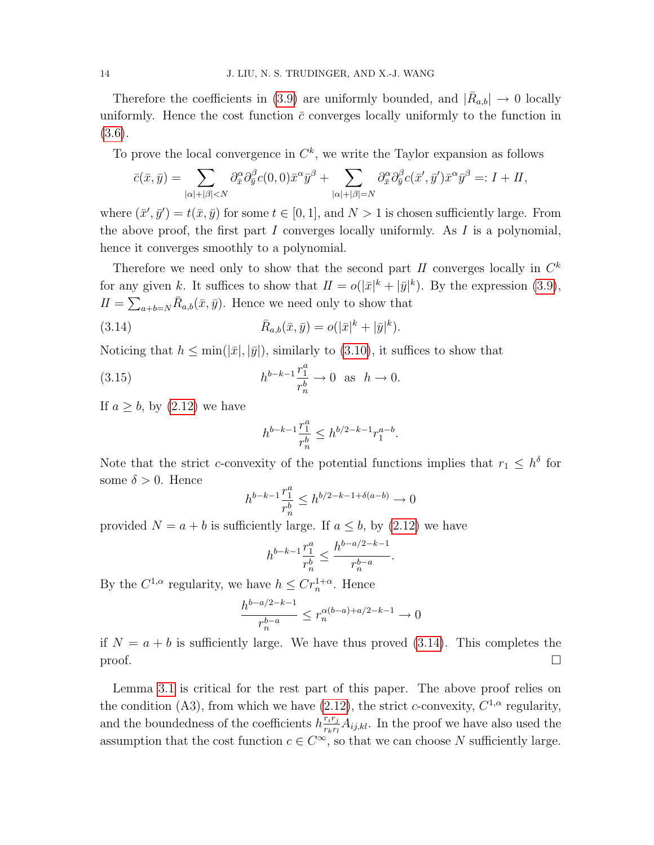Therefore the coefficients in [\(3.9\)](#page-14-1) are uniformly bounded, and  $|\bar{R}_{a,b}| \to 0$  locally uniformly. Hence the cost function  $\bar{c}$  converges locally uniformly to the function in [\(3.6\)](#page-13-5).

To prove the local convergence in  $C^k$ , we write the Taylor expansion as follows

$$
\bar{c}(\bar{x},\bar{y}) = \sum_{|\alpha|+|\beta|
$$

where  $(\bar{x}', \bar{y}') = t(\bar{x}, \bar{y})$  for some  $t \in [0, 1]$ , and  $N > 1$  is chosen sufficiently large. From the above proof, the first part I converges locally uniformly. As I is a polynomial, hence it converges smoothly to a polynomial.

Therefore we need only to show that the second part  $II$  converges locally in  $C<sup>k</sup>$ for any given k. It suffices to show that  $II = o(|\bar{x}|^k + |\bar{y}|^k)$ . By the expression [\(3.9\)](#page-14-1),  $II = \sum_{a+b=N} \bar{R}_{a,b}(\bar{x}, \bar{y}).$  Hence we need only to show that

(3.14) 
$$
\bar{R}_{a,b}(\bar{x},\bar{y}) = o(|\bar{x}|^k + |\bar{y}|^k).
$$

Noticing that  $h \le \min(|\bar{x}|, |\bar{y}|)$ , similarly to [\(3.10\)](#page-14-2), it suffices to show that

(3.15) 
$$
h^{b-k-1}\frac{r_1^a}{r_n^b} \to 0 \text{ as } h \to 0.
$$

If  $a \geq b$ , by  $(2.12)$  we have

<span id="page-15-0"></span>
$$
h^{b-k-1}\frac{r_1^a}{r_n^b} \leq h^{b/2-k-1}r_1^{a-b}.
$$

Note that the strict c-convexity of the potential functions implies that  $r_1 \n\t\leq h^{\delta}$  for some  $\delta > 0$ . Hence

$$
h^{b-k-1} \frac{r_1^a}{r_n^b} \le h^{b/2 - k - 1 + \delta(a-b)} \to 0
$$

provided  $N = a + b$  is sufficiently large. If  $a \leq b$ , by [\(2.12\)](#page-9-5) we have

$$
h^{b-k-1} \frac{r_1^a}{r_n^b} \le \frac{h^{b-a/2-k-1}}{r_n^{b-a}}
$$

.

By the  $C^{1,\alpha}$  regularity, we have  $h \leq Cr_n^{1+\alpha}$ . Hence

$$
\frac{h^{b-a/2-k-1}}{r_n^{b-a}} \le r_n^{\alpha(b-a)+a/2-k-1} \to 0
$$

if  $N = a + b$  is sufficiently large. We have thus proved [\(3.14\)](#page-15-0). This completes the  $\Box$ 

Lemma [3.1](#page-13-6) is critical for the rest part of this paper. The above proof relies on the condition (A3), from which we have [\(2.12\)](#page-9-5), the strict c-convexity,  $C^{1,\alpha}$  regularity, and the boundedness of the coefficients  $h \frac{r_i r_j}{r_i r_i}$  $\frac{r_ir_j}{r_kr_l}A_{ij,kl}$ . In the proof we have also used the assumption that the cost function  $c \in C^{\infty}$ , so that we can choose N sufficiently large.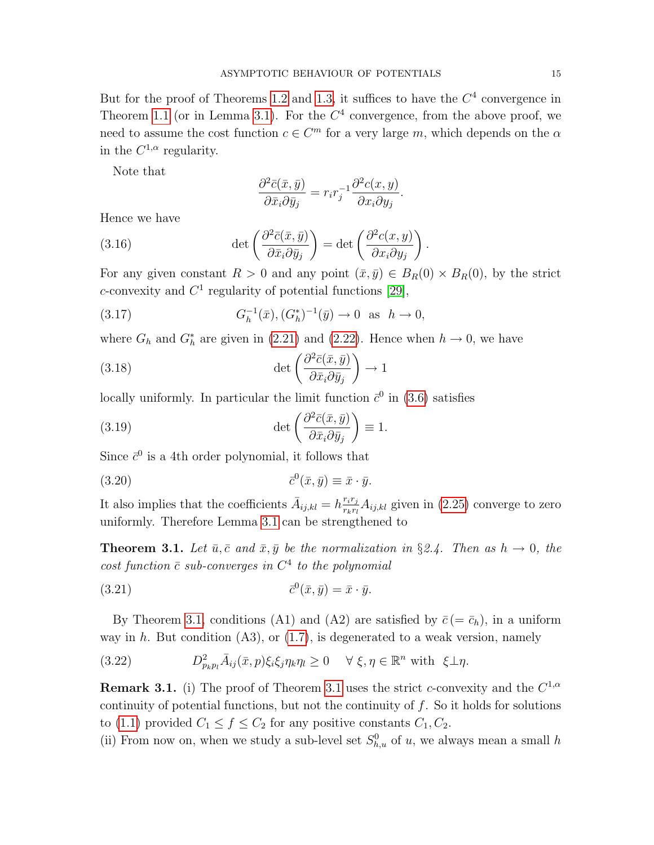But for the proof of Theorems [1.2](#page-5-3) and [1.3,](#page-6-0) it suffices to have the  $C<sup>4</sup>$  convergence in Theorem [1.1](#page-5-2) (or in Lemma [3.1\)](#page-13-6). For the  $C<sup>4</sup>$  convergence, from the above proof, we need to assume the cost function  $c \in \mathbb{C}^m$  for a very large m, which depends on the  $\alpha$ in the  $C^{1,\alpha}$  regularity.

Note that

<span id="page-16-1"></span>
$$
\frac{\partial^2 \bar{c}(\bar{x}, \bar{y})}{\partial \bar{x}_i \partial \bar{y}_j} = r_i r_j^{-1} \frac{\partial^2 c(x, y)}{\partial x_i \partial y_j}.
$$

.

Hence we have

(3.16) 
$$
\det \left( \frac{\partial^2 \bar{c}(\bar{x}, \bar{y})}{\partial \bar{x}_i \partial \bar{y}_j} \right) = \det \left( \frac{\partial^2 c(x, y)}{\partial x_i \partial y_j} \right)
$$

For any given constant  $R > 0$  and any point  $(\bar{x}, \bar{y}) \in B_R(0) \times B_R(0)$ , by the strict c-convexity and  $C^1$  regularity of potential functions [\[29\]](#page-41-7),

(3.17) 
$$
G_h^{-1}(\bar{x}), (G_h^*)^{-1}(\bar{y}) \to 0 \text{ as } h \to 0,
$$

where  $G_h$  and  $G_h^*$  are given in [\(2.21\)](#page-12-2) and [\(2.22\)](#page-12-2). Hence when  $h \to 0$ , we have

(3.18) 
$$
\det \left( \frac{\partial^2 \bar{c}(\bar{x}, \bar{y})}{\partial \bar{x}_i \partial \bar{y}_j} \right) \to 1
$$

locally uniformly. In particular the limit function  $\bar{c}^0$  in [\(3.6\)](#page-13-5) satisfies

(3.19) 
$$
\det \left( \frac{\partial^2 \bar{c}(\bar{x}, \bar{y})}{\partial \bar{x}_i \partial \bar{y}_j} \right) \equiv 1.
$$

Since  $\bar{c}^0$  is a 4th order polynomial, it follows that

$$
(3.20) \t\t \overline{c}^0(\bar{x}, \bar{y}) \equiv \bar{x} \cdot \bar{y}.
$$

It also implies that the coefficients  $\bar{A}_{ij,kl} = h \frac{r_i r_j}{r_k r_l}$  $\frac{r_ir_j}{r_kr_l}A_{ij,kl}$  given in  $(2.25)$  converge to zero uniformly. Therefore Lemma [3.1](#page-13-6) can be strengthened to

<span id="page-16-0"></span>**Theorem 3.1.** Let  $\bar{u}, \bar{c}$  and  $\bar{x}, \bar{y}$  be the normalization in §2.4. Then as  $h \to 0$ , the cost function  $\bar{c}$  sub-converges in  $C^4$  to the polynomial

$$
(3.21) \t\t \overline{c}^0(\bar{x}, \bar{y}) = \bar{x} \cdot \bar{y}.
$$

By Theorem [3.1,](#page-16-0) conditions (A1) and (A2) are satisfied by  $\bar{c}$  (=  $\bar{c}_h$ ), in a uniform way in h. But condition  $(A3)$ , or  $(1.7)$ , is degenerated to a weak version, namely

(3.22) 
$$
D_{p_k p_l}^2 \bar{A}_{ij}(\bar{x}, p) \xi_i \xi_j \eta_k \eta_l \ge 0 \quad \forall \xi, \eta \in \mathbb{R}^n \text{ with } \xi \perp \eta.
$$

**Remark [3.1](#page-16-0).** (i) The proof of Theorem 3.1 uses the strict c-convexity and the  $C^{1,\alpha}$ continuity of potential functions, but not the continuity of  $f$ . So it holds for solutions to [\(1.1\)](#page-2-0) provided  $C_1 \le f \le C_2$  for any positive constants  $C_1, C_2$ .

(ii) From now on, when we study a sub-level set  $S_{h,u}^0$  of u, we always mean a small h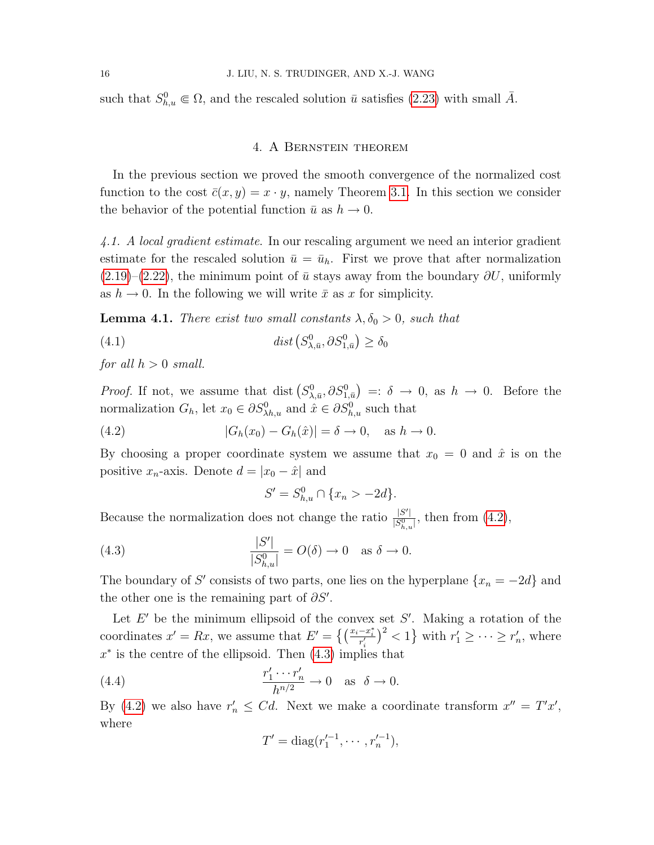such that  $S_{h,u}^0 \in \Omega$ , and the rescaled solution  $\bar{u}$  satisfies [\(2.23\)](#page-12-4) with small  $\bar{A}$ .

### 4. A Bernstein theorem

In the previous section we proved the smooth convergence of the normalized cost function to the cost  $\bar{c}(x, y) = x \cdot y$ , namely Theorem [3.1.](#page-16-0) In this section we consider the behavior of the potential function  $\bar{u}$  as  $h \to 0$ .

4.1. A local gradient estimate. In our rescaling argument we need an interior gradient estimate for the rescaled solution  $\bar{u} = \bar{u}_h$ . First we prove that after normalization  $(2.19)$ – $(2.22)$ , the minimum point of  $\bar{u}$  stays away from the boundary  $\partial U$ , uniformly as  $h \to 0$ . In the following we will write  $\bar{x}$  as x for simplicity.

<span id="page-17-2"></span>**Lemma 4.1.** There exist two small constants  $\lambda, \delta_0 > 0$ , such that

(4.1) 
$$
dist(S^0_{\lambda,\bar{u}}, \partial S^0_{1,\bar{u}}) \ge \delta_0
$$

for all  $h > 0$  small.

*Proof.* If not, we assume that dist  $(S^0_{\lambda,\bar{u}}, \partial S^0_{1,\bar{u}}) =: \delta \to 0$ , as  $h \to 0$ . Before the normalization  $G_h$ , let  $x_0 \in \partial S_{\lambda h,u}^0$  and  $\hat{x} \in \partial S_{h,u}^0$  such that

(4.2) 
$$
|G_h(x_0) - G_h(\hat{x})| = \delta \to 0, \text{ as } h \to 0.
$$

By choosing a proper coordinate system we assume that  $x_0 = 0$  and  $\hat{x}$  is on the positive  $x_n$ -axis. Denote  $d = |x_0 - \hat{x}|$  and

<span id="page-17-3"></span><span id="page-17-1"></span><span id="page-17-0"></span>
$$
S' = S_{h,u}^0 \cap \{x_n > -2d\}.
$$

Because the normalization does not change the ratio  $\frac{|S'|}{|S'|}$  $\frac{|S'|}{|S_{h,u}^0|}$ , then from  $(4.2)$ ,

(4.3) 
$$
\frac{|S'|}{|S_{h,u}^0|} = O(\delta) \to 0 \quad \text{as } \delta \to 0.
$$

The boundary of S' consists of two parts, one lies on the hyperplane  $\{x_n = -2d\}$  and the other one is the remaining part of  $\partial S'$ .

Let  $E'$  be the minimum ellipsoid of the convex set  $S'$ . Making a rotation of the coordinates  $x' = Rx$ , we assume that  $E' = \left\{ \left( \frac{x_i - x_i^*}{r'_i} \right)^2 < 1 \right\}$  with  $r'_1 \geq \cdots \geq r'_n$ , where  $x^*$  is the centre of the ellipsoid. Then  $(4.3)$  implies that

(4.4) 
$$
\frac{r'_1 \cdots r'_n}{h^{n/2}} \to 0 \quad \text{as} \quad \delta \to 0.
$$

By [\(4.2\)](#page-17-0) we also have  $r'_n \leq Cd$ . Next we make a coordinate transform  $x'' = T'x'$ , where

$$
T' = \text{diag}(r_1'^{-1}, \cdots, r_n'^{-1}),
$$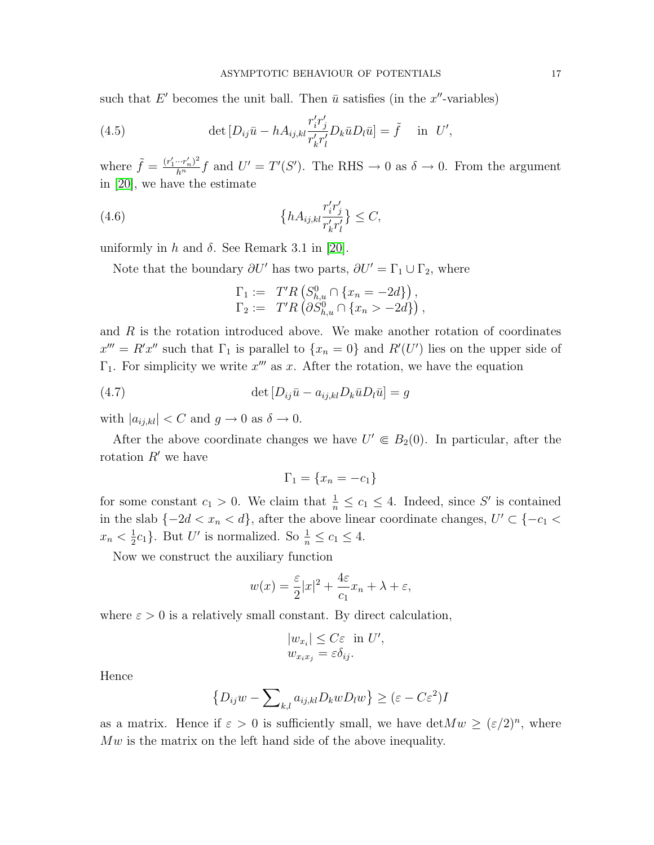such that E' becomes the unit ball. Then  $\bar{u}$  satisfies (in the x''-variables)

(4.5) 
$$
\det \left[ D_{ij}\bar{u} - h A_{ij,kl} \frac{r'_i r'_j}{r'_k r'_l} D_k \bar{u} D_l \bar{u} \right] = \tilde{f} \quad \text{in} \ \ U',
$$

where  $\tilde{f} = \frac{(r'_1 \cdots r'_n)^2}{h^n} f$  and  $U' = T'(S')$ . The RHS  $\rightarrow 0$  as  $\delta \rightarrow 0$ . From the argument in [\[20\]](#page-41-8), we have the estimate

(4.6) 
$$
\{hA_{ij,kl}\frac{r'_i r'_j}{r'_k r'_l}\} \leq C,
$$

uniformly in h and  $\delta$ . See Remark 3.1 in [\[20\]](#page-41-8).

Note that the boundary  $\partial U'$  has two parts,  $\partial U' = \Gamma_1 \cup \Gamma_2$ , where

$$
\Gamma_1 := T'R\left(S_{h,u}^0 \cap \{x_n = -2d\}\right),
$$
  
\n
$$
\Gamma_2 := T'R\left(\partial S_{h,u}^0 \cap \{x_n > -2d\}\right),
$$

and  $R$  is the rotation introduced above. We make another rotation of coordinates  $x''' = R'x''$  such that  $\Gamma_1$  is parallel to  $\{x_n = 0\}$  and  $R'(U')$  lies on the upper side of  $\Gamma_1$ . For simplicity we write  $x'''$  as x. After the rotation, we have the equation

(4.7) 
$$
\det [D_{ij}\bar{u} - a_{ij,kl}D_k\bar{u}D_l\bar{u}] = g
$$

with  $|a_{ij,kl}| < C$  and  $g \to 0$  as  $\delta \to 0$ .

After the above coordinate changes we have  $U' \in B_2(0)$ . In particular, after the rotation  $R'$  we have

$$
\Gamma_1 = \{x_n = -c_1\}
$$

for some constant  $c_1 > 0$ . We claim that  $\frac{1}{n} \leq c_1 \leq 4$ . Indeed, since S' is contained in the slab  $\{-2d < x_n < d\}$ , after the above linear coordinate changes,  $U' \subset \{-c_1 < c_2\}$  $x_n < \frac{1}{2}$  $\frac{1}{2}c_1$ . But U' is normalized. So  $\frac{1}{n} \le c_1 \le 4$ .

Now we construct the auxiliary function

$$
w(x) = \frac{\varepsilon}{2}|x|^2 + \frac{4\varepsilon}{c_1}x_n + \lambda + \varepsilon,
$$

where  $\varepsilon > 0$  is a relatively small constant. By direct calculation,

$$
|w_{x_i}| \leq C\varepsilon \text{ in } U',
$$
  

$$
w_{x_ix_j} = \varepsilon \delta_{ij}.
$$

Hence

$$
\{D_{ij}w - \sum_{k,l} a_{ij,kl}D_kwD_lw\} \ge (\varepsilon - C\varepsilon^2)I
$$

as a matrix. Hence if  $\varepsilon > 0$  is sufficiently small, we have  $\det M w \geq (\varepsilon/2)^n$ , where  $Mw$  is the matrix on the left hand side of the above inequality.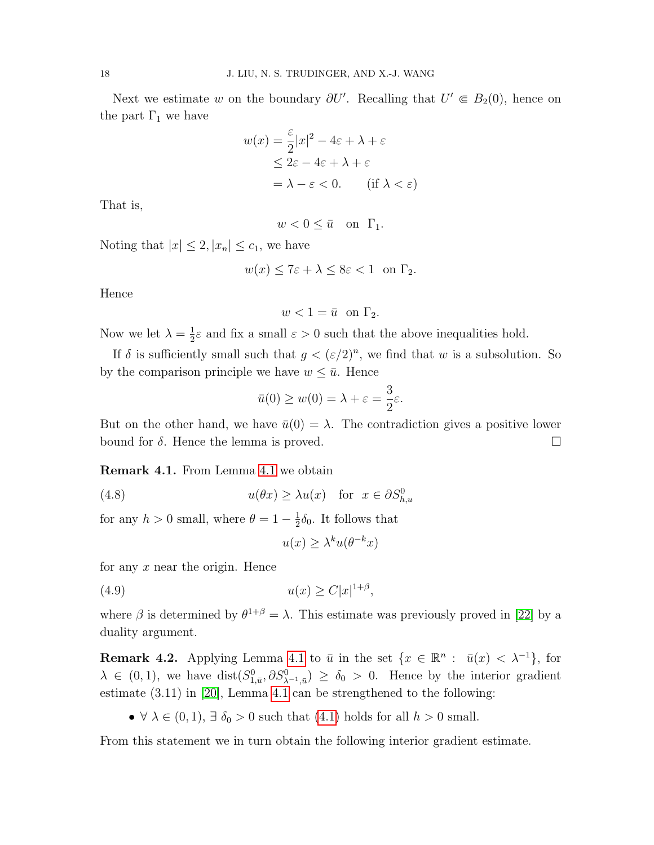Next we estimate w on the boundary  $\partial U'$ . Recalling that  $U' \in B_2(0)$ , hence on the part  $\Gamma_1$  we have

$$
w(x) = \frac{\varepsilon}{2}|x|^2 - 4\varepsilon + \lambda + \varepsilon
$$
  
\n
$$
\leq 2\varepsilon - 4\varepsilon + \lambda + \varepsilon
$$
  
\n
$$
= \lambda - \varepsilon < 0. \quad \text{(if } \lambda < \varepsilon \text{)}
$$

That is,

$$
w < 0 \le \bar{u} \quad \text{on} \quad \Gamma_1.
$$

Noting that  $|x| \leq 2$ ,  $|x_n| \leq c_1$ , we have

$$
w(x) \le 7\varepsilon + \lambda \le 8\varepsilon < 1 \quad \text{on } \Gamma_2.
$$

Hence

$$
w < 1 = \bar{u} \quad \text{on } \Gamma_2.
$$

Now we let  $\lambda = \frac{1}{2}$  $\frac{1}{2}\varepsilon$  and fix a small  $\varepsilon > 0$  such that the above inequalities hold.

If  $\delta$  is sufficiently small such that  $g < (\varepsilon/2)^n$ , we find that w is a subsolution. So by the comparison principle we have  $w \leq \bar{u}$ . Hence

$$
\bar{u}(0) \ge w(0) = \lambda + \varepsilon = \frac{3}{2}\varepsilon.
$$

But on the other hand, we have  $\bar{u}(0) = \lambda$ . The contradiction gives a positive lower bound for  $\delta$ . Hence the lemma is proved.

Remark 4.1. From Lemma [4.1](#page-17-2) we obtain

(4.8) 
$$
u(\theta x) \ge \lambda u(x) \text{ for } x \in \partial S_{h,u}^0
$$

for any  $h > 0$  small, where  $\theta = 1 - \frac{1}{2}$  $\frac{1}{2}\delta_0$ . It follows that

$$
u(x) \ge \lambda^k u(\theta^{-k} x)
$$

for any  $x$  near the origin. Hence

$$
(4.9) \t\t u(x) \ge C|x|^{1+\beta},
$$

where  $\beta$  is determined by  $\theta^{1+\beta} = \lambda$ . This estimate was previously proved in [\[22\]](#page-41-11) by a duality argument.

**Remark 4.2.** Applying Lemma [4.1](#page-17-2) to  $\bar{u}$  in the set  $\{x \in \mathbb{R}^n : \bar{u}(x) < \lambda^{-1}\}$ , for  $\lambda \in (0,1)$ , we have  $dist(S_{1,\bar{u}}^0, \partial S_{\lambda^{-1},\bar{u}}^0) \ge \delta_0 > 0$ . Hence by the interior gradient estimate (3.11) in [\[20\]](#page-41-8), Lemma [4.1](#page-17-2) can be strengthened to the following:

•  $\forall \lambda \in (0,1), \exists \delta_0 > 0$  such that  $(4.1)$  holds for all  $h > 0$  small.

<span id="page-19-0"></span>From this statement we in turn obtain the following interior gradient estimate.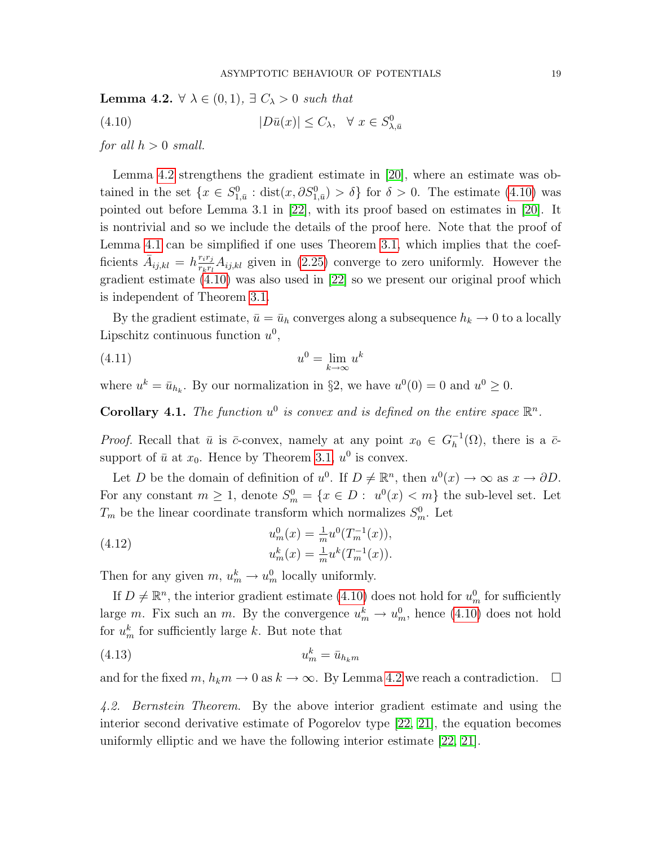**Lemma 4.2.**  $\forall \lambda \in (0,1), \exists C_{\lambda} > 0$  such that

<span id="page-20-0"></span>(4.10)  $|D\bar{u}(x)| \leq C_{\lambda}, \quad \forall \ x \in S_{\lambda,\bar{u}}^0$ 

for all  $h > 0$  small.

Lemma [4.2](#page-19-0) strengthens the gradient estimate in [\[20\]](#page-41-8), where an estimate was obtained in the set  $\{x \in S^0_{1,\bar{u}} : dist(x, \partial S^0_{1,\bar{u}}) > \delta\}$  for  $\delta > 0$ . The estimate [\(4.10\)](#page-20-0) was pointed out before Lemma 3.1 in [\[22\]](#page-41-11), with its proof based on estimates in [\[20\]](#page-41-8). It is nontrivial and so we include the details of the proof here. Note that the proof of Lemma [4.1](#page-17-2) can be simplified if one uses Theorem [3.1,](#page-16-0) which implies that the coefficients  $\bar{A}_{ij,kl} = h \frac{r_i r_j}{r_k r_l}$  $\frac{r_ir_j}{r_kr_l}A_{ij,kl}$  given in [\(2.25\)](#page-12-3) converge to zero uniformly. However the gradient estimate [\(4.10\)](#page-20-0) was also used in [\[22\]](#page-41-11) so we present our original proof which is independent of Theorem [3.1.](#page-16-0)

By the gradient estimate,  $\bar{u} = \bar{u}_h$  converges along a subsequence  $h_k \to 0$  to a locally Lipschitz continuous function  $u^0$ ,

<span id="page-20-2"></span>
$$
(4.11) \t\t u0 = \lim_{k \to \infty} uk
$$

where  $u^k = \bar{u}_{h_k}$ . By our normalization in §2, we have  $u^0(0) = 0$  and  $u^0 \ge 0$ .

<span id="page-20-3"></span>**Corollary 4.1.** The function  $u^0$  is convex and is defined on the entire space  $\mathbb{R}^n$ .

*Proof.* Recall that  $\bar{u}$  is  $\bar{c}$ -convex, namely at any point  $x_0 \in G_h^{-1}$  $_{h}^{-1}(\Omega)$ , there is a  $\bar{c}$ support of  $\bar{u}$  at  $x_0$ . Hence by Theorem [3.1,](#page-16-0)  $u^0$  is convex.

Let D be the domain of definition of  $u^0$ . If  $D \neq \mathbb{R}^n$ , then  $u^0(x) \to \infty$  as  $x \to \partial D$ . For any constant  $m \geq 1$ , denote  $S_m^0 = \{x \in D : u^0(x) < m\}$  the sub-level set. Let  $T_m$  be the linear coordinate transform which normalizes  $S_m^0$ . Let

(4.12) 
$$
u_m^0(x) = \frac{1}{m} u^0(T_m^{-1}(x)),
$$

$$
u_m^k(x) = \frac{1}{m} u^k(T_m^{-1}(x)).
$$

Then for any given  $m, u_m^k \to u_m^0$  locally uniformly.

If  $D \neq \mathbb{R}^n$ , the interior gradient estimate [\(4.10\)](#page-20-0) does not hold for  $u_m^0$  for sufficiently large m. Fix such an m. By the convergence  $u_m^k \to u_m^0$ , hence [\(4.10\)](#page-20-0) does not hold for  $u_m^k$  for sufficiently large k. But note that

$$
(4.13) \t\t u_m^k = \bar{u}_{h_k m}
$$

and for the fixed m,  $h_k m \to 0$  as  $k \to \infty$ . By Lemma [4.2](#page-17-0) we reach a contradiction.  $\square$ 

<span id="page-20-1"></span>4.2. Bernstein Theorem. By the above interior gradient estimate and using the interior second derivative estimate of Pogorelov type [\[22,](#page-41-11) [21\]](#page-41-18), the equation becomes uniformly elliptic and we have the following interior estimate [\[22,](#page-41-11) [21\]](#page-41-18).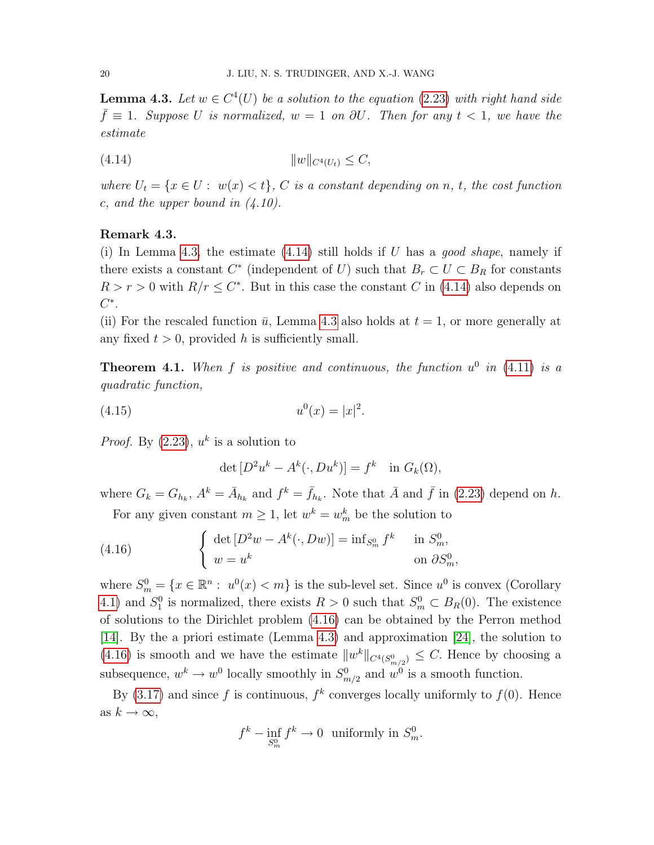**Lemma 4.3.** Let  $w \in C^4(U)$  be a solution to the equation [\(2.23\)](#page-12-4) with right hand side  $\bar{f} \equiv 1$ . Suppose U is normalized,  $w = 1$  on  $\partial U$ . Then for any  $t < 1$ , we have the estimate

<span id="page-21-0"></span>(4.14) kwkC4(Ut) ≤ C,

where  $U_t = \{x \in U : w(x) < t\}$ , C is a constant depending on n, t, the cost function c, and the upper bound in  $(4.10)$ .

## Remark 4.3.

(i) In Lemma [4.3,](#page-20-1) the estimate  $(4.14)$  still holds if U has a good shape, namely if there exists a constant  $C^*$  (independent of U) such that  $B_r \subset U \subset B_R$  for constants  $R > r > 0$  with  $R/r \leq C^*$ . But in this case the constant C in [\(4.14\)](#page-21-0) also depends on  $C^*$ .

(ii) For the rescaled function  $\bar{u}$ , Lemma [4.3](#page-20-1) also holds at  $t = 1$ , or more generally at any fixed  $t > 0$ , provided h is sufficiently small.

<span id="page-21-2"></span>**Theorem 4.1.** When f is positive and continuous, the function  $u^0$  in [\(4.11\)](#page-20-2) is a quadratic function,

$$
(4.15) \t\t u0(x) = |x|2.
$$

*Proof.* By  $(2.23)$ ,  $u^k$  is a solution to

<span id="page-21-1"></span>
$$
\det [D^2 u^k - A^k(\cdot, Du^k)] = f^k \text{ in } G_k(\Omega),
$$

where  $G_k = G_{h_k}$ ,  $A^k = \overline{A}_{h_k}$  and  $f^k = \overline{f}_{h_k}$ . Note that  $\overline{A}$  and  $\overline{f}$  in [\(2.23\)](#page-12-4) depend on h. For any given constant  $m \geq 1$ , let  $w^k = w_m^k$  be the solution to

(4.16) 
$$
\begin{cases} \det [D^2w - A^k(\cdot, Dw)] = \inf_{S_m^0} f^k & \text{in } S_m^0, \\ w = u^k & \text{on } \partial S_m^0, \end{cases}
$$

where  $S_m^0 = \{x \in \mathbb{R}^n : u^0(x) < m\}$  is the sub-level set. Since  $u^0$  is convex (Corollary [4.1\)](#page-20-3) and  $S_1^0$  is normalized, there exists  $R > 0$  such that  $S_m^0 \subset B_R(0)$ . The existence of solutions to the Dirichlet problem [\(4.16\)](#page-21-1) can be obtained by the Perron method [\[14\]](#page-40-13). By the a priori estimate (Lemma [4.3\)](#page-20-1) and approximation [\[24\]](#page-41-2), the solution to [\(4.16\)](#page-21-1) is smooth and we have the estimate  $||w^k||_{C^4(S^0_{m/2})} \leq C$ . Hence by choosing a subsequence,  $w^k \to w^0$  locally smoothly in  $S^0_{m/2}$  and  $w^0$  is a smooth function.

By [\(3.17\)](#page-16-1) and since f is continuous,  $f^k$  converges locally uniformly to  $f(0)$ . Hence as  $k \to \infty$ ,

$$
f^k - \inf_{S_m^0} f^k \to 0 \text{ uniformly in } S_m^0.
$$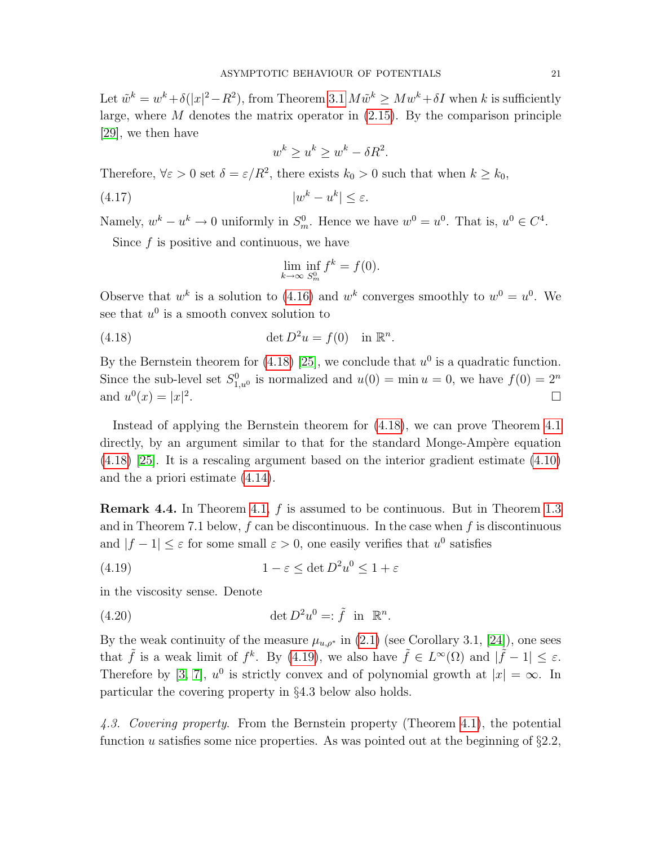Let  $\tilde{w}^k = w^k + \delta(|x|^2 - R^2)$ , from Theorem [3.1](#page-16-0)  $M\tilde{w}^k \geq Mw^k + \delta I$  when k is sufficiently large, where  $M$  denotes the matrix operator in  $(2.15)$ . By the comparison principle [\[29\]](#page-41-7), we then have

$$
w^k \ge u^k \ge w^k - \delta R^2.
$$

Therefore,  $\forall \varepsilon > 0$  set  $\delta = \varepsilon/R^2$ , there exists  $k_0 > 0$  such that when  $k \geq k_0$ ,

$$
(4.17) \t\t |w^k - u^k| \le \varepsilon.
$$

Namely,  $w^k - u^k \to 0$  uniformly in  $S_m^0$ . Hence we have  $w^0 = u^0$ . That is,  $u^0 \in C^4$ .

Since  $f$  is positive and continuous, we have

<span id="page-22-0"></span>
$$
\lim_{k \to \infty} \inf_{S_m^0} f^k = f(0).
$$

Observe that  $w^k$  is a solution to [\(4.16\)](#page-21-1) and  $w^k$  converges smoothly to  $w^0 = u^0$ . We see that  $u^0$  is a smooth convex solution to

(4.18) 
$$
\det D^2 u = f(0) \quad \text{in } \mathbb{R}^n.
$$

By the Bernstein theorem for [\(4.18\)](#page-22-0) [\[25\]](#page-41-19), we conclude that  $u^0$  is a quadratic function. Since the sub-level set  $S_{1,u^0}^0$  is normalized and  $u(0) = \min u = 0$ , we have  $f(0) = 2^n$ and  $u^{0}(x) = |x|^{2}$ . The contract of the contract of the contract of the contract of  $\Box$ 

Instead of applying the Bernstein theorem for [\(4.18\)](#page-22-0), we can prove Theorem [4.1](#page-21-2) directly, by an argument similar to that for the standard Monge-Ampère equation [\(4.18\)](#page-22-0) [\[25\]](#page-41-19). It is a rescaling argument based on the interior gradient estimate [\(4.10\)](#page-20-0) and the a priori estimate [\(4.14\)](#page-21-0).

**Remark 4.4.** In Theorem [4.1,](#page-21-2) f is assumed to be continuous. But in Theorem [1.3](#page-6-0) and in Theorem 7.1 below,  $f$  can be discontinuous. In the case when  $f$  is discontinuous and  $|f-1| \leq \varepsilon$  for some small  $\varepsilon > 0$ , one easily verifies that  $u^0$  satisfies

<span id="page-22-1"></span>(4.19) 
$$
1 - \varepsilon \le \det D^2 u^0 \le 1 + \varepsilon
$$

in the viscosity sense. Denote

(4.20) 
$$
\det D^2 u^0 =: \tilde{f} \text{ in } \mathbb{R}^n.
$$

By the weak continuity of the measure  $\mu_{u,p^*}$  in [\(2.1\)](#page-7-1) (see Corollary 3.1, [\[24\]](#page-41-2)), one sees that  $\tilde{f}$  is a weak limit of  $f^k$ . By [\(4.19\)](#page-22-1), we also have  $\tilde{f} \in L^{\infty}(\Omega)$  and  $|\tilde{f} - 1| \leq \varepsilon$ . Therefore by [\[3,](#page-40-14) [7\]](#page-40-15),  $u^0$  is strictly convex and of polynomial growth at  $|x| = \infty$ . In particular the covering property in §4.3 below also holds.

4.3. Covering property. From the Bernstein property (Theorem [4.1\)](#page-21-2), the potential function u satisfies some nice properties. As was pointed out at the beginning of  $\S 2.2$ ,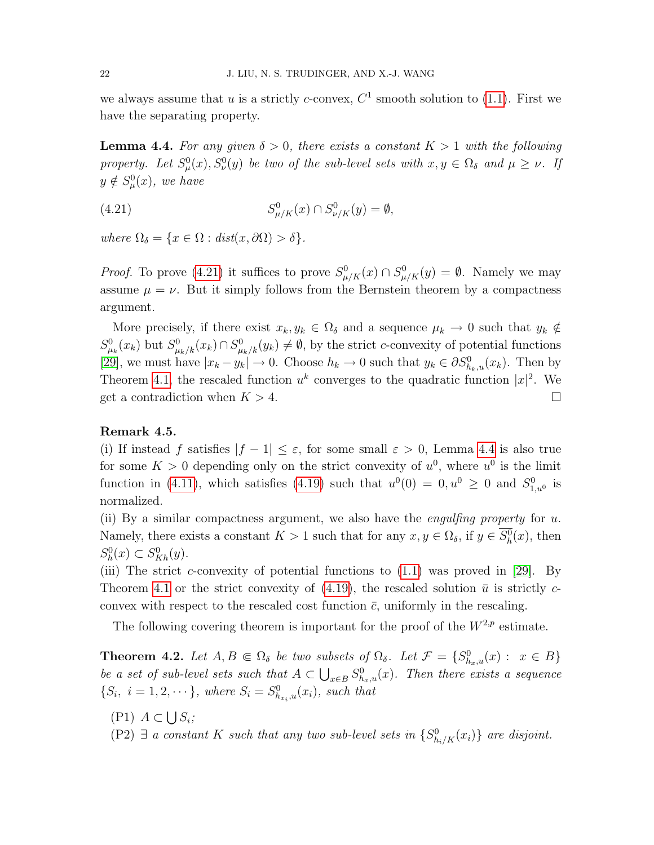we always assume that u is a strictly c-convex,  $C^1$  smooth solution to [\(1.1\)](#page-2-0). First we have the separating property.

<span id="page-23-1"></span>**Lemma 4.4.** For any given  $\delta > 0$ , there exists a constant  $K > 1$  with the following property. Let  $S^0_\mu(x), S^0_\nu(y)$  be two of the sub-level sets with  $x, y \in \Omega_\delta$  and  $\mu \geq \nu$ . If  $y \notin S^0_\mu(x)$ , we have

<span id="page-23-0"></span>(4.21) 
$$
S_{\mu/K}^0(x) \cap S_{\nu/K}^0(y) = \emptyset,
$$

where  $\Omega_{\delta} = \{x \in \Omega : dist(x, \partial \Omega) > \delta\}.$ 

*Proof.* To prove [\(4.21\)](#page-23-0) it suffices to prove  $S^0_{\mu/K}(x) \cap S^0_{\mu/K}(y) = \emptyset$ . Namely we may assume  $\mu = \nu$ . But it simply follows from the Bernstein theorem by a compactness argument.

More precisely, if there exist  $x_k, y_k \in \Omega_\delta$  and a sequence  $\mu_k \to 0$  such that  $y_k \notin$  $S^0_{\mu_k}(x_k)$  but  $S^0_{\mu_k/k}(x_k) \cap S^0_{\mu_k/k}(y_k) \neq \emptyset$ , by the strict c-convexity of potential functions [\[29\]](#page-41-7), we must have  $|x_k - y_k| \to 0$ . Choose  $h_k \to 0$  such that  $y_k \in \partial S_{h_k,u}^0(x_k)$ . Then by Theorem [4.1,](#page-21-2) the rescaled function  $u^k$  converges to the quadratic function  $|x|^2$ . We get a contradiction when  $K > 4$ .

#### Remark 4.5.

(i) If instead f satisfies  $|f - 1| \leq \varepsilon$ , for some small  $\varepsilon > 0$ , Lemma [4.4](#page-23-1) is also true for some  $K > 0$  depending only on the strict convexity of  $u^0$ , where  $u^0$  is the limit function in [\(4.11\)](#page-20-2), which satisfies [\(4.19\)](#page-22-1) such that  $u^0(0) = 0, u^0 \ge 0$  and  $S^0_{1,u^0}$  is normalized.

(ii) By a similar compactness argument, we also have the *engulfing property* for  $u$ . Namely, there exists a constant  $K > 1$  such that for any  $x, y \in \Omega_{\delta}$ , if  $y \in S_h^0(x)$ , then  $S_h^0(x) \subset S_{Kh}^0(y).$ 

(iii) The strict c-convexity of potential functions to  $(1.1)$  was proved in [\[29\]](#page-41-7). By Theorem [4.1](#page-21-2) or the strict convexity of [\(4.19\)](#page-22-1), the rescaled solution  $\bar{u}$  is strictly cconvex with respect to the rescaled cost function  $\bar{c}$ , uniformly in the rescaling.

The following covering theorem is important for the proof of the  $W^{2,p}$  estimate.

<span id="page-23-2"></span>**Theorem 4.2.** Let  $A, B \in \Omega_{\delta}$  be two subsets of  $\Omega_{\delta}$ . Let  $\mathcal{F} = \{S_{h_x,u}^0(x) : x \in B\}$ be a set of sub-level sets such that  $A \subset \bigcup_{x \in B} S^0_{h_x,u}(x)$ . Then there exists a sequence  $\{S_i, i = 1, 2, \dots\}$ , where  $S_i = S^0_{h_{x_i},u}(x_i)$ , such that

 $(P1)$   $A \subset \bigcup S_i;$ 

(P2)  $\exists$  a constant K such that any two sub-level sets in  $\{S_{h_i/K}^0(x_i)\}\$ are disjoint.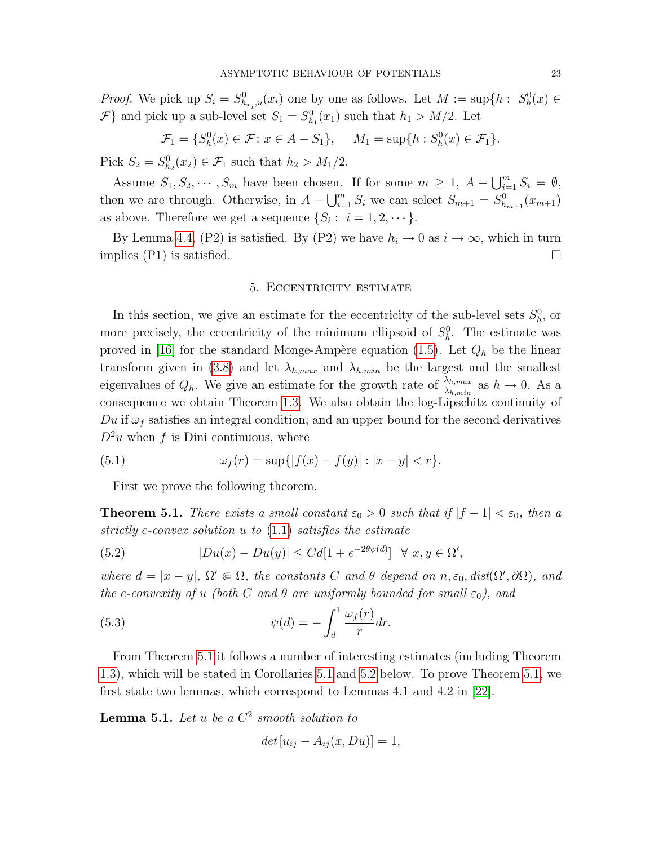*Proof.* We pick up  $S_i = S^0_{h_{x_i},u}(x_i)$  one by one as follows. Let  $M := \sup\{h : S^0_h(x) \in$  $\mathcal{F}$  and pick up a sub-level set  $S_1 = S_{h_1}^0(x_1)$  such that  $h_1 > M/2$ . Let

$$
\mathcal{F}_1 = \{ S_h^0(x) \in \mathcal{F} \colon x \in A - S_1 \}, \quad M_1 = \sup \{ h : S_h^0(x) \in \mathcal{F}_1 \}.
$$

Pick  $S_2 = S_{h_2}^0(x_2) \in \mathcal{F}_1$  such that  $h_2 > M_1/2$ .

Assume  $S_1, S_2, \cdots, S_m$  have been chosen. If for some  $m \geq 1$ ,  $A - \bigcup_{i=1}^m S_i = \emptyset$ , then we are through. Otherwise, in  $A - \bigcup_{i=1}^{m} S_i$  we can select  $S_{m+1} = S_{h_{m+1}}^0(x_{m+1})$ as above. Therefore we get a sequence  $\{S_i: i = 1, 2, \dots\}.$ 

By Lemma [4.4,](#page-23-1) (P2) is satisfied. By (P2) we have  $h_i \to 0$  as  $i \to \infty$ , which in turn implies (P1) is satisfied.  $\square$ 

#### 5. Eccentricity estimate

In this section, we give an estimate for the eccentricity of the sub-level sets  $S_h^0$ , or more precisely, the eccentricity of the minimum ellipsoid of  $S_h^0$ . The estimate was proved in [\[16\]](#page-40-16) for the standard Monge-Ampère equation [\(1.5\)](#page-3-0). Let  $Q_h$  be the linear transform given in [\(3.8\)](#page-14-3) and let  $\lambda_{h,max}$  and  $\lambda_{h,min}$  be the largest and the smallest eigenvalues of  $Q_h$ . We give an estimate for the growth rate of  $\frac{\lambda_{h,max}}{\lambda_{h,min}}$  as  $h \to 0$ . As a consequence we obtain Theorem [1.3.](#page-6-0) We also obtain the log-Lipschitz continuity of Du if  $\omega_f$  satisfies an integral condition; and an upper bound for the second derivatives  $D^2u$  when f is Dini continuous, where

(5.1) 
$$
\omega_f(r) = \sup\{|f(x) - f(y)| : |x - y| < r\}.
$$

First we prove the following theorem.

<span id="page-24-0"></span>**Theorem 5.1.** There exists a small constant  $\varepsilon_0 > 0$  such that if  $|f - 1| < \varepsilon_0$ , then a strictly c-convex solution u to [\(1.1\)](#page-2-0) satisfies the estimate

<span id="page-24-2"></span>(5.2) 
$$
|Du(x) - Du(y)| \leq C d[1 + e^{-2\theta \psi(d)}] \quad \forall \ x, y \in \Omega',
$$

where  $d = |x - y|$ ,  $\Omega' \in \Omega$ , the constants C and  $\theta$  depend on  $n, \varepsilon_0$ , dist $(\Omega', \partial \Omega)$ , and the c-convexity of u (both C and  $\theta$  are uniformly bounded for small  $\varepsilon_0$ ), and

(5.3) 
$$
\psi(d) = -\int_d^1 \frac{\omega_f(r)}{r} dr.
$$

From Theorem [5.1](#page-24-0) it follows a number of interesting estimates (including Theorem [1.3\)](#page-6-0), which will be stated in Corollaries [5.1](#page-31-0) and [5.2](#page-31-1) below. To prove Theorem [5.1,](#page-24-0) we first state two lemmas, which correspond to Lemmas 4.1 and 4.2 in [\[22\]](#page-41-11).

<span id="page-24-1"></span>**Lemma 5.1.** Let u be a  $C^2$  smooth solution to

<span id="page-24-3"></span>
$$
det[u_{ij} - A_{ij}(x, Du)] = 1,
$$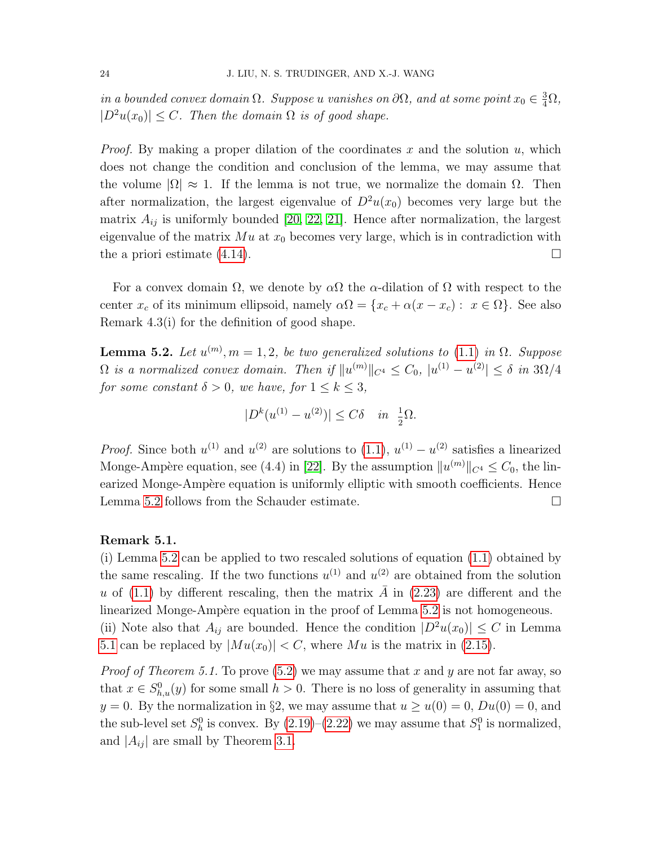in a bounded convex domain  $\Omega$ . Suppose u vanishes on  $\partial\Omega$ , and at some point  $x_0 \in \frac{3}{4}\Omega$ ,  $|D^2u(x_0)| \leq C$ . Then the domain  $\Omega$  is of good shape.

*Proof.* By making a proper dilation of the coordinates x and the solution  $u$ , which does not change the condition and conclusion of the lemma, we may assume that the volume  $|\Omega| \approx 1$ . If the lemma is not true, we normalize the domain  $\Omega$ . Then after normalization, the largest eigenvalue of  $D^2u(x_0)$  becomes very large but the matrix  $A_{ij}$  is uniformly bounded [\[20,](#page-41-8) [22,](#page-41-11) [21\]](#page-41-18). Hence after normalization, the largest eigenvalue of the matrix  $Mu$  at  $x_0$  becomes very large, which is in contradiction with the a priori estimate  $(4.14)$ .

For a convex domain  $\Omega$ , we denote by  $\alpha\Omega$  the  $\alpha$ -dilation of  $\Omega$  with respect to the center  $x_c$  of its minimum ellipsoid, namely  $\alpha \Omega = \{x_c + \alpha(x - x_c) : x \in \Omega\}$ . See also Remark 4.3(i) for the definition of good shape.

<span id="page-25-0"></span>**Lemma 5.2.** Let  $u^{(m)}$ ,  $m = 1, 2$ , be two generalized solutions to [\(1.1\)](#page-2-0) in  $\Omega$ . Suppose  $\Omega$  is a normalized convex domain. Then if  $||u^{(m)}||_{C^4} \leq C_0$ ,  $|u^{(1)} - u^{(2)}| \leq \delta$  in  $3\Omega/4$ for some constant  $\delta > 0$ , we have, for  $1 \leq k \leq 3$ ,

$$
|D^{k}(u^{(1)} - u^{(2)})| \leq C\delta \quad in \ \ \frac{1}{2}\Omega.
$$

*Proof.* Since both  $u^{(1)}$  and  $u^{(2)}$  are solutions to  $(1.1), u^{(1)} - u^{(2)}$  satisfies a linearized Monge-Ampère equation, see (4.4) in [\[22\]](#page-41-11). By the assumption  $||u^{(m)}||_{C^4} \leq C_0$ , the linearized Monge-Ampère equation is uniformly elliptic with smooth coefficients. Hence Lemma [5.2](#page-25-0) follows from the Schauder estimate.

#### Remark 5.1.

(i) Lemma [5.2](#page-25-0) can be applied to two rescaled solutions of equation [\(1.1\)](#page-2-0) obtained by the same rescaling. If the two functions  $u^{(1)}$  and  $u^{(2)}$  are obtained from the solution u of [\(1.1\)](#page-2-0) by different rescaling, then the matrix  $\overline{A}$  in [\(2.23\)](#page-12-4) are different and the linearized Monge-Ampère equation in the proof of Lemma [5.2](#page-25-0) is not homogeneous. (ii) Note also that  $A_{ij}$  are bounded. Hence the condition  $|D^2u(x_0)| \leq C$  in Lemma

[5.1](#page-24-1) can be replaced by  $|Mu(x_0)| < C$ , where Mu is the matrix in [\(2.15\)](#page-10-1).

*Proof of Theorem 5.1.* To prove  $(5.2)$  we may assume that x and y are not far away, so that  $x \in S_{h,u}^0(y)$  for some small  $h > 0$ . There is no loss of generality in assuming that  $y = 0$ . By the normalization in §2, we may assume that  $u \ge u(0) = 0$ ,  $Du(0) = 0$ , and the sub-level set  $S_h^0$  is convex. By  $(2.19)$ – $(2.22)$  we may assume that  $S_1^0$  is normalized, and  $|A_{ij}|$  are small by Theorem [3.1.](#page-16-0)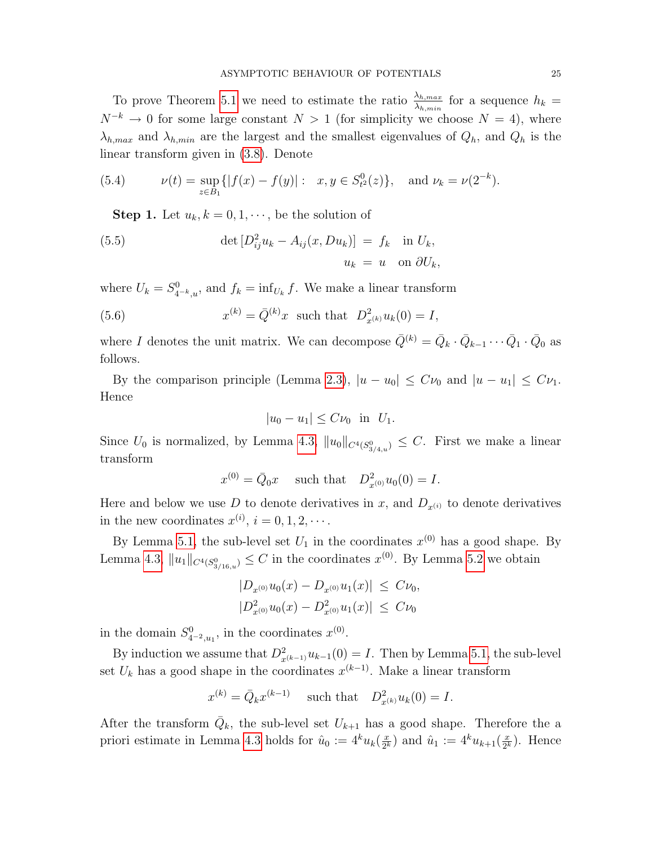To prove Theorem [5.1](#page-24-0) we need to estimate the ratio  $\frac{\lambda_{h,max}}{\lambda_{h,min}}$  for a sequence  $h_k =$  $N^{-k} \to 0$  for some large constant  $N > 1$  (for simplicity we choose  $N = 4$ ), where  $\lambda_{h,max}$  and  $\lambda_{h,min}$  are the largest and the smallest eigenvalues of  $Q_h$ , and  $Q_h$  is the linear transform given in [\(3.8\)](#page-14-3). Denote

(5.4) 
$$
\nu(t) = \sup_{z \in B_1} \{|f(x) - f(y)| : x, y \in S^0_{t^2}(z)\}, \text{ and } \nu_k = \nu(2^{-k}).
$$

**Step 1.** Let  $u_k, k = 0, 1, \dots$ , be the solution of

(5.5) 
$$
\det [D_{ij}^2 u_k - A_{ij}(x, Du_k)] = f_k \quad \text{in } U_k,
$$

$$
u_k = u \quad \text{on } \partial U_k,
$$

where  $U_k = S_{4-k,u}^0$ , and  $f_k = \inf_{U_k} f$ . We make a linear transform

(5.6) 
$$
x^{(k)} = \bar{Q}^{(k)}x \text{ such that } D_{x^{(k)}}^2 u_k(0) = I,
$$

where I denotes the unit matrix. We can decompose  $\bar{Q}^{(k)} = \bar{Q}_k \cdot \bar{Q}_{k-1} \cdots \bar{Q}_1 \cdot \bar{Q}_0$  as follows.

By the comparison principle (Lemma [2.3\)](#page-11-0),  $|u - u_0| \leq C \nu_0$  and  $|u - u_1| \leq C \nu_1$ . Hence

$$
|u_0 - u_1| \leq C\nu_0 \quad \text{in} \quad U_1.
$$

Since  $U_0$  is normalized, by Lemma [4.3,](#page-20-1)  $||u_0||_{C^4(S^0_{3/4,u})} \leq C$ . First we make a linear transform

$$
x^{(0)} = \overline{Q}_0 x
$$
 such that  $D_{x^{(0)}}^2 u_0(0) = I$ .

Here and below we use D to denote derivatives in x, and  $D_{x^{(i)}}$  to denote derivatives in the new coordinates  $x^{(i)}$ ,  $i = 0, 1, 2, \cdots$ .

By Lemma [5.1,](#page-24-1) the sub-level set  $U_1$  in the coordinates  $x^{(0)}$  has a good shape. By Lemma [4.3,](#page-20-1)  $||u_1||_{C^{4}(S^0_{3/16,u})} \leq C$  in the coordinates  $x^{(0)}$ . By Lemma [5.2](#page-25-0) we obtain

$$
|D_{x^{(0)}}u_0(x) - D_{x^{(0)}}u_1(x)| \leq C\nu_0,
$$
  

$$
|D_{x^{(0)}}^2u_0(x) - D_{x^{(0)}}^2u_1(x)| \leq C\nu_0
$$

in the domain  $S_{4^{-2},u_1}^0$ , in the coordinates  $x^{(0)}$ .

By induction we assume that  $D_{x^{(k-1)}}^2 u_{k-1}(0) = I$ . Then by Lemma [5.1,](#page-24-1) the sub-level set  $U_k$  has a good shape in the coordinates  $x^{(k-1)}$ . Make a linear transform

$$
x^{(k)} = \bar{Q}_k x^{(k-1)}
$$
 such that  $D_{x^{(k)}}^2 u_k(0) = I$ .

After the transform  $\overline{Q}_k$ , the sub-level set  $U_{k+1}$  has a good shape. Therefore the a priori estimate in Lemma [4.3](#page-20-1) holds for  $\hat{u}_0 := 4^k u_k(\frac{x}{2^k})$  $(\frac{x}{2^k})$  and  $\hat{u}_1 := 4^k u_{k+1}(\frac{x}{2^k})$  $\frac{x}{2^k}$ ). Hence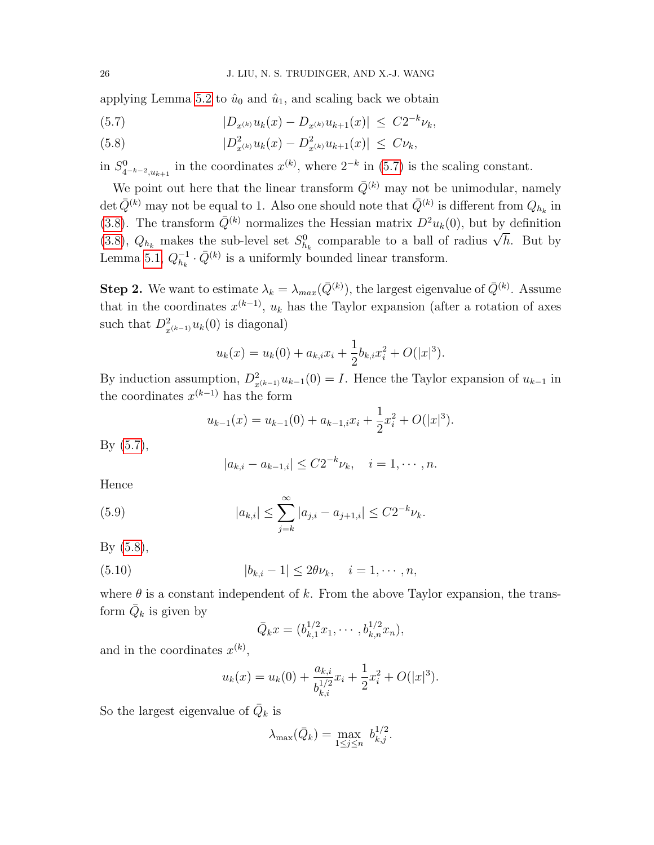applying Lemma [5.2](#page-25-0) to  $\hat{u}_0$  and  $\hat{u}_1$ , and scaling back we obtain

(5.7) 
$$
|D_{x^{(k)}}u_k(x) - D_{x^{(k)}}u_{k+1}(x)| \leq C2^{-k}\nu_k,
$$

<span id="page-27-0"></span>(5.8) 
$$
|D_{x^{(k)}}^2 u_k(x) - D_{x^{(k)}}^2 u_{k+1}(x)| \leq C \nu_k,
$$

in  $S_{4^{-k-2},u_{k+1}}^0$  in the coordinates  $x^{(k)}$ , where  $2^{-k}$  in [\(5.7\)](#page-27-0) is the scaling constant.

We point out here that the linear transform  $\overline{Q}^{(k)}$  may not be unimodular, namely det  $\bar{Q}^{(k)}$  may not be equal to 1. Also one should note that  $\bar{Q}^{(k)}$  is different from  $Q_{h_k}$  in [\(3.8\)](#page-14-3). The transform  $\overline{Q}^{(k)}$  normalizes the Hessian matrix  $D^2u_k(0)$ , but by definition [\(3.8\)](#page-14-3),  $Q_{h_k}$  makes the sub-level set  $S_{h_k}^0$  comparable to a ball of radius  $\sqrt{h}$ . But by (3.8),  $Q_{h_k}$  makes the sub-level set  $S_{h_k}^0$  comparable to a ball of radius  $\sqrt{h}$ . But by Lemma [5.1,](#page-24-1)  $Q_{h_1}^{-1}$  $\bar{Q}_{h_k}^{-1} \cdot \bar{Q}^{(k)}$  is a uniformly bounded linear transform.

**Step 2.** We want to estimate  $\lambda_k = \lambda_{max}(\bar{Q}^{(k)})$ , the largest eigenvalue of  $\bar{Q}^{(k)}$ . Assume that in the coordinates  $x^{(k-1)}$ ,  $u_k$  has the Taylor expansion (after a rotation of axes such that  $D_{x^{(k-1)}}^2 u_k(0)$  is diagonal)

$$
u_k(x) = u_k(0) + a_{k,i}x_i + \frac{1}{2}b_{k,i}x_i^2 + O(|x|^3).
$$

By induction assumption,  $D_{x^{(k-1)}}^2 u_{k-1}(0) = I$ . Hence the Taylor expansion of  $u_{k-1}$  in the coordinates  $x^{(k-1)}$  has the form

$$
u_{k-1}(x) = u_{k-1}(0) + a_{k-1,i}x_i + \frac{1}{2}x_i^2 + O(|x|^3).
$$

By [\(5.7\)](#page-27-0),

$$
|a_{k,i} - a_{k-1,i}| \le C2^{-k} \nu_k, \quad i = 1, \cdots, n.
$$

Hence

(5.9) 
$$
|a_{k,i}| \leq \sum_{j=k}^{\infty} |a_{j,i} - a_{j+1,i}| \leq C2^{-k} \nu_k.
$$

By [\(5.8\)](#page-27-0),

(5.10) 
$$
|b_{k,i} - 1| \le 2\theta \nu_k, \quad i = 1, \cdots, n,
$$

where  $\theta$  is a constant independent of k. From the above Taylor expansion, the transform  $\overline{Q}_k$  is given by

<span id="page-27-1"></span>
$$
\bar{Q}_k x = (b_{k,1}^{1/2} x_1, \cdots, b_{k,n}^{1/2} x_n),
$$

and in the coordinates  $x^{(k)}$ ,

$$
u_k(x) = u_k(0) + \frac{a_{k,i}}{b_{k,i}^{1/2}} x_i + \frac{1}{2} x_i^2 + O(|x|^3).
$$

So the largest eigenvalue of  $\overline{Q}_k$  is

$$
\lambda_{\max}(\bar{Q}_k) = \max_{1 \le j \le n} b_{k,j}^{1/2}.
$$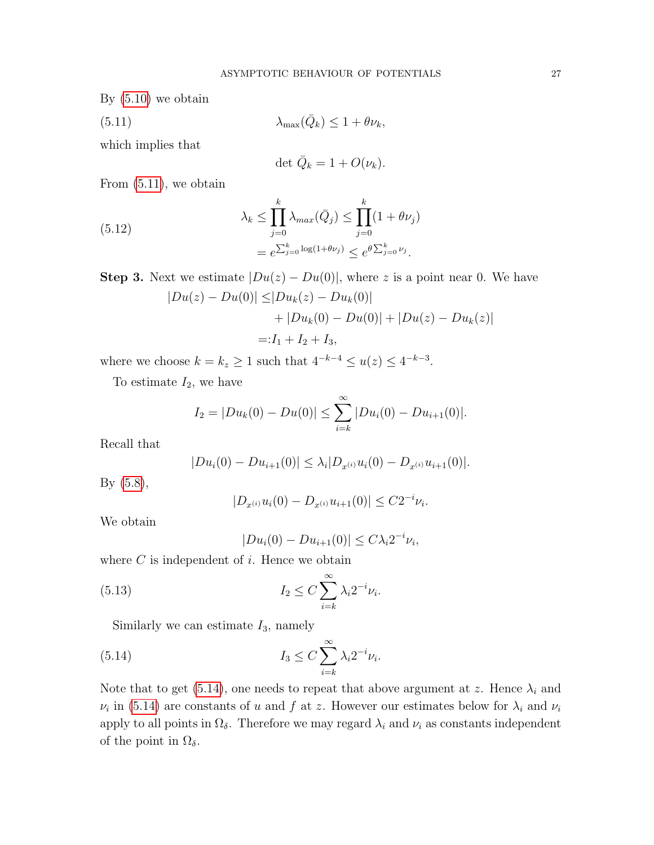By [\(5.10\)](#page-27-1) we obtain

(5.11)  $\lambda_{\max}(\bar{Q}_k) \leq 1 + \theta \nu_k,$ 

which implies that

<span id="page-28-0"></span>
$$
\det \bar{Q}_k = 1 + O(\nu_k).
$$

From [\(5.11\)](#page-28-0), we obtain

<span id="page-28-2"></span>(5.12) 
$$
\lambda_k \leq \prod_{j=0}^k \lambda_{max}(\bar{Q}_j) \leq \prod_{j=0}^k (1 + \theta \nu_j)
$$

$$
= e^{\sum_{j=0}^k \log(1 + \theta \nu_j)} \leq e^{\theta \sum_{j=0}^k \nu_j}.
$$

**Step 3.** Next we estimate  $|Du(z) - Du(0)|$ , where z is a point near 0. We have  $|Du(z) - Du(0)| \leq |Du_k(z) - Du_k(0)|$ 

$$
+ |Du_k(0) - Du(0)| + |Du(z) - Du_k(z)|
$$
  
=:I<sub>1</sub> + I<sub>2</sub> + I<sub>3</sub>,

where we choose  $k = k_z \geq 1$  such that  $4^{-k-4} \leq u(z) \leq 4^{-k-3}$ .

To estimate  $I_2$ , we have

$$
I_2 = |Du_k(0) - Du(0)| \le \sum_{i=k}^{\infty} |Du_i(0) - Du_{i+1}(0)|.
$$

Recall that

$$
|Du_i(0) - Du_{i+1}(0)| \leq \lambda_i |D_{x^{(i)}} u_i(0) - D_{x^{(i)}} u_{i+1}(0)|.
$$

By [\(5.8\)](#page-27-0),

$$
|D_{x^{(i)}}u_i(0) - D_{x^{(i)}}u_{i+1}(0)| \leq C2^{-i}\nu_i.
$$

We obtain

<span id="page-28-1"></span>
$$
|Du_i(0) - Du_{i+1}(0)| \le C\lambda_i 2^{-i}\nu_i,
$$

where  $C$  is independent of  $i$ . Hence we obtain

(5.13) 
$$
I_2 \leq C \sum_{i=k}^{\infty} \lambda_i 2^{-i} \nu_i.
$$

Similarly we can estimate  $I_3$ , namely

(5.14) 
$$
I_3 \leq C \sum_{i=k}^{\infty} \lambda_i 2^{-i} \nu_i.
$$

Note that to get [\(5.14\)](#page-28-1), one needs to repeat that above argument at z. Hence  $\lambda_i$  and  $\nu_i$  in [\(5.14\)](#page-28-1) are constants of u and f at z. However our estimates below for  $\lambda_i$  and  $\nu_i$ apply to all points in  $\Omega_{\delta}$ . Therefore we may regard  $\lambda_i$  and  $\nu_i$  as constants independent of the point in  $\Omega_{\delta}$ .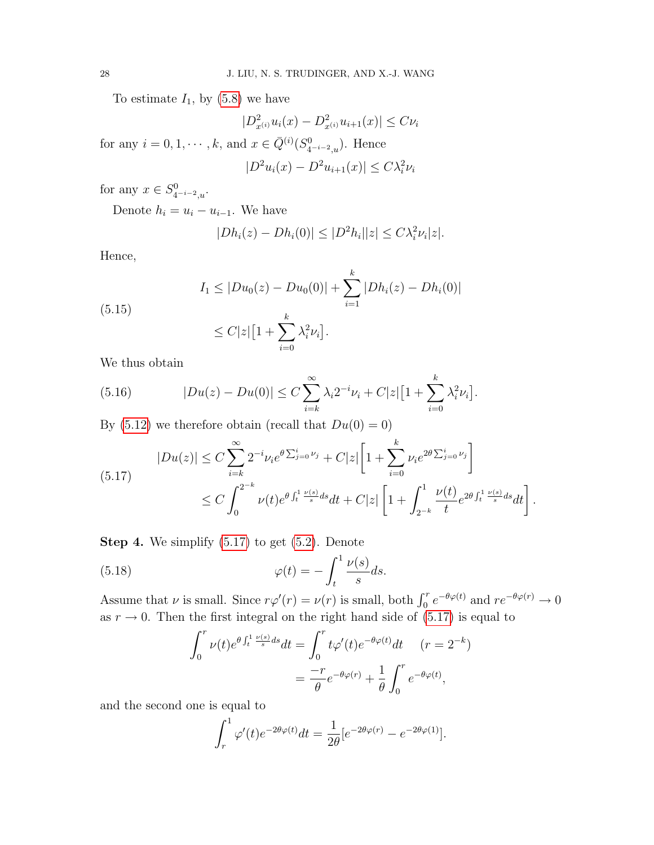To estimate  $I_1$ , by  $(5.8)$  we have

$$
|D_{x^{(i)}}^2 u_i(x) - D_{x^{(i)}}^2 u_{i+1}(x)| \le C\nu_i
$$

for any  $i = 0, 1, \dots, k$ , and  $x \in \overline{Q}^{(i)}(S^0_{4^{-i-2},u})$ . Hence

$$
|D^2u_i(x) - D^2u_{i+1}(x)| \leq C\lambda_i^2\nu_i
$$

for any  $x \in S^0_{4^{-i-2},u}$ .

Denote  $h_i = u_i - u_{i-1}$ . We have

$$
|Dh_i(z) - Dh_i(0)| \le |D^2h_i||z| \le C\lambda_i^2 \nu_i|z|.
$$

Hence,

(5.15)  

$$
I_1 \le |Du_0(z) - Du_0(0)| + \sum_{i=1}^k |Dh_i(z) - Dh_i(0)|
$$

$$
\le C|z|\left[1 + \sum_{i=0}^k \lambda_i^2 \nu_i\right].
$$

We thus obtain

(5.16) 
$$
|Du(z) - Du(0)| \leq C \sum_{i=k}^{\infty} \lambda_i 2^{-i} \nu_i + C|z| \left[1 + \sum_{i=0}^{k} \lambda_i^2 \nu_i\right].
$$

By [\(5.12\)](#page-28-2) we therefore obtain (recall that  $Du(0) = 0$ )

<span id="page-29-0"></span>
$$
|Du(z)| \leq C \sum_{i=k}^{\infty} 2^{-i} \nu_i e^{\theta \sum_{j=0}^i \nu_j} + C|z| \left[ 1 + \sum_{i=0}^k \nu_i e^{2\theta \sum_{j=0}^i \nu_j} \right]
$$
  

$$
\leq C \int_0^{2^{-k}} \nu(t) e^{\theta \int_t^1 \frac{\nu(s)}{s} ds} dt + C|z| \left[ 1 + \int_{2^{-k}}^1 \frac{\nu(t)}{t} e^{2\theta \int_t^1 \frac{\nu(s)}{s} ds} dt \right].
$$

**Step 4.** We simplify  $(5.17)$  to get  $(5.2)$ . Denote

(5.18) 
$$
\varphi(t) = -\int_t^1 \frac{\nu(s)}{s} ds.
$$

Assume that  $\nu$  is small. Since  $r\varphi'(r) = \nu(r)$  is small, both  $\int_0^r e^{-\theta \varphi(t)}$  and  $re^{-\theta \varphi(r)} \to 0$ as  $r \to 0$ . Then the first integral on the right hand side of [\(5.17\)](#page-29-0) is equal to

$$
\int_0^r \nu(t)e^{\theta \int_t^1 \frac{\nu(s)}{s} ds} dt = \int_0^r t\varphi'(t)e^{-\theta \varphi(t)} dt \quad (r = 2^{-k})
$$

$$
= \frac{-r}{\theta}e^{-\theta \varphi(r)} + \frac{1}{\theta}\int_0^r e^{-\theta \varphi(t)},
$$

and the second one is equal to

$$
\int_r^1 \varphi'(t)e^{-2\theta\varphi(t)}dt = \frac{1}{2\theta}[e^{-2\theta\varphi(r)} - e^{-2\theta\varphi(1)}].
$$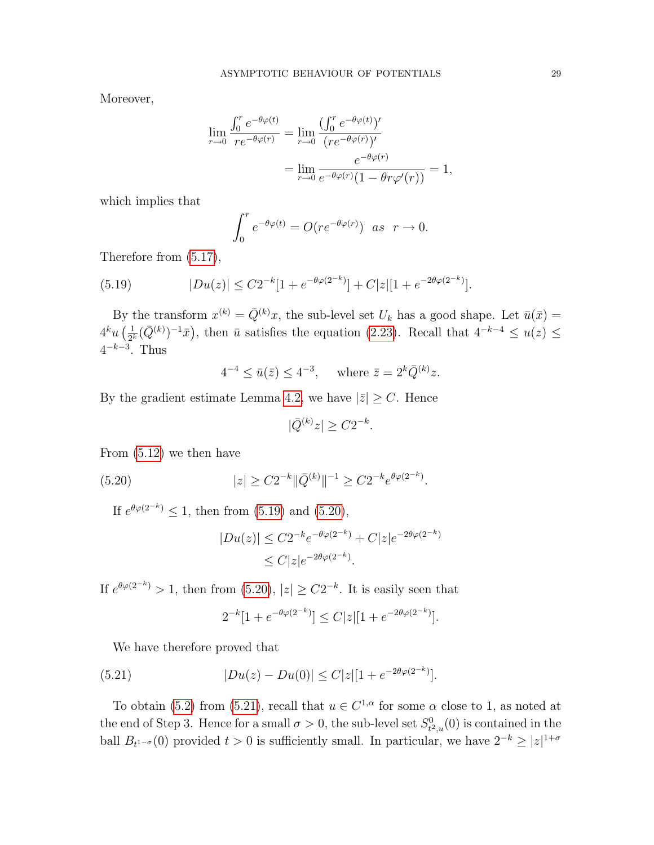Moreover,

$$
\lim_{r \to 0} \frac{\int_0^r e^{-\theta \varphi(t)}}{re^{-\theta \varphi(r)}} = \lim_{r \to 0} \frac{(\int_0^r e^{-\theta \varphi(t)})'}{(re^{-\theta \varphi(r)})'} = \lim_{r \to 0} \frac{e^{-\theta \varphi(r)}}{e^{-\theta \varphi(r)}(1 - \theta r \varphi'(r))} = 1,
$$

which implies that

<span id="page-30-0"></span>
$$
\int_0^r e^{-\theta \varphi(t)} = O(re^{-\theta \varphi(r)}) \text{ as } r \to 0.
$$

Therefore from [\(5.17\)](#page-29-0),

(5.19) 
$$
|Du(z)| \leq C2^{-k}[1+e^{-\theta \varphi(2^{-k})}] + C|z|[1+e^{-2\theta \varphi(2^{-k})}].
$$

By the transform  $x^{(k)} = \overline{Q}^{(k)}x$ , the sub-level set  $U_k$  has a good shape. Let  $\overline{u}(\overline{x}) =$  $4^k u\left(\frac{1}{2^k}\right)$  $\frac{1}{2^k}(\bar{Q}^{(k)})^{-1}\bar{x}$ , then  $\bar{u}$  satisfies the equation [\(2.23\)](#page-12-4). Recall that  $4^{-k-4} \leq u(z) \leq$  $4^{-k-3}$ . Thus

 $4^{-4} \le \bar{u}(\bar{z}) \le 4^{-3}$ , where  $\bar{z} = 2^{k} \bar{Q}^{(k)} z$ .

By the gradient estimate Lemma [4.2,](#page-19-0) we have  $|\bar{z}| \geq C$ . Hence

$$
|\bar{Q}^{(k)}z| \ge C2^{-k}.
$$

From [\(5.12\)](#page-28-2) we then have

(5.20) 
$$
|z| \geq C2^{-k} \|\bar{Q}^{(k)}\|^{-1} \geq C2^{-k} e^{\theta \varphi(2^{-k})}.
$$

If  $e^{\theta \varphi(2^{-k})} \leq 1$ , then from [\(5.19\)](#page-30-0) and [\(5.20\)](#page-30-1),

<span id="page-30-1"></span>
$$
|Du(z)| \le C2^{-k} e^{-\theta \varphi(2^{-k})} + C|z| e^{-2\theta \varphi(2^{-k})}
$$
  
 
$$
\le C|z| e^{-2\theta \varphi(2^{-k})}.
$$

If  $e^{\theta \varphi(2^{-k})} > 1$ , then from  $(5.20)$ ,  $|z| \ge C2^{-k}$ . It is easily seen that

<span id="page-30-2"></span>
$$
2^{-k}[1 + e^{-\theta \varphi(2^{-k})}] \le C|z|[1 + e^{-2\theta \varphi(2^{-k})}].
$$

We have therefore proved that

(5.21) 
$$
|Du(z) - Du(0)| \le C|z|[1 + e^{-2\theta \varphi(2^{-k})}].
$$

To obtain [\(5.2\)](#page-24-2) from [\(5.21\)](#page-30-2), recall that  $u \in C^{1,\alpha}$  for some  $\alpha$  close to 1, as noted at the end of Step 3. Hence for a small  $\sigma > 0$ , the sub-level set  $S^0_t$ .  $\mathcal{L}_{t^2,u}^0(0)$  is contained in the ball  $B_{t^{1-\sigma}}(0)$  provided  $t > 0$  is sufficiently small. In particular, we have  $2^{-k} \geq |z|^{1+\sigma}$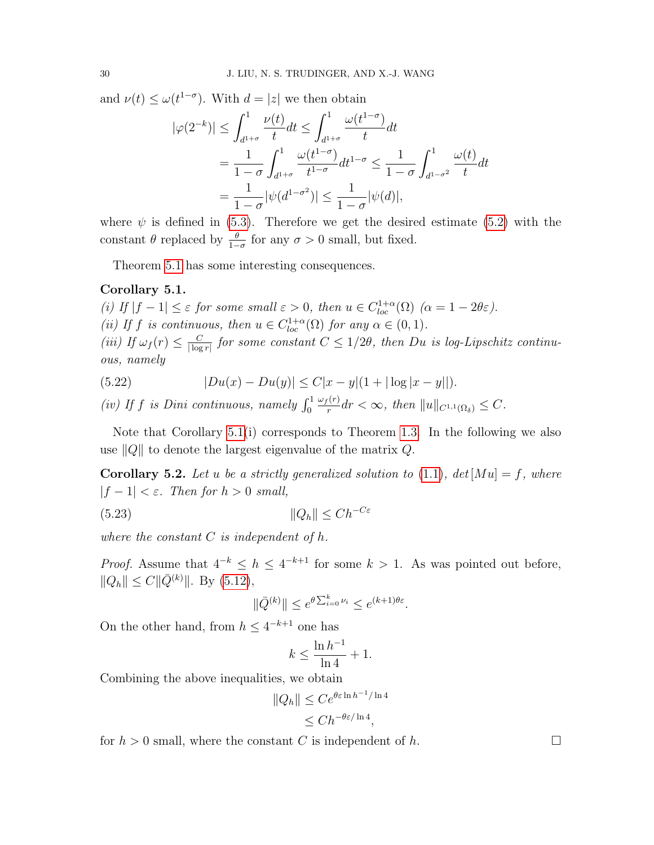and  $\nu(t) \leq \omega(t^{1-\sigma})$ . With  $d = |z|$  we then obtain

$$
|\varphi(2^{-k})| \le \int_{d^{1+\sigma}}^1 \frac{\nu(t)}{t} dt \le \int_{d^{1+\sigma}}^1 \frac{\omega(t^{1-\sigma})}{t} dt
$$
  
=  $\frac{1}{1-\sigma} \int_{d^{1+\sigma}}^1 \frac{\omega(t^{1-\sigma})}{t^{1-\sigma}} dt^{1-\sigma} \le \frac{1}{1-\sigma} \int_{d^{1-\sigma^2}}^1 \frac{\omega(t)}{t} dt$   
=  $\frac{1}{1-\sigma} |\psi(d^{1-\sigma^2})| \le \frac{1}{1-\sigma} |\psi(d)|,$ 

where  $\psi$  is defined in [\(5.3\)](#page-24-3). Therefore we get the desired estimate [\(5.2\)](#page-24-2) with the constant  $\theta$  replaced by  $\frac{\theta}{1-\sigma}$  for any  $\sigma > 0$  small, but fixed.

Theorem [5.1](#page-24-0) has some interesting consequences.

#### <span id="page-31-0"></span>Corollary 5.1.

(i) If  $|f-1| \leq \varepsilon$  for some small  $\varepsilon > 0$ , then  $u \in C_{loc}^{1+\alpha}(\Omega)$   $(\alpha = 1-2\theta\varepsilon)$ . (ii) If f is continuous, then  $u \in C^{1+\alpha}_{loc}(\Omega)$  for any  $\alpha \in (0,1)$ . (iii) If  $\omega_f(r) \leq \frac{C}{\log r}$  $\frac{C}{|\log r|}$  for some constant  $C \leq 1/2\theta$ , then Du is log-Lipschitz continuous, namely

(5.22) 
$$
|Du(x) - Du(y)| \le C|x - y|(1 + |\log|x - y||).
$$

(iv) If f is Dini continuous, namely  $\int_0^1$  $\omega_f(r)$  $\frac{f^{(r)}}{r}$ dr  $<\infty$ , then  $||u||_{C^{1,1}(\Omega_\delta)} \leq C$ .

Note that Corollary  $5.1(i)$  corresponds to Theorem [1.3.](#page-6-0) In the following we also use  $||Q||$  to denote the largest eigenvalue of the matrix Q.

<span id="page-31-1"></span>**Corollary 5.2.** Let u be a strictly generalized solution to [\(1.1\)](#page-2-0),  $det[Mu] = f$ , where  $|f - 1| < \varepsilon$ . Then for  $h > 0$  small,

$$
(5.23)\t\t\t\t\t\|Q_h\| \le Ch^{-C\varepsilon}
$$

where the constant  $C$  is independent of  $h$ .

*Proof.* Assume that  $4^{-k} \leq h \leq 4^{-k+1}$  for some  $k > 1$ . As was pointed out before,  $||Q_h|| \leq C ||\bar{Q}^{(k)}||$ . By [\(5.12\)](#page-28-2),

<span id="page-31-2"></span>
$$
\|\bar{Q}^{(k)}\| \le e^{\theta \sum_{i=0}^k \nu_i} \le e^{(k+1)\theta \varepsilon}.
$$

On the other hand, from  $h \leq 4^{-k+1}$  one has

$$
k \le \frac{\ln h^{-1}}{\ln 4} + 1.
$$

Combining the above inequalities, we obtain

$$
||Q_h|| \le Ce^{\theta \varepsilon \ln h^{-1} / \ln 4}
$$
  

$$
\le Ch^{-\theta \varepsilon / \ln 4},
$$

for  $h > 0$  small, where the constant C is independent of h.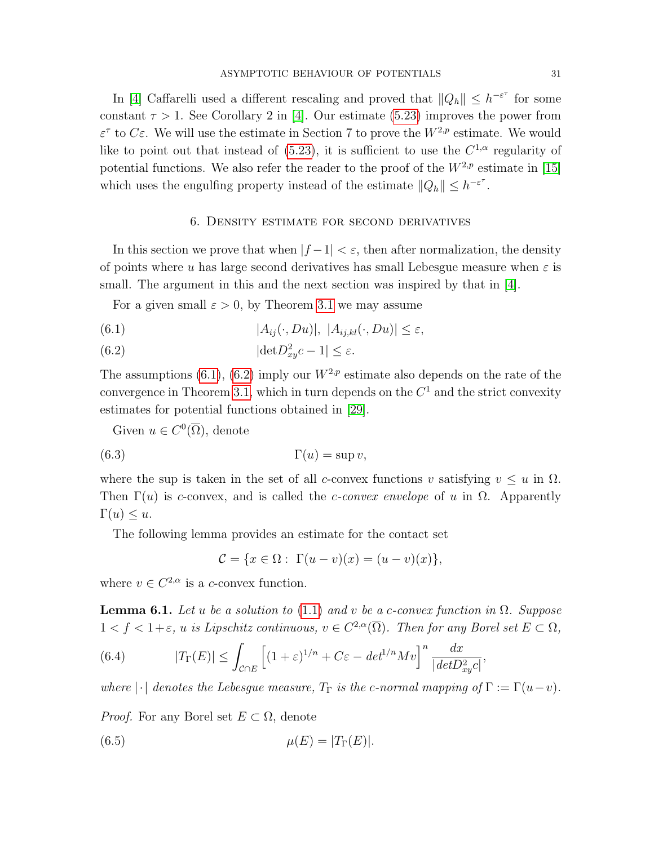In [\[4\]](#page-40-0) Caffarelli used a different rescaling and proved that  $||Q_h|| \leq h^{-\varepsilon^{\tau}}$  for some constant  $\tau > 1$ . See Corollary 2 in [\[4\]](#page-40-0). Our estimate [\(5.23\)](#page-31-2) improves the power from  $\varepsilon^{\tau}$  to  $C\varepsilon$ . We will use the estimate in Section 7 to prove the  $W^{2,p}$  estimate. We would like to point out that instead of  $(5.23)$ , it is sufficient to use the  $C^{1,\alpha}$  regularity of potential functions. We also refer the reader to the proof of the  $W^{2,p}$  estimate in [\[15\]](#page-40-17) which uses the engulfing property instead of the estimate  $||Q_h|| \leq h^{-\varepsilon^{\tau}}$ .

#### <span id="page-32-0"></span>6. Density estimate for second derivatives

In this section we prove that when  $|f-1| < \varepsilon$ , then after normalization, the density of points where u has large second derivatives has small Lebesgue measure when  $\varepsilon$  is small. The argument in this and the next section was inspired by that in  $|4|$ .

For a given small  $\varepsilon > 0$ , by Theorem [3.1](#page-16-0) we may assume

(6.1) 
$$
|A_{ij}(\cdot, Du)|, |A_{ij,kl}(\cdot, Du)| \leq \varepsilon,
$$

(6.2) 
$$
|\det D_{xy}^2 c - 1| \le \varepsilon.
$$

The assumptions [\(6.1\)](#page-32-0), [\(6.2\)](#page-32-0) imply our  $W^{2,p}$  estimate also depends on the rate of the convergence in Theorem [3.1,](#page-16-0) which in turn depends on the  $C<sup>1</sup>$  and the strict convexity estimates for potential functions obtained in [\[29\]](#page-41-7).

Given  $u \in C^0(\overline{\Omega})$ , denote

$$
\Gamma(u) = \sup v,
$$

where the sup is taken in the set of all c-convex functions v satisfying  $v \leq u$  in  $\Omega$ . Then  $\Gamma(u)$  is c-convex, and is called the c-convex envelope of u in  $\Omega$ . Apparently  $\Gamma(u) \leq u.$ 

The following lemma provides an estimate for the contact set

$$
\mathcal{C} = \{ x \in \Omega : \Gamma(u - v)(x) = (u - v)(x) \},
$$

<span id="page-32-1"></span>where  $v \in C^{2,\alpha}$  is a c-convex function.

**Lemma 6.1.** Let u be a solution to [\(1.1\)](#page-2-0) and v be a c-convex function in  $\Omega$ . Suppose  $1 < f < 1+\varepsilon$ , u is Lipschitz continuous,  $v \in C^{2,\alpha}(\overline{\Omega})$ . Then for any Borel set  $E \subset \Omega$ ,

<span id="page-32-3"></span>(6.4) 
$$
|T_{\Gamma}(E)| \leq \int_{\mathcal{C} \cap E} \left[ (1+\varepsilon)^{1/n} + C\varepsilon - \det^{1/n} Mv \right]^n \frac{dx}{|\det D_{xy}^2 c|},
$$

where  $|\cdot|$  denotes the Lebesgue measure,  $T_{\Gamma}$  is the c-normal mapping of  $\Gamma := \Gamma(u-v)$ .

*Proof.* For any Borel set  $E \subset \Omega$ , denote

<span id="page-32-2"></span>
$$
\mu(E) = |T_{\Gamma}(E)|.
$$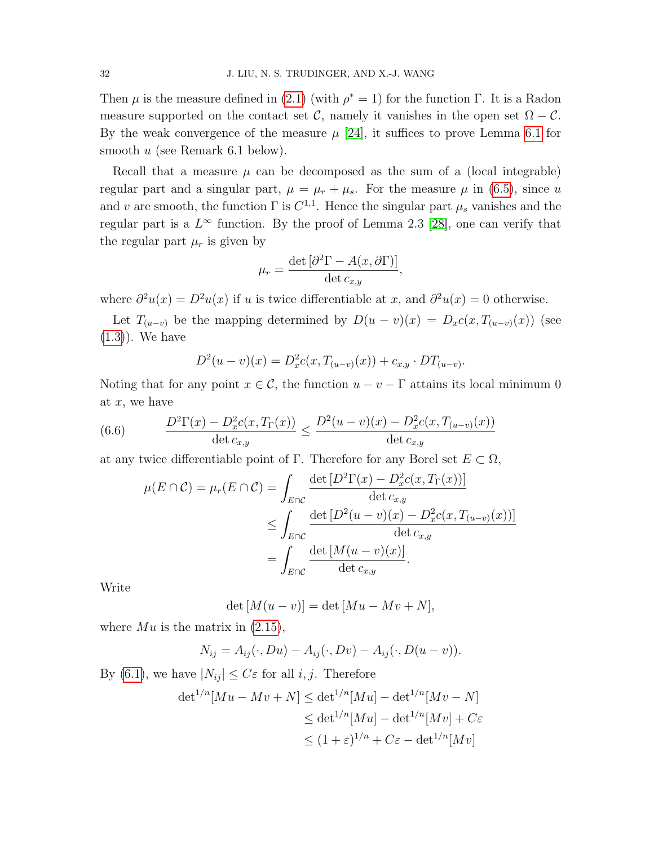Then  $\mu$  is the measure defined in [\(2.1\)](#page-7-1) (with  $\rho^* = 1$ ) for the function Γ. It is a Radon measure supported on the contact set C, namely it vanishes in the open set  $\Omega - C$ . By the weak convergence of the measure  $\mu$  [\[24\]](#page-41-2), it suffices to prove Lemma [6.1](#page-32-1) for smooth  $u$  (see Remark 6.1 below).

Recall that a measure  $\mu$  can be decomposed as the sum of a (local integrable) regular part and a singular part,  $\mu = \mu_r + \mu_s$ . For the measure  $\mu$  in [\(6.5\)](#page-32-2), since u and v are smooth, the function  $\Gamma$  is  $C^{1,1}$ . Hence the singular part  $\mu_s$  vanishes and the regular part is a  $L^{\infty}$  function. By the proof of Lemma 2.3 [\[28\]](#page-41-0), one can verify that the regular part  $\mu_r$  is given by

$$
\mu_r = \frac{\det \left[ \partial^2 \Gamma - A(x, \partial \Gamma) \right]}{\det c_{x,y}},
$$

where  $\partial^2 u(x) = D^2 u(x)$  if u is twice differentiable at x, and  $\partial^2 u(x) = 0$  otherwise.

Let  $T_{(u-v)}$  be the mapping determined by  $D(u-v)(x) = D_x c(x, T_{(u-v)}(x))$  (see [\(1.3\)](#page-2-1)). We have

$$
D^{2}(u-v)(x) = D_{x}^{2}c(x, T_{(u-v)}(x)) + c_{x,y} \cdot DT_{(u-v)}.
$$

Noting that for any point  $x \in \mathcal{C}$ , the function  $u - v - \Gamma$  attains its local minimum 0 at  $x$ , we have

(6.6) 
$$
\frac{D^2\Gamma(x) - D_x^2c(x, T_{\Gamma}(x))}{\det c_{x,y}} \le \frac{D^2(u-v)(x) - D_x^2c(x, T_{(u-v)}(x))}{\det c_{x,y}}
$$

at any twice differentiable point of Γ. Therefore for any Borel set  $E \subset \Omega$ ,

$$
\mu(E \cap C) = \mu_r(E \cap C) = \int_{E \cap C} \frac{\det [D^2 \Gamma(x) - D_x^2 c(x, T_{\Gamma}(x))]}{\det c_{x,y}} \leq \int_{E \cap C} \frac{\det [D^2(u - v)(x) - D_x^2 c(x, T_{(u-v)}(x))]}{\det c_{x,y}} \leq \int_{E \cap C} \frac{\det [M(u - v)(x)]}{\det c_{x,y}}.
$$

Write

$$
\det\left[M(u-v)\right] = \det\left[Mu - Mv + N\right],
$$

where  $Mu$  is the matrix in  $(2.15)$ ,

$$
N_{ij} = A_{ij}(\cdot, Du) - A_{ij}(\cdot, Dv) - A_{ij}(\cdot, D(u - v)).
$$

By [\(6.1\)](#page-32-0), we have  $|N_{ij}| \leq C \varepsilon$  for all *i*, *j*. Therefore

$$
\det^{1/n}[Mu - Mv + N] \le \det^{1/n}[Mu] - \det^{1/n}[Mv - N]
$$
  
\n
$$
\le \det^{1/n}[Mu] - \det^{1/n}[Mv] + C\varepsilon
$$
  
\n
$$
\le (1 + \varepsilon)^{1/n} + C\varepsilon - \det^{1/n}[Mv]
$$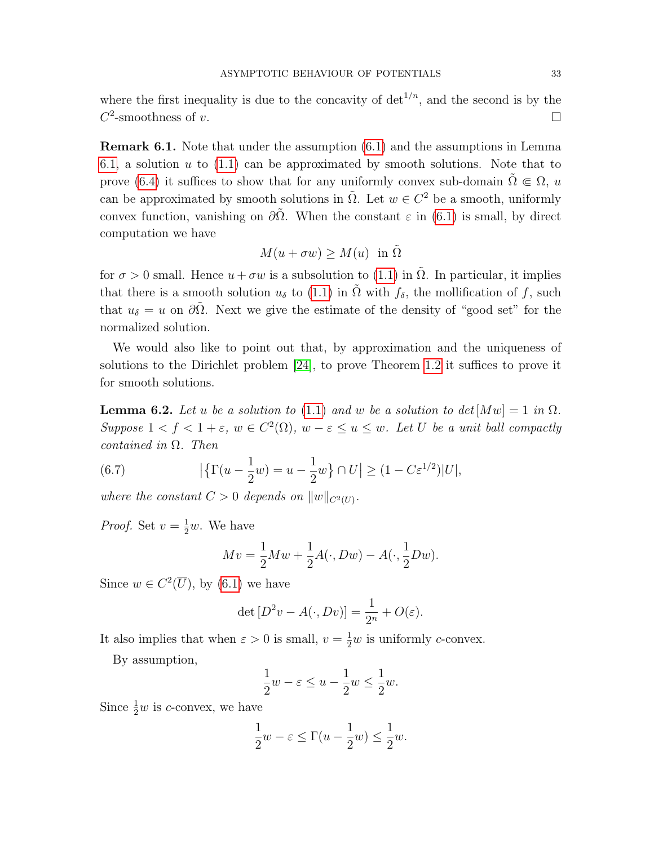where the first inequality is due to the concavity of  $\det^{1/n}$ , and the second is by the  $C^2$ -smoothness of v.

Remark 6.1. Note that under the assumption [\(6.1\)](#page-32-0) and the assumptions in Lemma [6.1,](#page-32-1) a solution  $u$  to  $(1.1)$  can be approximated by smooth solutions. Note that to prove [\(6.4\)](#page-32-3) it suffices to show that for any uniformly convex sub-domain  $\Omega \in \Omega$ , u can be approximated by smooth solutions in  $\tilde{\Omega}$ . Let  $w \in C^2$  be a smooth, uniformly convex function, vanishing on  $\partial \tilde{\Omega}$ . When the constant  $\varepsilon$  in [\(6.1\)](#page-32-0) is small, by direct computation we have

$$
M(u + \sigma w) \ge M(u) \text{ in } \tilde{\Omega}
$$

for  $\sigma > 0$  small. Hence  $u + \sigma w$  is a subsolution to [\(1.1\)](#page-2-0) in  $\Omega$ . In particular, it implies that there is a smooth solution  $u_{\delta}$  to [\(1.1\)](#page-2-0) in  $\tilde{\Omega}$  with  $f_{\delta}$ , the mollification of f, such that  $u_{\delta} = u$  on  $\partial \tilde{\Omega}$ . Next we give the estimate of the density of "good set" for the normalized solution.

We would also like to point out that, by approximation and the uniqueness of solutions to the Dirichlet problem [\[24\]](#page-41-2), to prove Theorem [1.2](#page-5-3) it suffices to prove it for smooth solutions.

<span id="page-34-0"></span>**Lemma 6.2.** Let u be a solution to [\(1.1\)](#page-2-0) and w be a solution to  $det[Mw] = 1$  in  $\Omega$ . Suppose  $1 < f < 1 + \varepsilon$ ,  $w \in C^2(\Omega)$ ,  $w - \varepsilon \le u \le w$ . Let U be a unit ball compactly contained in  $\Omega$ . Then

(6.7) 
$$
\left| \left\{ \Gamma(u - \frac{1}{2}w) = u - \frac{1}{2}w \right\} \cap U \right| \ge (1 - C\varepsilon^{1/2})|U|,
$$

where the constant  $C > 0$  depends on  $||w||_{C^2(U)}$ .

*Proof.* Set  $v = \frac{1}{2}w$ . We have

<span id="page-34-1"></span>
$$
Mv = \frac{1}{2}Mw + \frac{1}{2}A(\cdot, Dw) - A(\cdot, \frac{1}{2}Dw).
$$

Since  $w \in C^2(\overline{U})$ , by [\(6.1\)](#page-32-0) we have

$$
\det [D^2 v - A(\cdot, Dv)] = \frac{1}{2^n} + O(\varepsilon).
$$

It also implies that when  $\varepsilon > 0$  is small,  $v = \frac{1}{2}w$  is uniformly *c*-convex.

By assumption,

$$
\frac{1}{2}w - \varepsilon \le u - \frac{1}{2}w \le \frac{1}{2}w.
$$

Since  $\frac{1}{2}w$  is c-convex, we have

$$
\frac{1}{2}w - \varepsilon \le \Gamma(u - \frac{1}{2}w) \le \frac{1}{2}w.
$$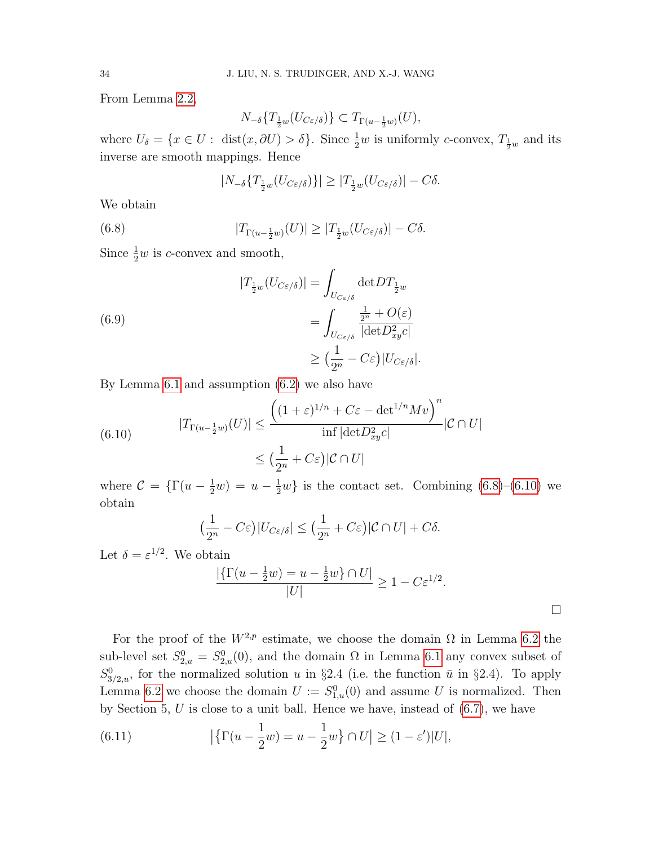From Lemma [2.2,](#page-10-2)

$$
N_{-\delta}\{T_{\frac{1}{2}w}(U_{C\varepsilon/\delta})\} \subset T_{\Gamma(u-\frac{1}{2}w)}(U),
$$

where  $U_{\delta} = \{x \in U : \text{ dist}(x, \partial U) > \delta\}$ . Since  $\frac{1}{2}w$  is uniformly c-convex,  $T_{\frac{1}{2}w}$  and its inverse are smooth mappings. Hence

<span id="page-35-0"></span>
$$
|N_{-\delta}\{T_{\frac{1}{2}w}(U_{C\varepsilon/\delta})\}| \geq |T_{\frac{1}{2}w}(U_{C\varepsilon/\delta})| - C\delta.
$$

We obtain

(6.8) 
$$
|T_{\Gamma(u-\frac{1}{2}w)}(U)| \geq |T_{\frac{1}{2}w}(U_{C\varepsilon/\delta})| - C\delta.
$$

Since  $\frac{1}{2}w$  is *c*-convex and smooth,

(6.9)  
\n
$$
|T_{\frac{1}{2}w}(U_{C\varepsilon/\delta})| = \int_{U_{C\varepsilon/\delta}} \det DT_{\frac{1}{2}w}
$$
\n
$$
= \int_{U_{C\varepsilon/\delta}} \frac{\frac{1}{2^n} + O(\varepsilon)}{|\det D_{xy}^2 c|}
$$
\n
$$
\geq (\frac{1}{2^n} - C\varepsilon)|U_{C\varepsilon/\delta}|.
$$

By Lemma [6.1](#page-32-1) and assumption [\(6.2\)](#page-32-0) we also have

<span id="page-35-1"></span>(6.10) 
$$
|T_{\Gamma(u-\frac{1}{2}w)}(U)| \leq \frac{\left((1+\varepsilon)^{1/n} + C\varepsilon - \det^{1/n} Mv\right)^n}{\inf|\det D_{xy}^2 c|} |\mathcal{C} \cap U|
$$

$$
\leq \left(\frac{1}{2^n} + C\varepsilon\right)|\mathcal{C} \cap U|
$$

where  $C = \{\Gamma(u - \frac{1}{2}w) = u - \frac{1}{2}w\}$  is the contact set. Combining [\(6.8\)](#page-35-0)–[\(6.10\)](#page-35-1) we obtain

$$
\left(\frac{1}{2^n}-C\varepsilon\right)|U_{C\varepsilon/\delta}|\leq \left(\frac{1}{2^n}+C\varepsilon\right)|C\cap U|+C\delta.
$$

Let  $\delta = \varepsilon^{1/2}$ . We obtain

$$
\frac{|\{\Gamma(u-\frac{1}{2}w)=u-\frac{1}{2}w\}\cap U|}{|U|}\geq 1-C\varepsilon^{1/2}.
$$

For the proof of the  $W^{2,p}$  estimate, we choose the domain  $\Omega$  in Lemma [6.2](#page-34-0) the sub-level set  $S_{2,u}^0 = S_{2,u}^0(0)$ , and the domain  $\Omega$  in Lemma [6.1](#page-32-1) any convex subset of  $S_{3/2,u}^0$ , for the normalized solution u in §2.4 (i.e. the function  $\bar{u}$  in §2.4). To apply Lemma [6.2](#page-34-0) we choose the domain  $U := S_{1,u}^0(0)$  and assume U is normalized. Then by Section 5,  $U$  is close to a unit ball. Hence we have, instead of  $(6.7)$ , we have

<span id="page-35-2"></span>(6.11) 
$$
\left| \left\{ \Gamma(u - \frac{1}{2}w) = u - \frac{1}{2}w \right\} \cap U \right| \ge (1 - \varepsilon')|U|,
$$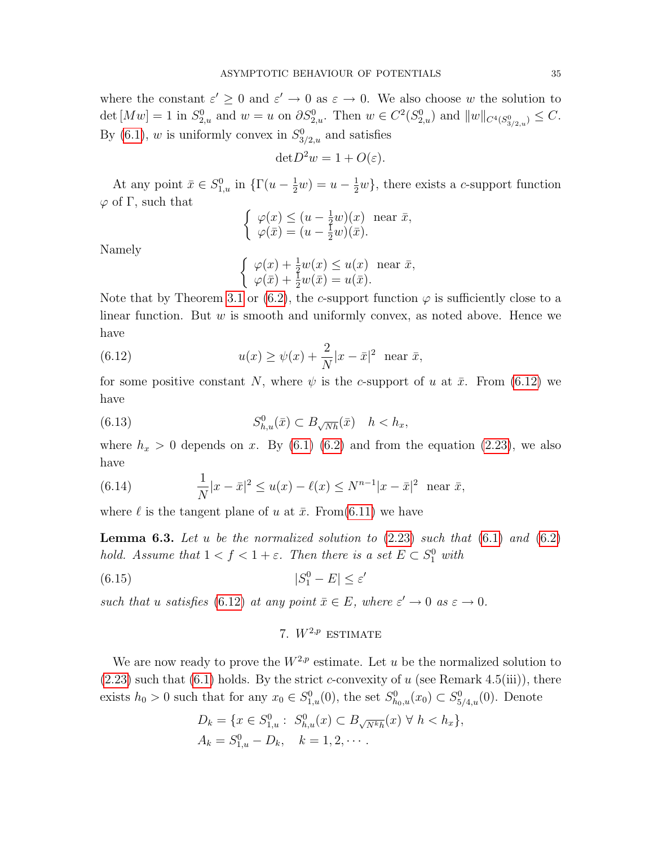where the constant  $\varepsilon' \geq 0$  and  $\varepsilon' \to 0$  as  $\varepsilon \to 0$ . We also choose w the solution to det  $[Mw] = 1$  in  $S_{2,u}^0$  and  $w = u$  on  $\partial S_{2,u}^0$ . Then  $w \in C^2(S_{2,u}^0)$  and  $||w||_{C^4(S_{3/2,u}^0)} \leq C$ . By [\(6.1\)](#page-32-0), w is uniformly convex in  $S_{3/2,u}^0$  and satisfies

$$
\det D^2 w = 1 + O(\varepsilon).
$$

At any point  $\bar{x} \in S_{1,u}^0$  in  $\{\Gamma(u - \frac{1}{2}w) = u - \frac{1}{2}w\}$ , there exists a c-support function  $\varphi$  of Γ, such that

$$
\begin{cases} \varphi(x) \le (u - \frac{1}{2}w)(x) \text{ near } \bar{x}, \\ \varphi(\bar{x}) = (u - \frac{1}{2}w)(\bar{x}). \end{cases}
$$

Namely

<span id="page-36-2"></span><span id="page-36-0"></span>
$$
\begin{cases}\n\varphi(x) + \frac{1}{2}w(x) \le u(x) \text{ near } \bar{x}, \\
\varphi(\bar{x}) + \frac{1}{2}w(\bar{x}) = u(\bar{x}).\n\end{cases}
$$

Note that by Theorem [3.1](#page-16-0) or [\(6.2\)](#page-32-0), the c-support function  $\varphi$  is sufficiently close to a linear function. But  $w$  is smooth and uniformly convex, as noted above. Hence we have

(6.12) 
$$
u(x) \ge \psi(x) + \frac{2}{N}|x - \bar{x}|^2
$$
 near  $\bar{x}$ ,

for some positive constant N, where  $\psi$  is the c-support of u at  $\bar{x}$ . From [\(6.12\)](#page-36-0) we have

(6.13) 
$$
S_{h,u}^0(\bar{x}) \subset B_{\sqrt{N}h}(\bar{x}) \quad h < h_x,
$$

where  $h_x > 0$  depends on x. By [\(6.1\) \(6.2\)](#page-32-0) and from the equation [\(2.23\)](#page-12-4), we also have

(6.14) 
$$
\frac{1}{N}|x-\bar{x}|^2 \le u(x) - \ell(x) \le N^{n-1}|x-\bar{x}|^2 \text{ near } \bar{x},
$$

<span id="page-36-1"></span>where  $\ell$  is the tangent plane of u at  $\bar{x}$ . From[\(6.11\)](#page-35-2) we have

**Lemma 6.3.** Let u be the normalized solution to  $(2.23)$  such that  $(6.1)$  and  $(6.2)$ hold. Assume that  $1 < f < 1 + \varepsilon$ . Then there is a set  $E \subset S_1^0$  with

$$
(6.15)\t\t |S_1^0 - E| \le \varepsilon'
$$

such that u satisfies [\(6.12\)](#page-36-0) at any point  $\bar{x} \in E$ , where  $\varepsilon' \to 0$  as  $\varepsilon \to 0$ .

## 7.  $W^{2,p}$  estimate

We are now ready to prove the  $W^{2,p}$  estimate. Let u be the normalized solution to  $(2.23)$  such that  $(6.1)$  holds. By the strict c-convexity of u (see Remark 4.5(iii)), there exists  $h_0 > 0$  such that for any  $x_0 \in S^0_{1,u}(0)$ , the set  $S^0_{h_0,u}(x_0) \subset S^0_{5/4,u}(0)$ . Denote

$$
D_k = \{ x \in S_{1,u}^0 : S_{h,u}^0(x) \subset B_{\sqrt{N^k h}}(x) \ \forall \ h < h_x \},
$$
  
\n
$$
A_k = S_{1,u}^0 - D_k, \quad k = 1, 2, \cdots.
$$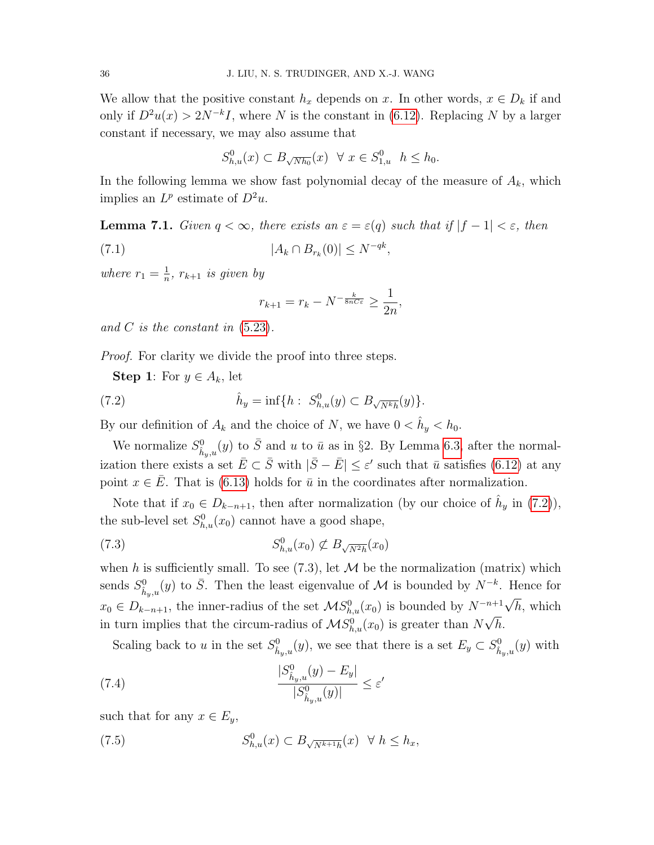We allow that the positive constant  $h_x$  depends on x. In other words,  $x \in D_k$  if and only if  $D^2u(x) > 2N^{-k}I$ , where N is the constant in [\(6.12\)](#page-36-0). Replacing N by a larger constant if necessary, we may also assume that

$$
S_{h,u}^0(x) \subset B_{\sqrt{Nh_0}}(x) \ \ \forall \ x \in S_{1,u}^0 \ \ h \le h_0.
$$

In the following lemma we show fast polynomial decay of the measure of  $A_k$ , which implies an  $L^p$  estimate of  $D^2u$ .

<span id="page-37-4"></span>**Lemma 7.1.** Given  $q < \infty$ , there exists an  $\varepsilon = \varepsilon(q)$  such that if  $|f - 1| < \varepsilon$ , then (7.1)  $|A_k \cap B_{r_k}(0)| \le N^{-qk},$ 

where  $r_1 = \frac{1}{n}$  $\frac{1}{n}$ ,  $r_{k+1}$  is given by

<span id="page-37-2"></span><span id="page-37-0"></span>
$$
r_{k+1} = r_k - N^{-\frac{k}{8nC\varepsilon}} \ge \frac{1}{2n},
$$

and C is the constant in  $(5.23)$ .

*Proof.* For clarity we divide the proof into three steps.

**Step 1:** For  $y \in A_k$ , let

(7.2) 
$$
\hat{h}_y = \inf\{h : S_{h,u}^0(y) \subset B_{\sqrt{N^k h}}(y)\}.
$$

By our definition of  $A_k$  and the choice of N, we have  $0 < \hat{h}_y < h_0$ .

We normalize  $S^0_{\hat{h}_y,u}(y)$  to  $\bar{S}$  and u to  $\bar{u}$  as in §2. By Lemma [6.3,](#page-36-1) after the normalization there exists a set  $\bar{E} \subset \bar{S}$  with  $|\bar{S} - \bar{E}| \leq \varepsilon'$  such that  $\bar{u}$  satisfies [\(6.12\)](#page-36-0) at any point  $x \in \overline{E}$ . That is [\(6.13\)](#page-36-2) holds for  $\overline{u}$  in the coordinates after normalization.

Note that if  $x_0 \in D_{k-n+1}$ , then after normalization (by our choice of  $\hat{h}_y$  in [\(7.2\)](#page-37-0)), the sub-level set  $S_{h,u}^0(x_0)$  cannot have a good shape,

<span id="page-37-1"></span>
$$
(7.3) \tS^0_{h,u}(x_0) \not\subset B_{\sqrt{N^2h}}(x_0)
$$

when h is sufficiently small. To see  $(7.3)$ , let M be the normalization (matrix) which sends  $S^0_{\hat{h}_y,u}(y)$  to  $\bar{S}$ . Then the least eigenvalue of M is bounded by  $N^{-k}$ . Hence for  $x_0 \in D_{k-n+1}$ , the inner-radius of the set  $MS_{h,u}^0(x_0)$  is bounded by  $N^{-n+1}\sqrt{h}$ , which in turn implies that the circum-radius of  $\mathcal{MS}_{h,u}^0(x_0)$  is greater than  $N\sqrt{h}$ .

<span id="page-37-3"></span>Scaling back to u in the set  $S^0_{\hat{h}_y,u}(y)$ , we see that there is a set  $E_y \subset S^0_{\hat{h}_y,u}(y)$  with

(7.4) 
$$
\frac{|S_{\hat{h}_y,u}^0(y) - E_y|}{|S_{\hat{h}_y,u}^0(y)|} \le \varepsilon'
$$

such that for any  $x \in E_u$ ,

(7.5) 
$$
S_{h,u}^0(x) \subset B_{\sqrt{N^{k+1}h}}(x) \quad \forall \ h \le h_x,
$$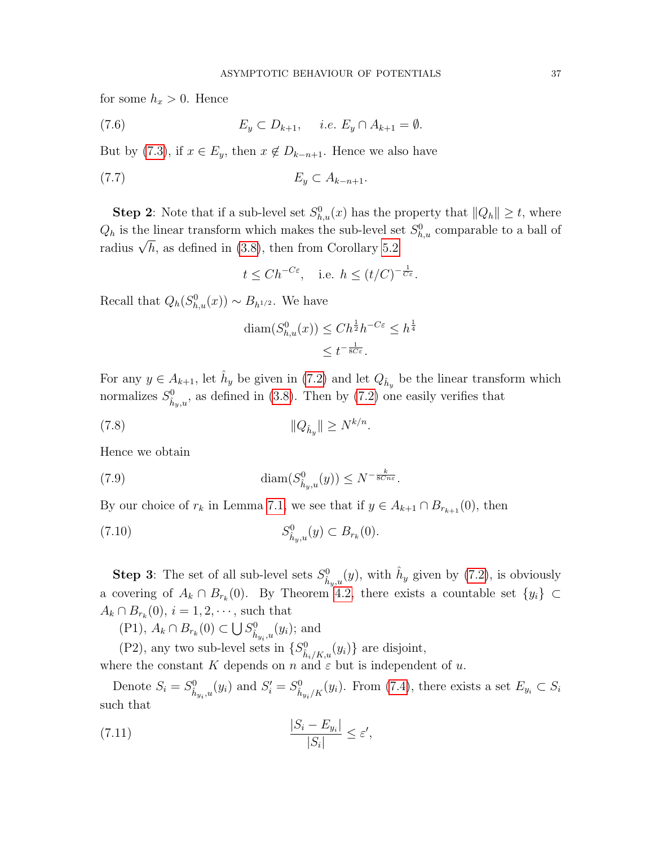for some  $h_x > 0$ . Hence

<span id="page-38-0"></span>
$$
(7.6) \t E_y \subset D_{k+1}, \quad i.e. \ E_y \cap A_{k+1} = \emptyset.
$$

But by [\(7.3\)](#page-37-1), if  $x \in E_y$ , then  $x \notin D_{k-n+1}$ . Hence we also have

$$
(7.7) \t\t\t E_y \subset A_{k-n+1}.
$$

**Step 2**: Note that if a sub-level set  $S_{h,u}^0(x)$  has the property that  $||Q_h|| \ge t$ , where  $Q_h$  is the linear transform which makes the sub-level set  $S_{h,u}^0$  comparable to a ball of  $\mathcal{L}_h$  is the finear transform which makes the sub-lever set radius  $\sqrt{h}$ , as defined in [\(3.8\)](#page-14-3), then from Corollary [5.2](#page-31-1)

<span id="page-38-1"></span>
$$
t \leq Ch^{-C\varepsilon}
$$
, i.e.  $h \leq (t/C)^{-\frac{1}{C\varepsilon}}$ .

Recall that  $Q_h(S_{h,u}^0(x)) \sim B_{h^{1/2}}$ . We have

$$
\begin{aligned} \operatorname{diam}(S_{h,u}^0(x)) &\leq Ch^{\frac{1}{2}}h^{-C\varepsilon} \leq h^{\frac{1}{4}}\\ &\leq t^{-\frac{1}{8C\varepsilon}}. \end{aligned}
$$

For any  $y \in A_{k+1}$ , let  $\hat{h}_y$  be given in [\(7.2\)](#page-37-0) and let  $Q_{\hat{h}_y}$  be the linear transform which normalizes  $S^0_{\hat{h}_y,u}$ , as defined in [\(3.8\)](#page-14-3). Then by [\(7.2\)](#page-37-0) one easily verifies that

(7.8) 
$$
||Q_{\hat{h}_y}|| \ge N^{k/n}.
$$

Hence we obtain

(7.9) 
$$
\text{diam}(S^0_{\hat{h}_y,u}(y)) \leq N^{-\frac{k}{8Cn\varepsilon}}.
$$

By our choice of  $r_k$  in Lemma [7.1,](#page-37-2) we see that if  $y \in A_{k+1} \cap B_{r_{k+1}}(0)$ , then

<span id="page-38-2"></span>(7.10) 
$$
S^0_{\hat{h}_y,u}(y) \subset B_{r_k}(0).
$$

**Step 3**: The set of all sub-level sets  $S^0_{\hat{h}_y,u}(y)$ , with  $\hat{h}_y$  given by [\(7.2\)](#page-37-0), is obviously a covering of  $A_k \cap B_{r_k}(0)$ . By Theorem [4.2,](#page-23-2) there exists a countable set  $\{y_i\} \subset$  $A_k \cap B_{r_k}(0)$ ,  $i = 1, 2, \dots$ , such that

(P1),  $A_k \cap B_{r_k}(0)$  ⊂  $\bigcup S^0_{\hat{h}_{y_i},u}(y_i)$ ; and

(P2), any two sub-level sets in  $\{S^0_{\hat{h}_i/K,u}(y_i)\}$  are disjoint,

where the constant K depends on n and  $\varepsilon$  but is independent of u.

Denote  $S_i = S^0_{\hat{h}_{y_i},u}(y_i)$  and  $S'_i = S^0_{\hat{h}_{y_i}/K}(y_i)$ . From [\(7.4\)](#page-37-3), there exists a set  $E_{y_i} \subset S_i$ such that

(7.11) 
$$
\frac{|S_i - E_{y_i}|}{|S_i|} \le \varepsilon',
$$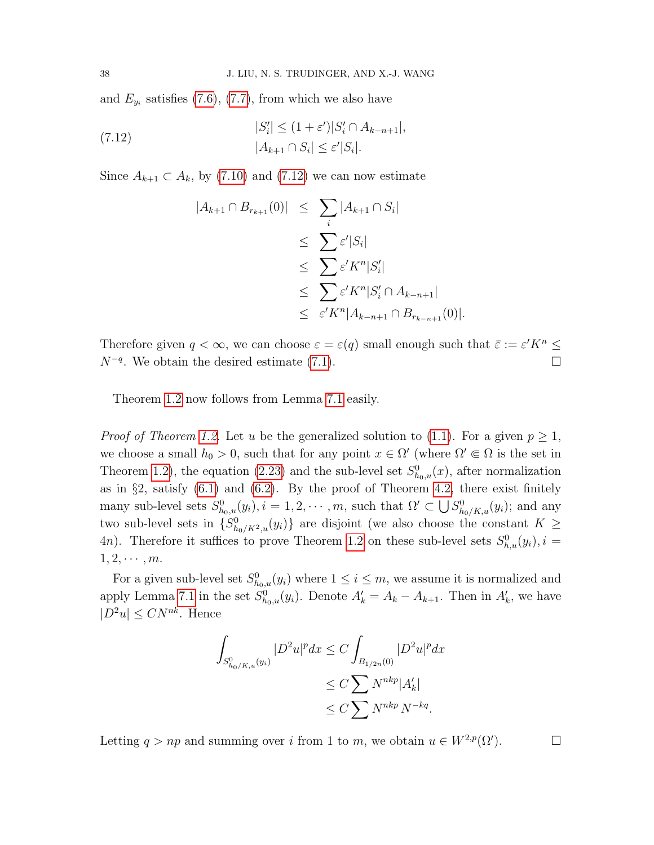and  $E_{y_i}$  satisfies [\(7.6\)](#page-38-0), [\(7.7\)](#page-38-1), from which we also have

(7.12) 
$$
|S'_{i}| \le (1 + \varepsilon')|S'_{i} \cap A_{k-n+1}|,
$$

$$
|A_{k+1} \cap S_{i}| \le \varepsilon'|S_{i}|.
$$

Since  $A_{k+1} \subset A_k$ , by [\(7.10\)](#page-38-2) and [\(7.12\)](#page-39-0) we can now estimate

<span id="page-39-0"></span>
$$
|A_{k+1} \cap B_{r_{k+1}}(0)| \leq \sum_{i} |A_{k+1} \cap S_i|
$$
  
\n
$$
\leq \sum_{i} \varepsilon' |S_i|
$$
  
\n
$$
\leq \sum_{i} \varepsilon' K^n |S_i'|
$$
  
\n
$$
\leq \sum_{i} \varepsilon' K^n |S_i' \cap A_{k-n+1}|
$$
  
\n
$$
\leq \varepsilon' K^n |A_{k-n+1} \cap B_{r_{k-n+1}}(0)|.
$$

Therefore given  $q < \infty$ , we can choose  $\varepsilon = \varepsilon(q)$  small enough such that  $\overline{\varepsilon} := \varepsilon' K^n \leq$  $N^{-q}$ . We obtain the desired estimate [\(7.1\)](#page-37-2).

Theorem [1.2](#page-5-3) now follows from Lemma [7.1](#page-37-4) easily.

*Proof of Theorem [1.2.](#page-5-3)* Let u be the generalized solution to [\(1.1\)](#page-2-0). For a given  $p \geq 1$ , we choose a small  $h_0 > 0$ , such that for any point  $x \in \Omega'$  (where  $\Omega' \subseteq \Omega$  is the set in Theorem [1.2\)](#page-5-3), the equation [\(2.23\)](#page-12-4) and the sub-level set  $S_{h_0,u}^0(x)$ , after normalization as in  $\S2$ , satisfy  $(6.1)$  and  $(6.2)$ . By the proof of Theorem [4.2,](#page-23-2) there exist finitely many sub-level sets  $S_{h_0,u}^0(y_i)$ ,  $i=1,2,\cdots,m$ , such that  $\Omega' \subset \bigcup S_{h_0/K,u}^0(y_i)$ ; and any two sub-level sets in  $\{S_{h_0/K^2,u}^0(y_i)\}\$  are disjoint (we also choose the constant  $K\geq$ 4*n*). Therefore it suffices to prove Theorem [1.2](#page-5-3) on these sub-level sets  $S_{h,u}^0(y_i)$ ,  $i =$  $1, 2, \cdots, m$ .

For a given sub-level set  $S_{h_0,u}^0(y_i)$  where  $1 \leq i \leq m$ , we assume it is normalized and apply Lemma [7.1](#page-37-4) in the set  $S_{h_0,u}^0(y_i)$ . Denote  $A'_k = A_k - A_{k+1}$ . Then in  $A'_k$ , we have  $|D^2u| \leq CN^{nk}$ . Hence

$$
\int_{S^0_{h_0/K,u}(y_i)} |D^2u|^p dx \le C \int_{B_{1/2n}(0)} |D^2u|^p dx
$$
  
\n
$$
\le C \sum N^{nkp} |A'_k|
$$
  
\n
$$
\le C \sum N^{nkp} N^{-kq}.
$$

Letting  $q > np$  and summing over i from 1 to m, we obtain  $u \in W^{2,p}(\Omega')$ .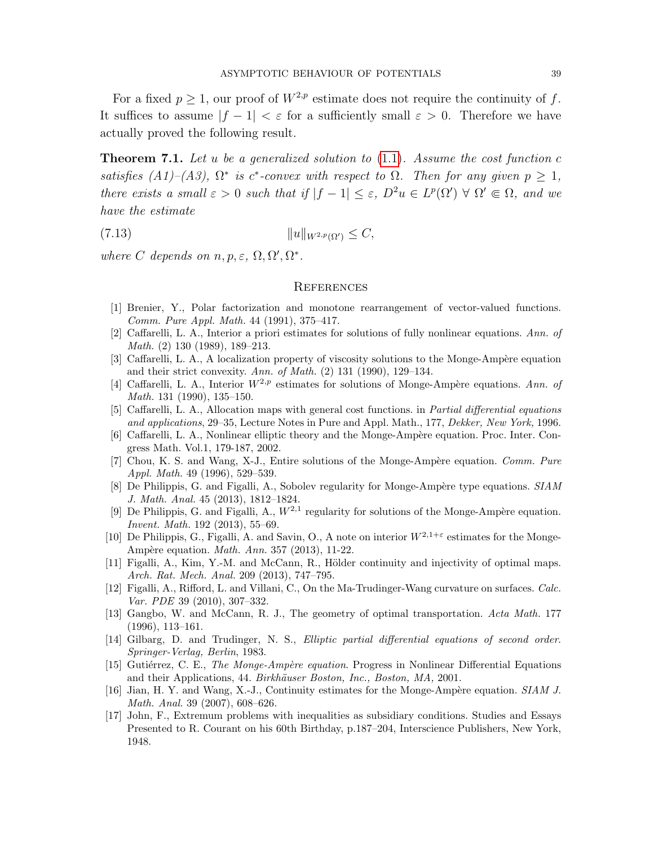For a fixed  $p > 1$ , our proof of  $W^{2,p}$  estimate does not require the continuity of f. It suffices to assume  $|f - 1| < \varepsilon$  for a sufficiently small  $\varepsilon > 0$ . Therefore we have actually proved the following result.

<span id="page-40-11"></span>**Theorem 7.1.** Let u be a generalized solution to  $(1.1)$ . Assume the cost function c satisfies (A1)–(A3),  $\Omega^*$  is c<sup>\*</sup>-convex with respect to  $\Omega$ . Then for any given  $p \geq 1$ , there exists a small  $\varepsilon > 0$  such that if  $|f - 1| \leq \varepsilon$ ,  $D^2u \in L^p(\Omega') \forall \Omega' \in \Omega$ , and we have the estimate

$$
(7.13) \t\t\t ||u||_{W^{2,p}(\Omega')} \leq C,
$$

where C depends on  $n, p, \varepsilon, \Omega, \Omega', \Omega^*$ .

#### **REFERENCES**

- <span id="page-40-3"></span>[1] Brenier, Y., Polar factorization and monotone rearrangement of vector-valued functions. Comm. Pure Appl. Math. 44 (1991), 375–417.
- <span id="page-40-1"></span>[2] Caffarelli, L. A., Interior a priori estimates for solutions of fully nonlinear equations. Ann. of Math. (2) 130 (1989), 189–213.
- <span id="page-40-14"></span>[3] Caffarelli, L. A., A localization property of viscosity solutions to the Monge-Ampère equation and their strict convexity. Ann. of Math. (2) 131 (1990), 129–134.
- <span id="page-40-0"></span>[4] Caffarelli, L. A., Interior  $W^{2,p}$  estimates for solutions of Monge-Ampère equations. Ann. of Math. 131 (1990), 135–150.
- <span id="page-40-4"></span>[5] Caffarelli, L. A., Allocation maps with general cost functions. in Partial differential equations and applications, 29–35, Lecture Notes in Pure and Appl. Math., 177, Dekker, New York, 1996.
- <span id="page-40-2"></span>[6] Caffarelli, L. A., Nonlinear elliptic theory and the Monge-Ampère equation. Proc. Inter. Congress Math. Vol.1, 179-187, 2002.
- <span id="page-40-15"></span>[7] Chou, K. S. and Wang, X-J., Entire solutions of the Monge-Ampère equation. Comm. Pure Appl. Math. 49 (1996), 529–539.
- <span id="page-40-6"></span>[8] De Philippis, G. and Figalli, A., Sobolev regularity for Monge-Ampère type equations. SIAM J. Math. Anal. 45 (2013), 1812–1824.
- <span id="page-40-7"></span>[9] De Philippis, G. and Figalli, A.,  $W^{2,1}$  regularity for solutions of the Monge-Ampère equation. Invent. Math. 192 (2013), 55–69.
- <span id="page-40-8"></span>[10] De Philippis, G., Figalli, A. and Savin, O., A note on interior  $W^{2,1+\epsilon}$  estimates for the Monge-Ampère equation. *Math. Ann.* 357 (2013), 11-22.
- <span id="page-40-12"></span>[11] Figalli, A., Kim, Y.-M. and McCann, R., Hölder continuity and injectivity of optimal maps. Arch. Rat. Mech. Anal. 209 (2013), 747–795.
- <span id="page-40-9"></span>[12] Figalli, A., Rifford, L. and Villani, C., On the Ma-Trudinger-Wang curvature on surfaces. Calc. Var. PDE 39 (2010), 307–332.
- <span id="page-40-5"></span>[13] Gangbo, W. and McCann, R. J., The geometry of optimal transportation. Acta Math. 177 (1996), 113–161.
- <span id="page-40-13"></span>[14] Gilbarg, D. and Trudinger, N. S., *Elliptic partial differential equations of second order.* Springer-Verlag, Berlin, 1983.
- <span id="page-40-17"></span>[15] Gutiérrez, C. E., *The Monge-Ampère equation*. Progress in Nonlinear Differential Equations and their Applications, 44. Birkhäuser Boston, Inc., Boston, MA, 2001.
- <span id="page-40-16"></span>[16] Jian, H. Y. and Wang, X.-J., Continuity estimates for the Monge-Ampère equation. SIAM J. Math. Anal. 39 (2007), 608–626.
- <span id="page-40-10"></span>[17] John, F., Extremum problems with inequalities as subsidiary conditions. Studies and Essays Presented to R. Courant on his 60th Birthday, p.187–204, Interscience Publishers, New York, 1948.